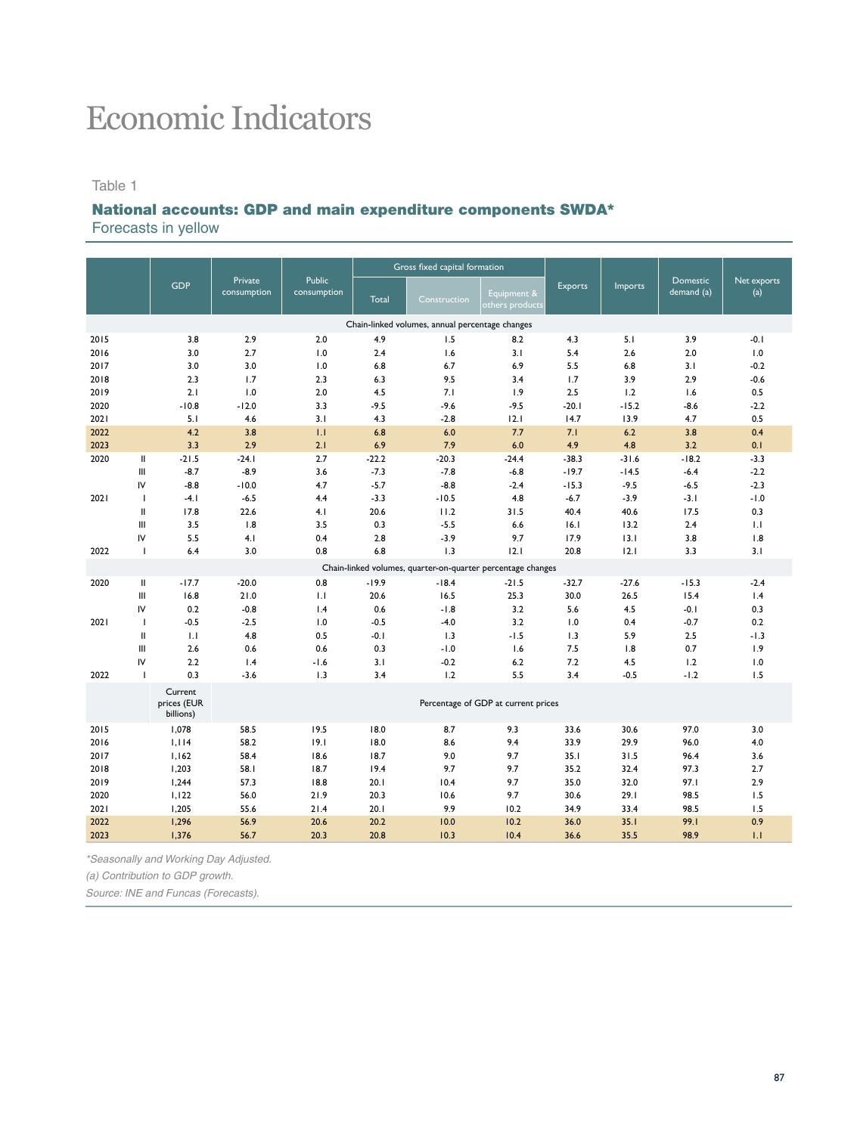# Economic Indicators

#### Table 1

## National accounts: GDP and main expenditure components SWDA\*

Forecasts in yellow

|      |                    |                                     |                        |                              |            | Gross fixed capital formation                               |                                     |                |               |                               |                    |
|------|--------------------|-------------------------------------|------------------------|------------------------------|------------|-------------------------------------------------------------|-------------------------------------|----------------|---------------|-------------------------------|--------------------|
|      |                    | <b>GDP</b>                          | Private<br>consumption | <b>Public</b><br>consumption | Total      | Construction                                                | Equipment &<br>others products      | <b>Exports</b> | Imports       | <b>Domestic</b><br>demand (a) | Net exports<br>(a) |
|      |                    |                                     |                        |                              |            | Chain-linked volumes, annual percentage changes             |                                     |                |               |                               |                    |
| 2015 |                    | 3.8                                 | 2.9                    | 2.0                          | 4.9        | 1.5                                                         | 8.2                                 | 4.3            | 5.1           | 3.9                           | $-0.1$             |
| 2016 |                    | 3.0                                 | 2.7                    | 1.0                          | 2.4        | 1.6                                                         | 3.1                                 | 5.4            | 2.6           | 2.0                           | 1.0                |
| 2017 |                    | 3.0                                 | 3.0                    | 1.0                          | 6.8        | 6.7                                                         | 6.9                                 | 5.5            | 6.8           | 3.1                           | $-0.2$             |
| 2018 |                    | 2.3                                 | 1.7                    | 2.3                          | 6.3        | 9.5                                                         | 3.4                                 | 1.7            | 3.9           | 2.9                           | $-0.6$             |
| 2019 |                    | 2.1                                 | 1.0                    | 2.0                          | 4.5        | 7.1                                                         | 1.9                                 | 2.5            | 1.2           | 1.6                           | 0.5                |
| 2020 |                    | $-10.8$                             | $-12.0$                | 3.3                          | $-9.5$     | $-9.6$                                                      | $-9.5$                              | $-20.1$        | $-15.2$       | $-8.6$                        | $-2.2$             |
| 2021 |                    | 5.1                                 | 4.6                    | 3.1                          | 4.3        | $-2.8$                                                      | 12.1                                | 14.7           | 13.9          | 4.7                           | 0.5                |
| 2022 |                    | 4.2                                 | 3.8                    | 1.1                          | 6.8        | 6.0                                                         | 7.7                                 | 7.1            | 6.2           | 3.8                           | 0.4                |
| 2023 |                    | 3.3                                 | 2.9                    | 2.1                          | 6.9        | 7.9                                                         | 6.0                                 | 4.9            | 4.8           | 3.2                           | 0.1                |
| 2020 | Ш                  | $-21.5$                             | $-24.1$                | 2.7                          | $-22.2$    | $-20.3$                                                     | $-24.4$                             | $-38.3$        | $-31.6$       | $-18.2$                       | $-3.3$             |
|      | III                | $-8.7$                              | $-8.9$                 | 3.6                          | $-7.3$     | $-7.8$                                                      | $-6.8$                              | $-19.7$        | $-14.5$       | $-6.4$                        | $-2.2$             |
|      | IV                 | $-8.8$                              | $-10.0$                | 4.7                          | $-5.7$     | $-8.8$                                                      | $-2.4$                              | $-15.3$        | $-9.5$        | $-6.5$                        | $-2.3$             |
| 2021 | $\mathbf{I}$       | $-4.1$                              | $-6.5$                 | 4.4                          | $-3.3$     | $-10.5$                                                     | 4.8                                 | $-6.7$         | $-3.9$        | $-3.1$                        | $-1.0$             |
|      | Ш                  | 17.8                                | 22.6                   | 4.1                          | 20.6       | 11.2                                                        | 31.5                                | 40.4           | 40.6          | 17.5                          | 0.3                |
|      | Ш                  | 3.5                                 | 1.8                    | 3.5                          | 0.3        | $-5.5$                                                      | 6.6                                 | 16.1           | 13.2          | 2.4                           | 1.1                |
| 2022 | IV<br>$\mathbf{I}$ | 5.5<br>6.4                          | 4.1<br>3.0             | 0.4<br>0.8                   | 2.8<br>6.8 | $-3.9$<br>1.3                                               | 9.7<br>12.1                         | 17.9<br>20.8   | 13.1<br>12.1  | 3.8<br>3.3                    | 1.8<br>3.1         |
|      |                    |                                     |                        |                              |            |                                                             |                                     |                |               |                               |                    |
|      |                    |                                     |                        |                              |            | Chain-linked volumes, quarter-on-quarter percentage changes |                                     |                |               |                               |                    |
| 2020 | $\mathbf{II}$      | $-17.7$                             | $-20.0$                | 0.8                          | $-19.9$    | $-18.4$                                                     | $-21.5$                             | $-32.7$        | $-27.6$       | $-15.3$                       | $-2.4$             |
|      | Ш                  | 16.8                                | 21.0                   | 1.1                          | 20.6       | 16.5                                                        | 25.3                                | 30.0           | 26.5          | 15.4                          | 1.4                |
|      | IV                 | 0.2                                 | $-0.8$                 | 1.4                          | 0.6        | $-1.8$                                                      | 3.2                                 | 5.6            | 4.5           | $-0.1$                        | 0.3                |
| 2021 | $\mathbf{I}$       | $-0.5$                              | $-2.5$                 | 1.0                          | $-0.5$     | $-4.0$                                                      | 3.2                                 | 1.0            | 0.4           | $-0.7$                        | 0.2                |
|      | II                 | 1.1                                 | 4.8                    | 0.5                          | $-0.1$     | 1.3                                                         | $-1.5$                              | 1.3            | 5.9           | 2.5                           | $-1.3$             |
|      | Ш<br>IV            | 2.6<br>2.2                          | 0.6                    | 0.6                          | 0.3        | $-1.0$                                                      | 1.6                                 | 7.5            | 1.8           | 0.7                           | 1.9                |
| 2022 | $\mathbf{I}$       | 0.3                                 | 1.4<br>$-3.6$          | $-1.6$<br>1.3                | 3.1<br>3.4 | $-0.2$<br>1.2                                               | 6.2<br>5.5                          | 7.2<br>3.4     | 4.5<br>$-0.5$ | 1.2<br>$-1.2$                 | 1.0<br>1.5         |
|      |                    |                                     |                        |                              |            |                                                             |                                     |                |               |                               |                    |
|      |                    | Current<br>prices (EUR<br>billions) |                        |                              |            |                                                             | Percentage of GDP at current prices |                |               |                               |                    |
| 2015 |                    | 1,078                               | 58.5                   | 19.5                         | 18.0       | 8.7                                                         | 9.3                                 | 33.6           | 30.6          | 97.0                          | 3.0                |
| 2016 |                    | 1,114                               | 58.2                   | 19.1                         | 18.0       | 8.6                                                         | 9.4                                 | 33.9           | 29.9          | 96.0                          | 4.0                |
| 2017 |                    | 1.162                               | 58.4                   | 18.6                         | 18.7       | 9.0                                                         | 9.7                                 | 35.1           | 31.5          | 96.4                          | 3.6                |
| 2018 |                    | 1,203                               | 58.1                   | 18.7                         | 19.4       | 9.7                                                         | 9.7                                 | 35.2           | 32.4          | 97.3                          | 2.7                |
| 2019 |                    | 1,244                               | 57.3                   | 18.8                         | 20.1       | 10.4                                                        | 9.7                                 | 35.0           | 32.0          | 97.I                          | 2.9                |
| 2020 |                    | 1,122                               | 56.0                   | 21.9                         | 20.3       | 10.6                                                        | 9.7                                 | 30.6           | 29.1          | 98.5                          | 1.5                |
| 2021 |                    | 1,205                               | 55.6                   | 21.4                         | 20.1       | 9.9                                                         | 10.2                                | 34.9           | 33.4          | 98.5                          | 1.5                |
| 2022 |                    | 1,296                               | 56.9                   | 20.6                         | 20.2       | 10.0                                                        | 10.2                                | 36.0           | 35.1          | 99.1                          | 0.9                |
| 2023 |                    | 1,376                               | 56.7                   | 20.3                         | 20.8       | 10.3                                                        | 10.4                                | 36.6           | 35.5          | 98.9                          | 1.1                |

*\*Seasonally and Working Day Adjusted.*

*(a) Contribution to GDP growth.*

*Source: INE and Funcas (Forecasts).*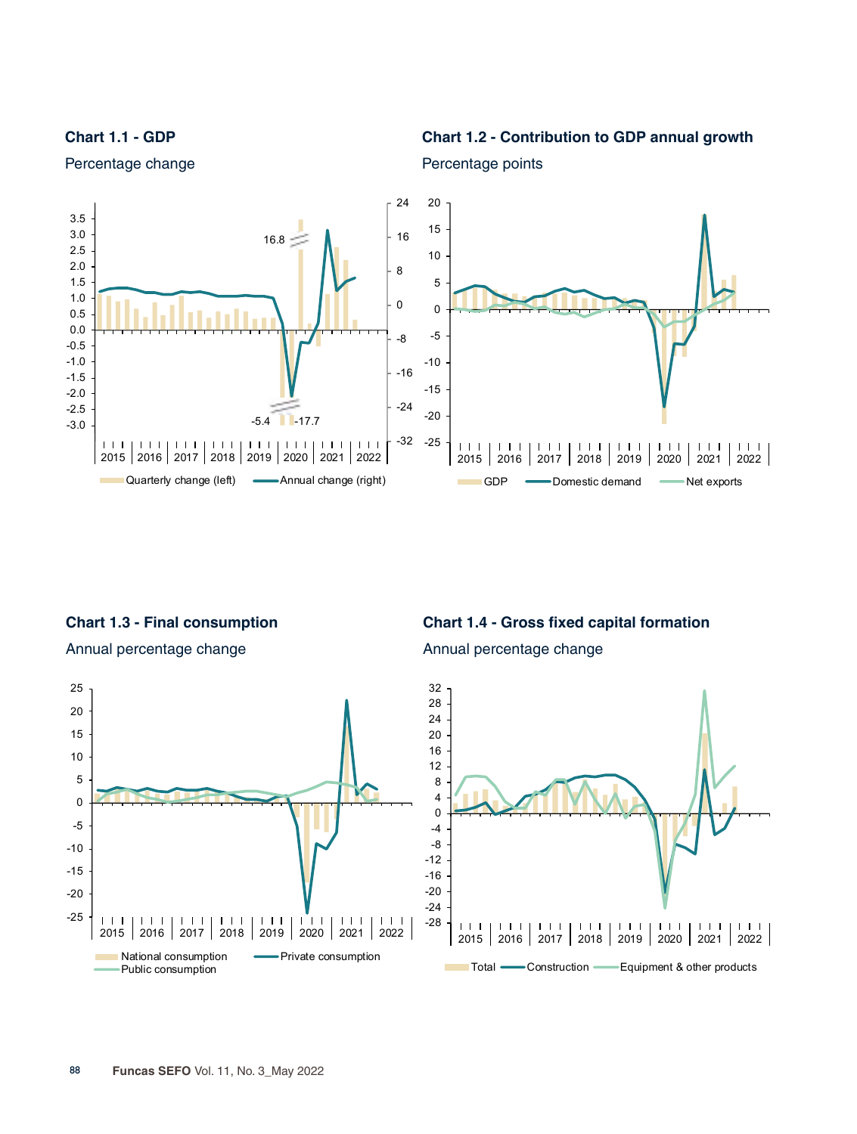**Chart 1.1 - GDP**





Percentage points

Percentage change

**Chart 1.3 - Final consumption**

-25 -20



National consumption **ICC EXECUTE:** Private consumption

**Chart 1.4 - Gross fixed capital formation**





Public consumption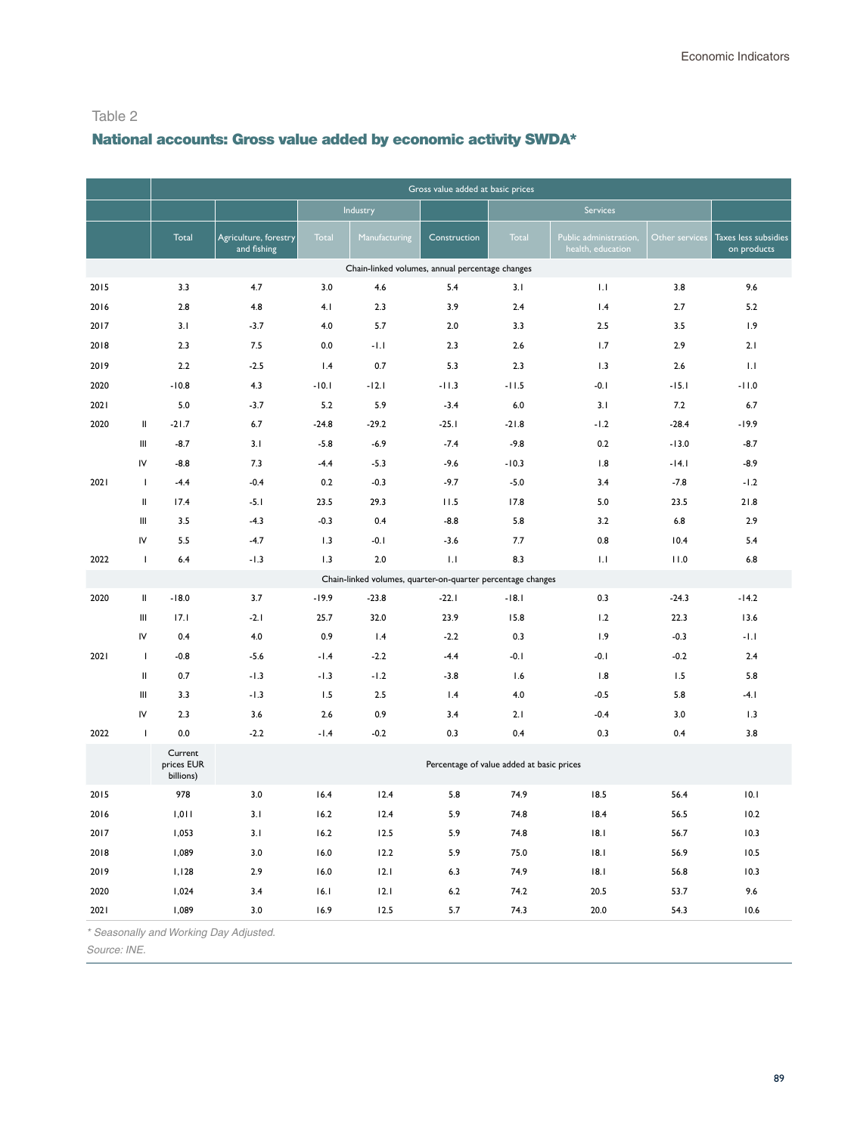# National accounts: Gross value added by economic activity SWDA\*

|      |                                                                                                                                                                                                                                                                                                                                                                                                                                                                         |                                    |                                        |         |                                                             | Gross value added at basic prices         |         |                                             |                |                                     |
|------|-------------------------------------------------------------------------------------------------------------------------------------------------------------------------------------------------------------------------------------------------------------------------------------------------------------------------------------------------------------------------------------------------------------------------------------------------------------------------|------------------------------------|----------------------------------------|---------|-------------------------------------------------------------|-------------------------------------------|---------|---------------------------------------------|----------------|-------------------------------------|
|      |                                                                                                                                                                                                                                                                                                                                                                                                                                                                         |                                    |                                        |         | Industry                                                    |                                           |         | Services                                    |                |                                     |
|      |                                                                                                                                                                                                                                                                                                                                                                                                                                                                         | Total                              | Agriculture, forestry<br>and fishing   | Total   | Manufacturing                                               | Construction                              | Total   | Public administration,<br>health, education | Other services | Taxes less subsidies<br>on products |
|      |                                                                                                                                                                                                                                                                                                                                                                                                                                                                         |                                    |                                        |         | Chain-linked volumes, annual percentage changes             |                                           |         |                                             |                |                                     |
| 2015 |                                                                                                                                                                                                                                                                                                                                                                                                                                                                         | 3.3                                | 4.7                                    | 3.0     | 4.6                                                         | 5.4                                       | 3.1     | 1.1                                         | 3.8            | 9.6                                 |
| 2016 |                                                                                                                                                                                                                                                                                                                                                                                                                                                                         | 2.8                                | 4.8                                    | 4.1     | 2.3                                                         | 3.9                                       | 2.4     | 1.4                                         | 2.7            | 5.2                                 |
| 2017 |                                                                                                                                                                                                                                                                                                                                                                                                                                                                         | 3.1                                | $-3.7$                                 | 4.0     | 5.7                                                         | 2.0                                       | 3.3     | 2.5                                         | 3.5            | 1.9                                 |
| 2018 |                                                                                                                                                                                                                                                                                                                                                                                                                                                                         | 2.3                                | 7.5                                    | 0.0     | -1.1                                                        | 2.3                                       | 2.6     | 1.7                                         | 2.9            | 2.1                                 |
| 2019 |                                                                                                                                                                                                                                                                                                                                                                                                                                                                         | 2.2                                | $-2.5$                                 | 1.4     | 0.7                                                         | 5.3                                       | 2.3     | 1.3                                         | $2.6\,$        | 1.1                                 |
| 2020 |                                                                                                                                                                                                                                                                                                                                                                                                                                                                         | $-10.8$                            | 4.3                                    | $-10.1$ | $-12.1$                                                     | $-11.3$                                   | $-11.5$ | $-0.1$                                      | $-15.1$        | $-11.0$                             |
| 2021 |                                                                                                                                                                                                                                                                                                                                                                                                                                                                         | 5.0                                | $-3.7$                                 | 5.2     | 5.9                                                         | $-3.4$                                    | 6.0     | 3.1                                         | 7.2            | 6.7                                 |
| 2020 | $\sf II$                                                                                                                                                                                                                                                                                                                                                                                                                                                                | $-21.7$                            | 6.7                                    | $-24.8$ | $-29.2$                                                     | $-25.1$                                   | $-21.8$ | $-1.2$                                      | $-28.4$        | $-19.9$                             |
|      | Ш                                                                                                                                                                                                                                                                                                                                                                                                                                                                       | $-8.7$                             | 3.1                                    | $-5.8$  | $-6.9$                                                      | $-7.4$                                    | $-9.8$  | 0.2                                         | $-13.0$        | $-8.7$                              |
|      | IV                                                                                                                                                                                                                                                                                                                                                                                                                                                                      | $-8.8$                             | 7.3                                    | $-4.4$  | $-5.3$                                                      | $-9.6$                                    | $-10.3$ | 1.8                                         | $-14.1$        | $-8.9$                              |
| 2021 | $\mathbf{I}$                                                                                                                                                                                                                                                                                                                                                                                                                                                            | $-4.4$                             | $-0.4$                                 | 0.2     | $-0.3$                                                      | $-9.7$                                    | $-5.0$  | 3.4                                         | $-7.8$         | $-1.2$                              |
|      | $\mathop{  }% \text{log}(p_{\theta}^{*})\mathop{  }% \text{log}(p_{\theta}^{*})\mathop{  }% \text{log}(p_{\theta}^{*})\mathop{  }% \text{log}(p_{\theta}^{*})\mathop{  }% \text{log}(p_{\theta}^{*})\mathop{  }% \text{log}(p_{\theta}^{*})\mathop{  }% \text{log}(p_{\theta}^{*})\mathop{  }% \text{log}(p_{\theta}^{*})\mathop{  }% \text{log}(p_{\theta}^{*})\mathop{  }% \text{log}(p_{\theta}^{*})\mathop{  }% \text{log}(p_{\theta}^{*})\mathop{  }% \text{log}($ | 17.4                               | $-5.1$                                 | 23.5    | 29.3                                                        | 11.5                                      | 17.8    | 5.0                                         | 23.5           | 21.8                                |
|      | Ш                                                                                                                                                                                                                                                                                                                                                                                                                                                                       | 3.5                                | $-4.3$                                 | $-0.3$  | 0.4                                                         | $-8.8$                                    | 5.8     | 3.2                                         | 6.8            | 2.9                                 |
|      | IV                                                                                                                                                                                                                                                                                                                                                                                                                                                                      | 5.5                                | $-4.7$                                 | 1.3     | -0.1                                                        | $-3.6$                                    | 7.7     | 0.8                                         | 10.4           | 5.4                                 |
| 2022 | $\overline{\phantom{a}}$                                                                                                                                                                                                                                                                                                                                                                                                                                                | 6.4                                | $-1.3$                                 | 1.3     | 2.0                                                         | 1.1                                       | 8.3     | 1.1                                         | 11.0           | 6.8                                 |
|      |                                                                                                                                                                                                                                                                                                                                                                                                                                                                         |                                    |                                        |         | Chain-linked volumes, quarter-on-quarter percentage changes |                                           |         |                                             |                |                                     |
| 2020 | $\,$ II                                                                                                                                                                                                                                                                                                                                                                                                                                                                 | $-18.0$                            | 3.7                                    | $-19.9$ | $-23.8$                                                     | $-22.1$                                   | $-18.1$ | 0.3                                         | $-24.3$        | $-14.2$                             |
|      | Ш                                                                                                                                                                                                                                                                                                                                                                                                                                                                       | 17.1                               | $-2.1$                                 | 25.7    | 32.0                                                        | 23.9                                      | 15.8    | 1.2                                         | 22.3           | 13.6                                |
|      | IV                                                                                                                                                                                                                                                                                                                                                                                                                                                                      | 0.4                                | 4.0                                    | 0.9     | 1.4                                                         | $-2.2$                                    | 0.3     | 1.9                                         | $-0.3$         | $-1.1$                              |
| 2021 | $\mathbf{I}$                                                                                                                                                                                                                                                                                                                                                                                                                                                            | $-0.8$                             | $-5.6$                                 | $-1.4$  | $-2.2$                                                      | $-4.4$                                    | $-0.1$  | $-0.1$                                      | $-0.2$         | 2.4                                 |
|      | $\mathop{  }% \text{log}(p_{\theta}^{*})\mathop{  }% \text{log}(p_{\theta}^{*})\mathop{  }% \text{log}(p_{\theta}^{*})\mathop{  }% \text{log}(p_{\theta}^{*})\mathop{  }% \text{log}(p_{\theta}^{*})\mathop{  }% \text{log}(p_{\theta}^{*})\mathop{  }% \text{log}(p_{\theta}^{*})\mathop{  }% \text{log}(p_{\theta}^{*})\mathop{  }% \text{log}(p_{\theta}^{*})\mathop{  }% \text{log}(p_{\theta}^{*})\mathop{  }% \text{log}(p_{\theta}^{*})\mathop{  }% \text{log}($ | 0.7                                | $-1.3$                                 | $-1.3$  | $-1.2$                                                      | $-3.8$                                    | 1.6     | 1.8                                         | 1.5            | 5.8                                 |
|      | Ш                                                                                                                                                                                                                                                                                                                                                                                                                                                                       | 3.3                                | $-1.3$                                 | 1.5     | 2.5                                                         | 1.4                                       | 4.0     | $-0.5$                                      | 5.8            | $-4.1$                              |
|      | IV                                                                                                                                                                                                                                                                                                                                                                                                                                                                      | 2.3                                | 3.6                                    | 2.6     | 0.9                                                         | 3.4                                       | 2.1     | $-0.4$                                      | 3.0            | 1.3                                 |
| 2022 | $\mathbf{I}$                                                                                                                                                                                                                                                                                                                                                                                                                                                            | 0.0                                | $-2.2$                                 | $-1.4$  | $-0.2$                                                      | 0.3                                       | 0.4     | 0.3                                         | 0.4            | 3.8                                 |
|      |                                                                                                                                                                                                                                                                                                                                                                                                                                                                         | Current<br>prices EUR<br>billions) |                                        |         |                                                             | Percentage of value added at basic prices |         |                                             |                |                                     |
| 2015 |                                                                                                                                                                                                                                                                                                                                                                                                                                                                         | 978                                | 3.0                                    | 16.4    | 12.4                                                        | 5.8                                       | 74.9    | 18.5                                        | 56.4           | 10.1                                |
| 2016 |                                                                                                                                                                                                                                                                                                                                                                                                                                                                         | 1,011                              | 3.1                                    | 16.2    | 12.4                                                        | 5.9                                       | 74.8    | 18.4                                        | 56.5           | 10.2                                |
| 2017 |                                                                                                                                                                                                                                                                                                                                                                                                                                                                         | 1,053                              | 3.1                                    | 16.2    | 12.5                                                        | 5.9                                       | 74.8    | 18.1                                        | 56.7           | 10.3                                |
| 2018 |                                                                                                                                                                                                                                                                                                                                                                                                                                                                         | 1,089                              | 3.0                                    | 16.0    | 12.2                                                        | 5.9                                       | 75.0    | 18.1                                        | 56.9           | 10.5                                |
| 2019 |                                                                                                                                                                                                                                                                                                                                                                                                                                                                         | 1,128                              | 2.9                                    | 16.0    | 12.1                                                        | 6.3                                       | 74.9    | 18.1                                        | 56.8           | 10.3                                |
| 2020 |                                                                                                                                                                                                                                                                                                                                                                                                                                                                         | 1,024                              | 3.4                                    | 16.1    | 12.1                                                        | 6.2                                       | 74.2    | 20.5                                        | 53.7           | 9.6                                 |
| 2021 |                                                                                                                                                                                                                                                                                                                                                                                                                                                                         | 1,089                              | 3.0                                    | 16.9    | 12.5                                                        | 5.7                                       | 74.3    | 20.0                                        | 54.3           | 10.6                                |
|      |                                                                                                                                                                                                                                                                                                                                                                                                                                                                         |                                    | * Seasonally and Working Day Adjusted. |         |                                                             |                                           |         |                                             |                |                                     |

Source: INE*.*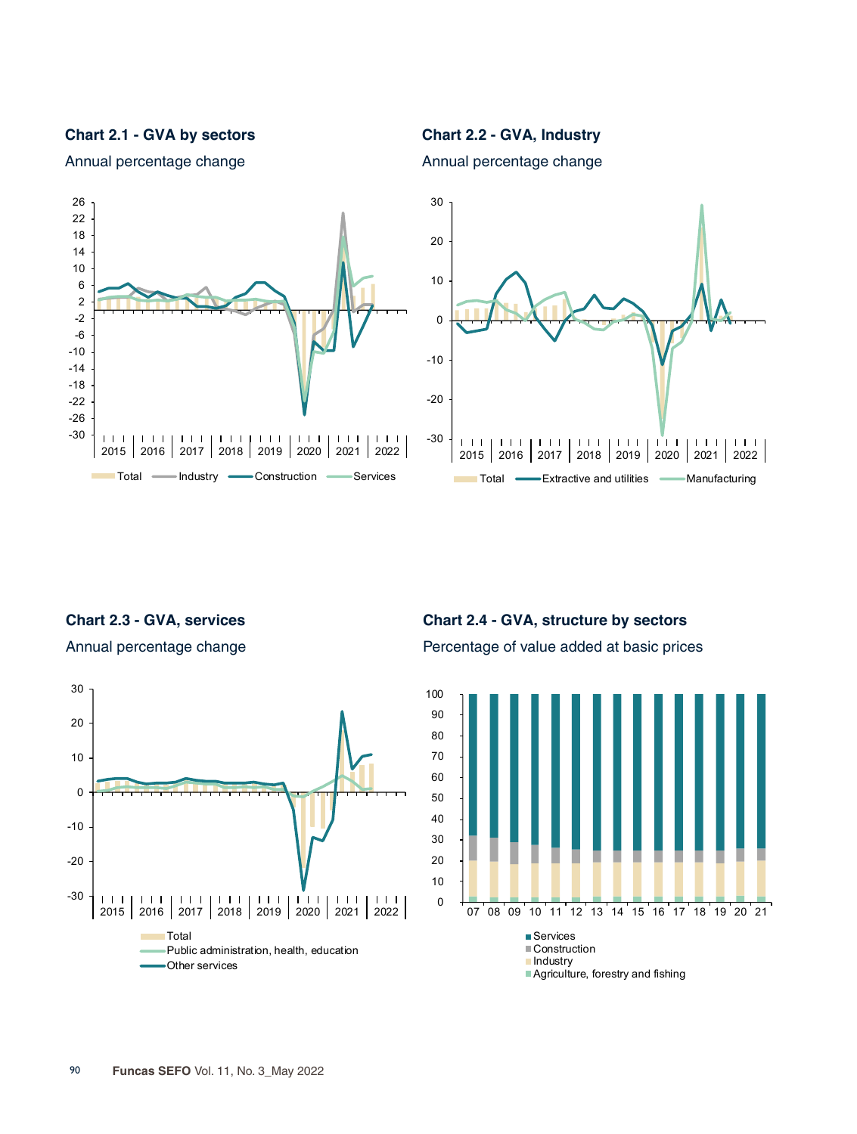**Chart 2.1 - GVA by sectors**



Annual percentage change

**Chart 2.2 - GVA, Industry**

Annual percentage change



**Chart 2.3 - GVA, services** 

Annual percentage change



**Chart 2.4 - GVA, structure by sectors** Percentage of value added at basic prices

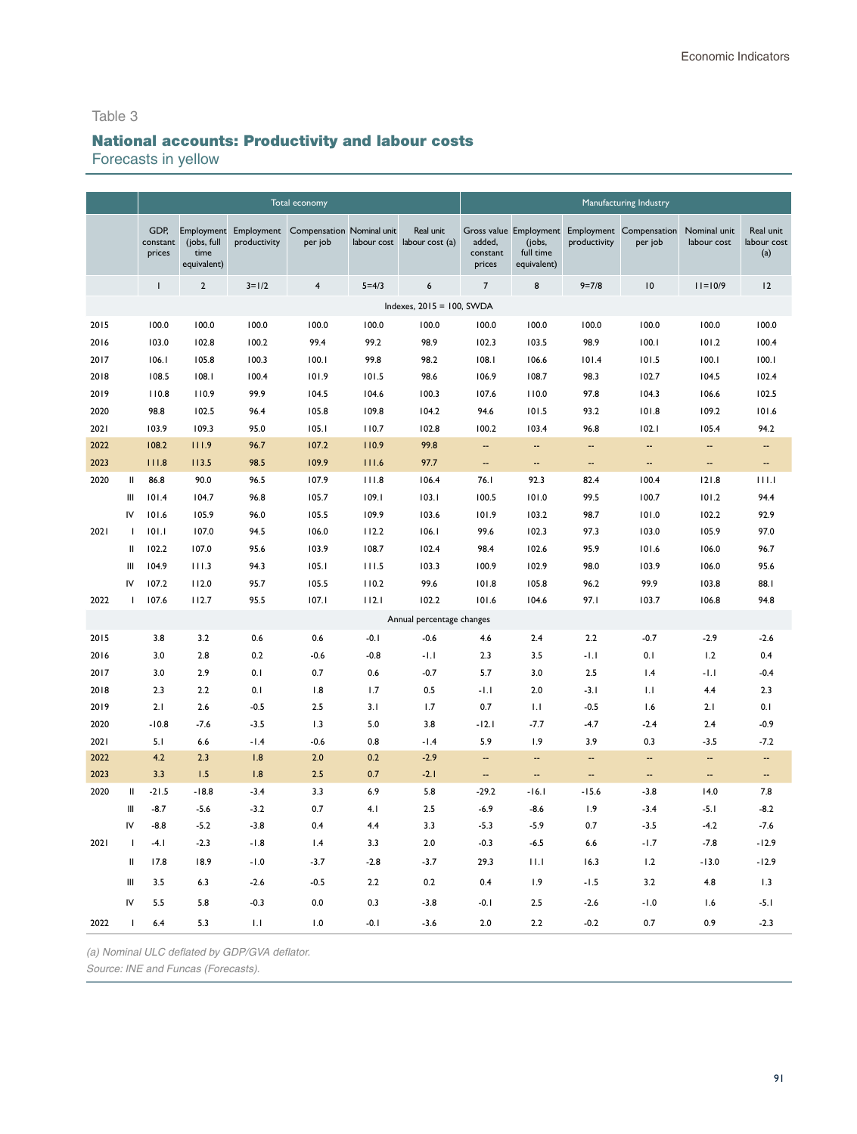# National accounts: Productivity and labour costs

Forecasts in yellow

|      |               |                            |                                                  |                            | Total economy                        |             |                              |                              |                                    |                          | Manufacturing Industry                                    |                             |                                 |
|------|---------------|----------------------------|--------------------------------------------------|----------------------------|--------------------------------------|-------------|------------------------------|------------------------------|------------------------------------|--------------------------|-----------------------------------------------------------|-----------------------------|---------------------------------|
|      |               | GDP.<br>constant<br>prices | Employment<br>(jobs, full<br>time<br>equivalent) | Employment<br>productivity | Compensation Nominal unit<br>per job | labour cost | Real unit<br>labour cost (a) | added,<br>constant<br>prices | (jobs,<br>full time<br>equivalent) | productivity             | Gross value Employment Employment Compensation<br>per job | Nominal unit<br>labour cost | Real unit<br>labour cost<br>(a) |
|      |               | т                          | $\overline{2}$                                   | $3 = 1/2$                  | $\overline{\mathbf{4}}$              | $5 = 4/3$   | $\boldsymbol{6}$             | $\overline{7}$               | 8                                  | $9 = 7/8$                | 10                                                        | $11 = 10/9$                 | 12                              |
|      |               |                            |                                                  |                            |                                      |             | Indexes, 2015 = 100, SWDA    |                              |                                    |                          |                                                           |                             |                                 |
| 2015 |               | 100.0                      | 100.0                                            | 100.0                      | 100.0                                | 100.0       | 100.0                        | 100.0                        | 100.0                              | 100.0                    | 100.0                                                     | 100.0                       | 100.0                           |
| 2016 |               | 103.0                      | 102.8                                            | 100.2                      | 99.4                                 | 99.2        | 98.9                         | 102.3                        | 103.5                              | 98.9                     | 100.1                                                     | 101.2                       | 100.4                           |
| 2017 |               | 106.1                      | 105.8                                            | 100.3                      | 100.1                                | 99.8        | 98.2                         | 108.1                        | 106.6                              | 101.4                    | 101.5                                                     | 100.1                       | 100.1                           |
| 2018 |               | 108.5                      | 108.1                                            | 100.4                      | 101.9                                | 101.5       | 98.6                         | 106.9                        | 108.7                              | 98.3                     | 102.7                                                     | 104.5                       | 102.4                           |
| 2019 |               | 110.8                      | 110.9                                            | 99.9                       | 104.5                                | 104.6       | 100.3                        | 107.6                        | 110.0                              | 97.8                     | 104.3                                                     | 106.6                       | 102.5                           |
| 2020 |               | 98.8                       | 102.5                                            | 96.4                       | 105.8                                | 109.8       | 104.2                        | 94.6                         | 101.5                              | 93.2                     | 101.8                                                     | 109.2                       | 101.6                           |
| 2021 |               | 103.9                      | 109.3                                            | 95.0                       | 105.1                                | 110.7       | 102.8                        | 100.2                        | 103.4                              | 96.8                     | 102.1                                                     | 105.4                       | 94.2                            |
| 2022 |               | 108.2                      | 111.9                                            | 96.7                       | 107.2                                | 110.9       | 99.8                         |                              | --                                 | --                       | $\overline{\phantom{a}}$                                  | --                          | --                              |
| 2023 |               | 111.8                      | 113.5                                            | 98.5                       | 109.9                                | 111.6       | 97.7                         | $\overline{\phantom{a}}$     | $\overline{\phantom{a}}$           | $\overline{\phantom{a}}$ | $\overline{\phantom{a}}$                                  | Ξ.                          | $\overline{\phantom{a}}$        |
| 2020 | Ш             | 86.8                       | 90.0                                             | 96.5                       | 107.9                                | 111.8       | 106.4                        | 76.1                         | 92.3                               | 82.4                     | 100.4                                                     | 121.8                       | 111.1                           |
|      | Ш             | 101.4                      | 104.7                                            | 96.8                       | 105.7                                | 109.1       | 103.1                        | 100.5                        | 101.0                              | 99.5                     | 100.7                                                     | 101.2                       | 94.4                            |
|      | IV            | 101.6                      | 105.9                                            | 96.0                       | 105.5                                | 109.9       | 103.6                        | 101.9                        | 103.2                              | 98.7                     | 101.0                                                     | 102.2                       | 92.9                            |
| 2021 | $\mathbf{I}$  | 101.1                      | 107.0                                            | 94.5                       | 106.0                                | 112.2       | 106.1                        | 99.6                         | 102.3                              | 97.3                     | 103.0                                                     | 105.9                       | 97.0                            |
|      | Ш             | 102.2                      | 107.0                                            | 95.6                       | 103.9                                | 108.7       | 102.4                        | 98.4                         | 102.6                              | 95.9                     | 101.6                                                     | 106.0                       | 96.7                            |
|      | Ш             | 104.9                      | 111.3                                            | 94.3                       | 105.1                                | 111.5       | 103.3                        | 100.9                        | 102.9                              | 98.0                     | 103.9                                                     | 106.0                       | 95.6                            |
|      | IV            | 107.2                      | 112.0                                            | 95.7                       | 105.5                                | 110.2       | 99.6                         | 101.8                        | 105.8                              | 96.2                     | 99.9                                                      | 103.8                       | 88.1                            |
| 2022 | $\mathbf{I}$  | 107.6                      | 112.7                                            | 95.5                       | 107.1                                | 112.1       | 102.2                        | 101.6                        | 104.6                              | 97.I                     | 103.7                                                     | 106.8                       | 94.8                            |
|      |               |                            |                                                  |                            |                                      |             | Annual percentage changes    |                              |                                    |                          |                                                           |                             |                                 |
| 2015 |               | 3.8                        | 3.2                                              | 0.6                        | 0.6                                  | $-0.1$      | $-0.6$                       | 4.6                          | 2.4                                | 2.2                      | $-0.7$                                                    | $-2.9$                      | $-2.6$                          |
| 2016 |               | 3.0                        | 2.8                                              | 0.2                        | $-0.6$                               | $-0.8$      | $-1.1$                       | 2.3                          | 3.5                                | $-1.1$                   | 0.1                                                       | 1.2                         | 0.4                             |
| 2017 |               | 3.0                        | 2.9                                              | 0.1                        | 0.7                                  | 0.6         | $-0.7$                       | 5.7                          | 3.0                                | 2.5                      | 1.4                                                       | $-1.1$                      | $-0.4$                          |
| 2018 |               | 2.3                        | 2.2                                              | 0.1                        | 1.8                                  | 1.7         | 0.5                          | $-1.1$                       | 2.0                                | $-3.1$                   | 1.1                                                       | 4.4                         | 2.3                             |
| 2019 |               | 2.1                        | 2.6                                              | $-0.5$                     | 2.5                                  | 3.1         | 1.7                          | 0.7                          | 1.1                                | $-0.5$                   | 1.6                                                       | 2.1                         | 0.1                             |
| 2020 |               | $-10.8$                    | $-7.6$                                           | $-3.5$                     | 1.3                                  | 5.0         | 3.8                          | $-12.1$                      | $-7.7$                             | $-4.7$                   | $-2.4$                                                    | 2.4                         | $-0.9$                          |
| 2021 |               | 5.1                        | 6.6                                              | $-1.4$                     | $-0.6$                               | 0.8         | $-1.4$                       | 5.9                          | 1.9                                | 3.9                      | 0.3                                                       | $-3.5$                      | $-7.2$                          |
| 2022 |               | 4.2                        | 2.3                                              | 1.8                        | 2.0                                  | 0.2         | $-2.9$                       | н.                           | н.                                 | --                       | $\overline{\phantom{a}}$                                  | --                          | --                              |
| 2023 |               | 3.3                        | 1.5                                              | 1.8                        | 2.5                                  | 0.7         | $-2.1$                       | --                           | $\overline{a}$                     | --                       | $\overline{\phantom{a}}$                                  | $\overline{\phantom{a}}$    | $\overline{\phantom{a}}$        |
| 2020 | Ш             | $-21.5$                    | $-18.8$                                          | $-3.4$                     | 3.3                                  | 6.9         | 5.8                          | $-29.2$                      | $-16.1$                            | $-15.6$                  | $-3.8$                                                    | 14.0                        | 7.8                             |
|      | Ш             | $-8.7$                     | $-5.6$                                           | $-3.2$                     | 0.7                                  | 4.1         | 2.5                          | $-6.9$                       | $-8.6$                             | 1.9                      | $-3.4$                                                    | $-5.1$                      | $-8.2$                          |
|      | IV            | $-8.8$                     | $-5.2$                                           | $-3.8$                     | 0.4                                  | 4.4         | 3.3                          | $-5.3$                       | $-5.9$                             | 0.7                      | $-3.5$                                                    | $-4.2$                      | $-7.6$                          |
| 2021 | $\mathbf{I}$  | $-4.1$                     | $-2.3$                                           | $-1.8$                     | 1.4                                  | 3.3         | 2.0                          | $-0.3$                       | $-6.5$                             | $6.6$                    | $-1.7$                                                    | $-7.8$                      | $-12.9$                         |
|      | $\mathbf{II}$ | 17.8                       | 18.9                                             | $-1.0$                     | $-3.7$                               | $-2.8$      | $-3.7$                       | 29.3                         | 11.1                               | 16.3                     | 1.2                                                       | $-13.0$                     | $-12.9$                         |
|      | Ш             | 3.5                        | 6.3                                              | $-2.6$                     | $-0.5$                               | 2.2         | 0.2                          | 0.4                          | 1.9                                | $-1.5$                   | 3.2                                                       | 4.8                         | 1.3                             |
|      | IV            | 5.5                        | 5.8                                              | $-0.3$                     | 0.0                                  | 0.3         | $-3.8$                       | $-0.1$                       | 2.5                                | $-2.6$                   | $-1.0$                                                    | 1.6                         | $-5.1$                          |
| 2022 | ı             | 6.4                        | 5.3                                              | 1.1                        | 1.0                                  | $-0.1$      | $-3.6$                       | 2.0                          | 2.2                                | $-0.2$                   | 0.7                                                       | 0.9                         | $-2.3$                          |

*(a) Nominal ULC deflated by GDP/GVA deflator.*

*Source: INE and Funcas (Forecasts).*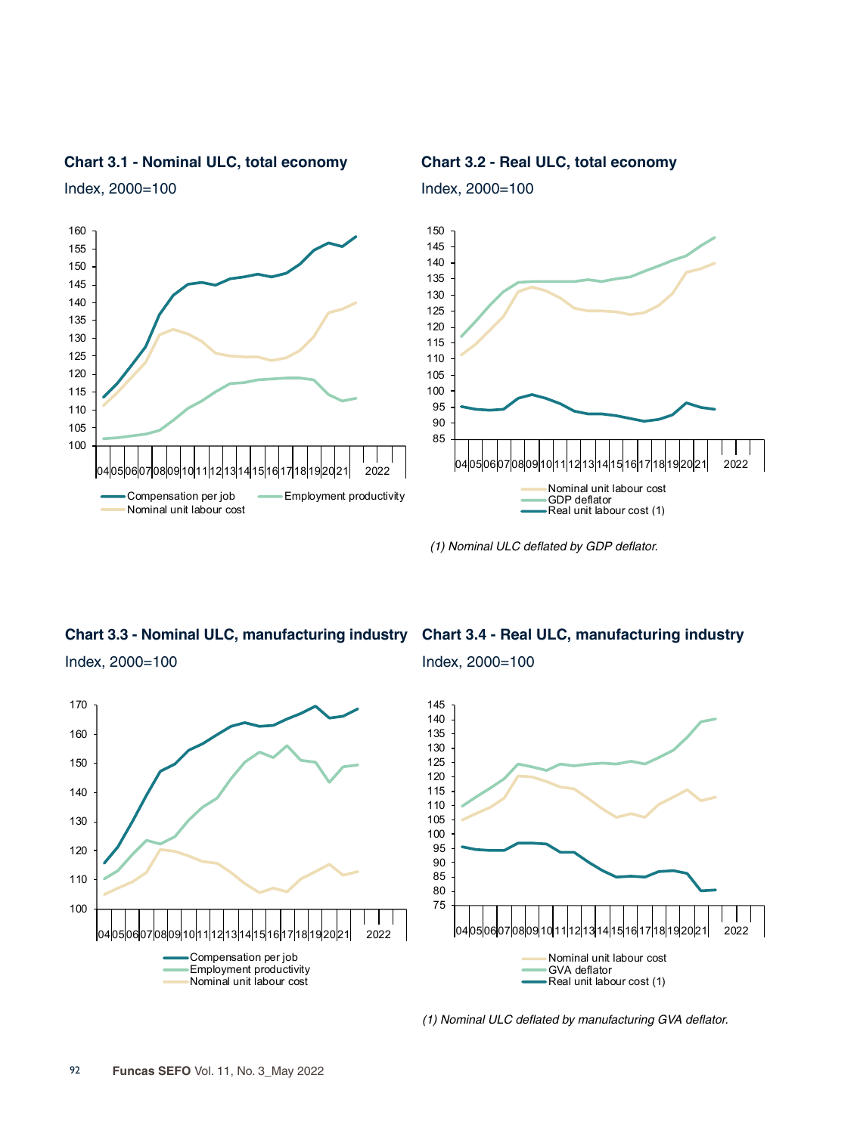

**Chart 3.1 - Nominal ULC, total economy**

Index, 2000=100

**Chart 3.2 - Real ULC, total economy**

Index, 2000=100

*(1) Nominal ULC deflated by GDP deflator.*

**Chart 3.3 - Nominal ULC, manufacturing industry** Index, 2000=100

**Chart 3.4 - Real ULC, manufacturing industry**

 2022 Compensation per job Employment productivity Nominal unit labour cost

Index, 2000=100



*(1) Nominal ULC deflated by manufacturing GVA deflator.*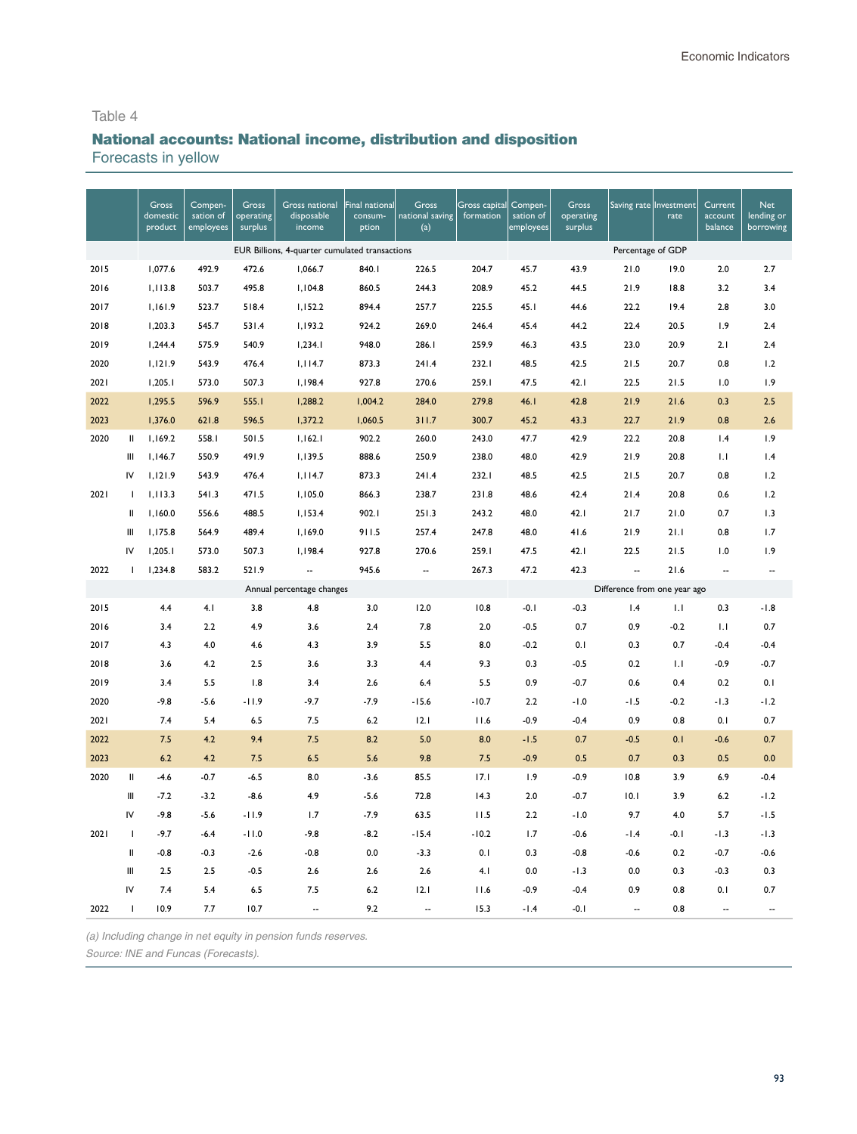# National accounts: National income, distribution and disposition

Forecasts in yellow

|      |               | <b>Gross</b><br>domestic<br>product | Compen-<br>sation of<br>employees | Gross<br>operating<br>surplus | <b>Gross national</b><br>disposable<br>income  | Final national<br>consum-<br>ption | <b>Gross</b><br>national saving<br>(a) | Gross capital<br>formation | Compen-<br>sation of<br>employees | <b>Gross</b><br>operating<br>surplus | Saving rate Investment       | rate   | Current<br>account<br>balance | <b>Net</b><br>lending or<br>borrowing |
|------|---------------|-------------------------------------|-----------------------------------|-------------------------------|------------------------------------------------|------------------------------------|----------------------------------------|----------------------------|-----------------------------------|--------------------------------------|------------------------------|--------|-------------------------------|---------------------------------------|
|      |               |                                     |                                   |                               | EUR Billions, 4-quarter cumulated transactions |                                    |                                        |                            |                                   |                                      | Percentage of GDP            |        |                               |                                       |
| 2015 |               | 1,077.6                             | 492.9                             | 472.6                         | 1,066.7                                        | 840.1                              | 226.5                                  | 204.7                      | 45.7                              | 43.9                                 | 21.0                         | 19.0   | 2.0                           | 2.7                                   |
| 2016 |               | 1,113.8                             | 503.7                             | 495.8                         | 1,104.8                                        | 860.5                              | 244.3                                  | 208.9                      | 45.2                              | 44.5                                 | 21.9                         | 18.8   | 3.2                           | 3.4                                   |
| 2017 |               | 1,161.9                             | 523.7                             | 518.4                         | 1,152.2                                        | 894.4                              | 257.7                                  | 225.5                      | 45.1                              | 44.6                                 | 22.2                         | 19.4   | 2.8                           | 3.0                                   |
| 2018 |               | 1,203.3                             | 545.7                             | 531.4                         | 1,193.2                                        | 924.2                              | 269.0                                  | 246.4                      | 45.4                              | 44.2                                 | 22.4                         | 20.5   | 1.9                           | 2.4                                   |
| 2019 |               | 1,244.4                             | 575.9                             | 540.9                         | 1,234.1                                        | 948.0                              | 286.I                                  | 259.9                      | 46.3                              | 43.5                                 | 23.0                         | 20.9   | 2.1                           | 2.4                                   |
| 2020 |               | 1,121.9                             | 543.9                             | 476.4                         | 1,114.7                                        | 873.3                              | 241.4                                  | 232.1                      | 48.5                              | 42.5                                 | 21.5                         | 20.7   | 0.8                           | 1.2                                   |
| 2021 |               | 1,205.1                             | 573.0                             | 507.3                         | 1,198.4                                        | 927.8                              | 270.6                                  | 259.1                      | 47.5                              | 42.1                                 | 22.5                         | 21.5   | 1.0                           | 1.9                                   |
| 2022 |               | 1,295.5                             | 596.9                             | 555.1                         | 1,288.2                                        | 1,004.2                            | 284.0                                  | 279.8                      | 46.1                              | 42.8                                 | 21.9                         | 21.6   | 0.3                           | 2.5                                   |
| 2023 |               | 1,376.0                             | 621.8                             | 596.5                         | 1,372.2                                        | 1,060.5                            | 311.7                                  | 300.7                      | 45.2                              | 43.3                                 | 22.7                         | 21.9   | 0.8                           | 2.6                                   |
| 2020 | Ш             | 1,169.2                             | 558.1                             | 501.5                         | 1,162.1                                        | 902.2                              | 260.0                                  | 243.0                      | 47.7                              | 42.9                                 | 22.2                         | 20.8   | 1.4                           | 1.9                                   |
|      | Ш             | 1,146.7                             | 550.9                             | 491.9                         | 1,139.5                                        | 888.6                              | 250.9                                  | 238.0                      | 48.0                              | 42.9                                 | 21.9                         | 20.8   | 1.1                           | 1.4                                   |
|      | IV            | 1,121.9                             | 543.9                             | 476.4                         | 1,114.7                                        | 873.3                              | 241.4                                  | 232.1                      | 48.5                              | 42.5                                 | 21.5                         | 20.7   | 0.8                           | 1.2                                   |
| 2021 | J.            | 1,113.3                             | 541.3                             | 471.5                         | 1,105.0                                        | 866.3                              | 238.7                                  | 231.8                      | 48.6                              | 42.4                                 | 21.4                         | 20.8   | 0.6                           | 1.2                                   |
|      | $\mathbf{II}$ | 1,160.0                             | 556.6                             | 488.5                         | 1,153.4                                        | 902.I                              | 251.3                                  | 243.2                      | 48.0                              | 42.1                                 | 21.7                         | 21.0   | 0.7                           | 1.3                                   |
|      | Ш             | 1,175.8                             | 564.9                             | 489.4                         | 1,169.0                                        | 911.5                              | 257.4                                  | 247.8                      | 48.0                              | 41.6                                 | 21.9                         | 21.1   | 0.8                           | 1.7                                   |
|      | IV            | 1,205.1                             | 573.0                             | 507.3                         | 1,198.4                                        | 927.8                              | 270.6                                  | 259.I                      | 47.5                              | 42.1                                 | 22.5                         | 21.5   | 1.0                           | 1.9                                   |
| 2022 | $\mathbf{I}$  | 1,234.8                             | 583.2                             | 521.9                         | --                                             | 945.6                              | --                                     | 267.3                      | 47.2                              | 42.3                                 | Ξ.                           | 21.6   | $\sim$                        | $\sim$                                |
|      |               |                                     |                                   |                               | Annual percentage changes                      |                                    |                                        |                            |                                   |                                      | Difference from one year ago |        |                               |                                       |
| 2015 |               | 4.4                                 | 4.1                               | 3.8                           | 4.8                                            | 3.0                                | 12.0                                   | 10.8                       | $-0.1$                            | $-0.3$                               | 1.4                          | 1.1    | 0.3                           | $-1.8$                                |
| 2016 |               | 3.4                                 | 2.2                               | 4.9                           | 3.6                                            | 2.4                                | 7.8                                    | 2.0                        | $-0.5$                            | 0.7                                  | 0.9                          | $-0.2$ | 1.1                           | 0.7                                   |
| 2017 |               | 4.3                                 | 4.0                               | 4.6                           | 4.3                                            | 3.9                                | 5.5                                    | 8.0                        | $-0.2$                            | 0.1                                  | 0.3                          | 0.7    | $-0.4$                        | $-0.4$                                |
| 2018 |               | 3.6                                 | 4.2                               | 2.5                           | 3.6                                            | 3.3                                | 4.4                                    | 9.3                        | 0.3                               | $-0.5$                               | 0.2                          | 1.1    | $-0.9$                        | $-0.7$                                |
| 2019 |               | 3.4                                 | 5.5                               | 1.8                           | 3.4                                            | 2.6                                | 6.4                                    | 5.5                        | 0.9                               | $-0.7$                               | 0.6                          | 0.4    | 0.2                           | 0.1                                   |
| 2020 |               | $-9.8$                              | $-5.6$                            | $-11.9$                       | $-9.7$                                         | $-7.9$                             | $-15.6$                                | $-10.7$                    | 2.2                               | $-1.0$                               | $-1.5$                       | $-0.2$ | $-1.3$                        | $-1.2$                                |
| 2021 |               | 7.4                                 | 5.4                               | 6.5                           | 7.5                                            | 6.2                                | 12.1                                   | 11.6                       | $-0.9$                            | $-0.4$                               | 0.9                          | 0.8    | 0.1                           | 0.7                                   |
| 2022 |               | 7.5                                 | 4.2                               | 9.4                           | 7.5                                            | 8.2                                | 5.0                                    | 8.0                        | $-1.5$                            | 0.7                                  | $-0.5$                       | 0.1    | $-0.6$                        | 0.7                                   |
| 2023 |               | 6.2                                 | 4.2                               | 7.5                           | 6.5                                            | 5.6                                | 9.8                                    | 7.5                        | $-0.9$                            | 0.5                                  | 0.7                          | 0.3    | 0.5                           | 0.0                                   |
| 2020 | $\sf II$      | $-4.6$                              | $-0.7$                            | $-6.5$                        | 8.0                                            | $-3.6$                             | 85.5                                   | 17.1                       | 1.9                               | $-0.9$                               | 10.8                         | 3.9    | 6.9                           | $-0.4$                                |
|      | Ш             | $-7.2$                              | $-3.2$                            | $-8.6$                        | 4.9                                            | $-5.6$                             | 72.8                                   | 14.3                       | 2.0                               | $-0.7$                               | 10.1                         | 3.9    | 6.2                           | $-1.2$                                |
|      | IV            | $-9.8$                              | $-5.6$                            | $-11.9$                       | 1.7                                            | $-7.9$                             | 63.5                                   | 11.5                       | 2.2                               | $-1.0$                               | 9.7                          | 4.0    | 5.7                           | $-1.5$                                |
| 2021 | $\mathbf{I}$  | $-9.7$                              | $-6.4$                            | $-11.0$                       | $-9.8$                                         | $-8.2$                             | $-15.4$                                | $-10.2$                    | 1.7                               | $-0.6$                               | $-1.4$                       | $-0.1$ | $-1.3$                        | $-1.3$                                |
|      | $\sf II$      | $-0.8$                              | $-0.3$                            | $-2.6$                        | $-0.8$                                         | 0.0                                | $-3.3$                                 | 0.1                        | 0.3                               | $-0.8$                               | $-0.6$                       | 0.2    | $-0.7$                        | $-0.6$                                |
|      | Ш             | 2.5                                 | 2.5                               | $-0.5$                        | 2.6                                            | 2.6                                | 2.6                                    | 4.1                        | 0.0                               | $-1.3$                               | 0.0                          | 0.3    | $-0.3$                        | 0.3                                   |
|      | IV            | 7.4                                 | 5.4                               | 6.5                           | 7.5                                            | 6.2                                | 12.1                                   | 11.6                       | $-0.9$                            | $-0.4$                               | 0.9                          | 0.8    | 0.1                           | 0.7                                   |
| 2022 | I             | 10.9                                | 7.7                               | 10.7                          | $\overline{a}$                                 | 9.2                                |                                        | 15.3                       | $-1.4$                            | $-0.1$                               | -−                           | 0.8    | $\overline{\phantom{a}}$      |                                       |

*(a) Including change in net equity in pension funds reserves.*

*Source: INE* and Funcas *(Forecasts).*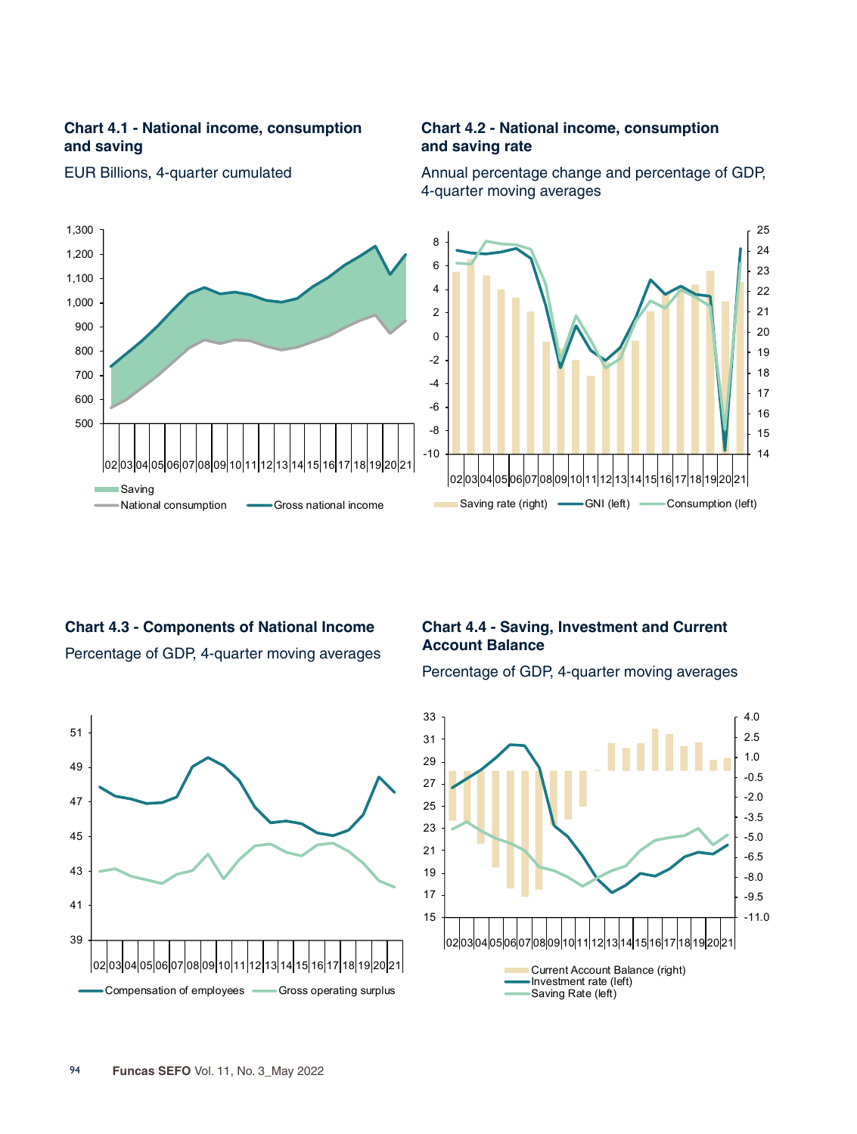## **Chart 4.1 - National income, consumption and saving**



EUR Billions, 4-quarter cumulated

#### **Chart 4.2 - National income, consumption and saving rate**

Annual percentage change and percentage of GDP, 4-quarter moving averages



# **Chart 4.3 - Components of National Income**  Percentage of GDP, 4-quarter moving averages



# **Chart 4.4 - Saving, Investment and Current Account Balance**

Percentage of GDP, 4-quarter moving averages

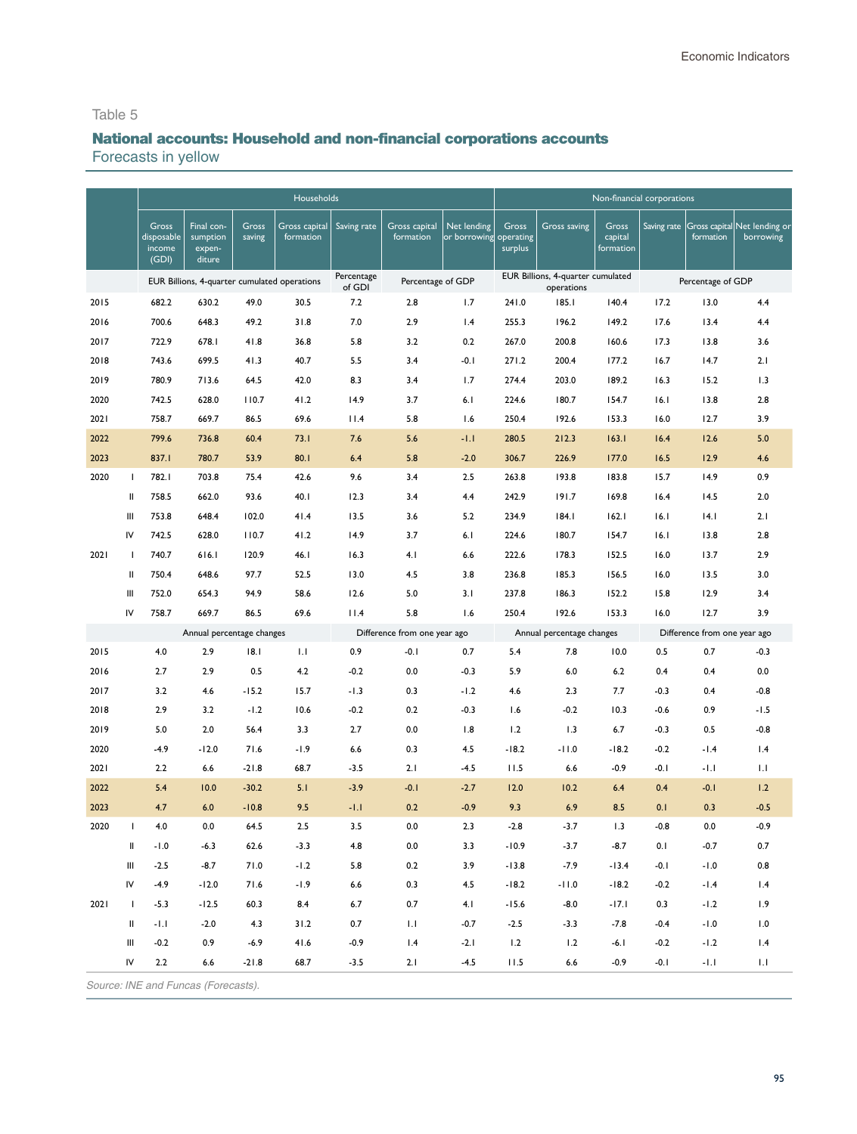# National accounts: Household and non-financial corporations accounts

Forecasts in yellow

|      |               |                                        |                                              |                 | Households                 |                      |                                        |                                       |                  |                                                 |                               | Non-financial corporations |                                     |                                                       |
|------|---------------|----------------------------------------|----------------------------------------------|-----------------|----------------------------|----------------------|----------------------------------------|---------------------------------------|------------------|-------------------------------------------------|-------------------------------|----------------------------|-------------------------------------|-------------------------------------------------------|
|      |               | Gross<br>disposable<br>income<br>(GDI) | Final con-<br>sumption<br>expen-<br>diture   | Gross<br>saving | Gross capital<br>formation | Saving rate          | Gross capital<br>formation             | Net lending<br>or borrowing operating | Gross<br>surplus | Gross saving                                    | Gross<br>capital<br>formation |                            | formation                           | Saving rate Gross capital Net lending or<br>borrowing |
|      |               |                                        | EUR Billions, 4-quarter cumulated operations |                 |                            | Percentage<br>of GDI | Percentage of GDP                      |                                       |                  | EUR Billions, 4-quarter cumulated<br>operations |                               |                            | Percentage of GDP                   |                                                       |
| 2015 |               | 682.2                                  | 630.2                                        | 49.0            | 30.5                       | 7.2                  | 2.8                                    | 1.7                                   | 241.0            | 185.1                                           | 140.4                         | 17.2                       | 13.0                                | 4.4                                                   |
| 2016 |               | 700.6                                  | 648.3                                        | 49.2            | 31.8                       | 7.0                  | 2.9                                    | 1.4                                   | 255.3            | 196.2                                           | 149.2                         | 17.6                       | 13.4                                | 4.4                                                   |
| 2017 |               | 722.9                                  | 678.I                                        | 41.8            | 36.8                       | 5.8                  | 3.2                                    | 0.2                                   | 267.0            | 200.8                                           | 160.6                         | 17.3                       | 13.8                                | 3.6                                                   |
| 2018 |               | 743.6                                  | 699.5                                        | 41.3            | 40.7                       | 5.5                  | 3.4                                    | $-0.1$                                | 271.2            | 200.4                                           | 177.2                         | 16.7                       | 14.7                                | 2.1                                                   |
| 2019 |               | 780.9                                  | 713.6                                        | 64.5            | 42.0                       | 8.3                  | 3.4                                    | 1.7                                   | 274.4            | 203.0                                           | 189.2                         | 16.3                       | 15.2                                | 1.3                                                   |
| 2020 |               | 742.5                                  | 628.0                                        | 110.7           | 41.2                       | 14.9                 | 3.7                                    | 6.1                                   | 224.6            | 180.7                                           | 154.7                         | 16.1                       | 13.8                                | 2.8                                                   |
| 2021 |               | 758.7                                  | 669.7                                        | 86.5            | 69.6                       | 11.4                 | 5.8                                    | 1.6                                   | 250.4            | 192.6                                           | 153.3                         | 16.0                       | 12.7                                | 3.9                                                   |
| 2022 |               | 799.6                                  | 736.8                                        | 60.4            | 73.1                       | 7.6                  | 5.6                                    | $-1.1$                                | 280.5            | 212.3                                           | 163.1                         | 16.4                       | 12.6                                | 5.0                                                   |
| 2023 |               | 837.I                                  | 780.7                                        | 53.9            | 80.1                       | 6.4                  | 5.8                                    | $-2.0$                                | 306.7            | 226.9                                           | 177.0                         | 16.5                       | 12.9                                | 4.6                                                   |
| 2020 | $\mathbf{I}$  | 782.I                                  | 703.8                                        | 75.4            | 42.6                       | 9.6                  | 3.4                                    | 2.5                                   | 263.8            | 193.8                                           | 183.8                         | 15.7                       | 14.9                                | 0.9                                                   |
|      | Ш             | 758.5                                  | 662.0                                        | 93.6            | 40.1                       | 12.3                 | 3.4                                    | 4.4                                   | 242.9            | 191.7                                           | 169.8                         | 16.4                       | 14.5                                | 2.0                                                   |
|      | Ш             | 753.8                                  | 648.4                                        | 102.0           | 41.4                       | 13.5                 | 3.6                                    | 5.2                                   | 234.9            | 184.1                                           | 162.1                         | 16.1                       | 4.1                                 | 2.1                                                   |
|      | IV            | 742.5                                  | 628.0                                        | 110.7           | 41.2                       | 14.9                 | 3.7                                    | 6.1                                   | 224.6            | 180.7                                           | 154.7                         | 16.1                       | 13.8                                | 2.8                                                   |
| 2021 | -1            | 740.7                                  | 616.1                                        | 120.9           | 46.1                       | 16.3                 | 4.1                                    | 6.6                                   | 222.6            | 178.3                                           | 152.5                         | 16.0                       | 13.7                                | 2.9                                                   |
|      | Ш             | 750.4                                  | 648.6                                        | 97.7            | 52.5                       | 13.0                 | 4.5                                    | 3.8                                   | 236.8            | 185.3                                           | 156.5                         | 16.0                       | 13.5                                | 3.0                                                   |
|      | Ш             | 752.0                                  | 654.3                                        | 94.9            | 58.6                       | 12.6                 | 5.0                                    | 3.1                                   | 237.8            | 186.3                                           | 152.2                         | 15.8                       | 12.9                                | 3.4                                                   |
|      | IV            | 758.7                                  | 669.7                                        | 86.5            | 69.6                       | 11.4                 | 5.8                                    | 1.6                                   | 250.4            | 192.6                                           | 153.3                         | 16.0                       | 12.7                                | 3.9                                                   |
| 2015 |               | 4.0                                    | Annual percentage changes<br>2.9             | 18.1            | 1.1                        | 0.9                  | Difference from one year ago<br>$-0.1$ | 0.7                                   | 5.4              | Annual percentage changes<br>7.8                | 10.0                          | 0.5                        | Difference from one year ago<br>0.7 | $-0.3$                                                |
| 2016 |               | 2.7                                    | 2.9                                          | 0.5             | 4.2                        | $-0.2$               | 0.0                                    | $-0.3$                                | 5.9              | 6.0                                             | 6.2                           | 0.4                        | 0.4                                 | 0.0                                                   |
| 2017 |               | 3.2                                    | 4.6                                          | $-15.2$         | 15.7                       | $-1.3$               | 0.3                                    | $-1.2$                                | 4.6              | 2.3                                             | 7.7                           | $-0.3$                     | 0.4                                 | $-0.8$                                                |
| 2018 |               | 2.9                                    | 3.2                                          | $-1.2$          | 10.6                       | $-0.2$               | 0.2                                    | $-0.3$                                | 1.6              | $-0.2$                                          | 10.3                          | $-0.6$                     | 0.9                                 | $-1.5$                                                |
| 2019 |               | 5.0                                    | 2.0                                          | 56.4            | 3.3                        | 2.7                  | 0.0                                    | 1.8                                   | 1.2              | 1.3                                             | 6.7                           | $-0.3$                     | 0.5                                 | $-0.8$                                                |
| 2020 |               | $-4.9$                                 | $-12.0$                                      | 71.6            | $-1.9$                     | 6.6                  | 0.3                                    | 4.5                                   | $-18.2$          | $-11.0$                                         | $-18.2$                       | $-0.2$                     | $-1.4$                              | 1.4                                                   |
| 2021 |               | 2.2                                    | 6.6                                          | $-21.8$         | 68.7                       | $-3.5$               | 2.1                                    | $-4.5$                                | 11.5             | 6.6                                             | $-0.9$                        | $-0.1$                     | -1.1                                | 1.1                                                   |
| 2022 |               | 5.4                                    | 10.0                                         | $-30.2$         | 5.1                        | $-3.9$               | $-0.1$                                 | $-2.7$                                | 12.0             | 10.2                                            | 6.4                           | 0.4                        | $-0.1$                              | 1.2                                                   |
| 2023 |               | 4.7                                    | 6.0                                          | $-10.8$         | 9.5                        | $-1.1$               | 0.2                                    | $-0.9$                                | 9.3              | 6.9                                             | 8.5                           | 0.1                        | 0.3                                 | $-0.5$                                                |
| 2020 | $\mathbf{I}$  | 4.0                                    | 0.0                                          | 64.5            | 2.5                        | 3.5                  | 0.0                                    | 2.3                                   | $-2.8$           | $-3.7$                                          | 1.3                           | $-0.8$                     | 0.0                                 | $-0.9$                                                |
|      | $\mathbf{II}$ | $-1.0$                                 | $-6.3$                                       | 62.6            | $-3.3$                     | 4.8                  | 0.0                                    | 3.3                                   | $-10.9$          | $-3.7$                                          | $-8.7$                        | 0.1                        | $-0.7$                              | 0.7                                                   |
|      | Ш             | $-2.5$                                 | $-8.7$                                       | 71.0            | $-1.2\,$                   | 5.8                  | 0.2                                    | 3.9                                   | $-13.8$          | $-7.9$                                          | $-13.4$                       | $-0.1$                     | $-1.0$                              | 0.8                                                   |
|      | IV            | $-4.9$                                 | $-12.0$                                      | 71.6            | $-1.9$                     | 6.6                  | 0.3                                    | 4.5                                   | $-18.2$          | $-11.0$                                         | $-18.2$                       | $-0.2$                     | $-1.4$                              | 1.4                                                   |
| 2021 | $\mathbf{I}$  | $-5.3$                                 | $-12.5$                                      | 60.3            | 8.4                        | $6.7$                | 0.7                                    | 4.1                                   | $-15.6$          | $-8.0$                                          | $-17.1$                       | 0.3                        | $-1.2$                              | 1.9                                                   |
|      | Ш             | $-1.1$                                 | $-2.0$                                       | 4.3             | 31.2                       | 0.7                  | 1.1                                    | $-0.7$                                | $-2.5$           | $-3.3$                                          | $-7.8$                        | $-0.4$                     | $-1.0$                              | 1.0                                                   |
|      | Ш             | $-0.2$                                 | 0.9                                          | $-6.9$          | 41.6                       | $-0.9$               | 1.4                                    | $-2.1$                                | 1.2              | 1.2                                             | $-6.1$                        | $-0.2$                     | $-1.2$                              | 1.4                                                   |
|      | IV            | 2.2                                    | $6.6\,$                                      | $-21.8$         | 68.7                       | $-3.5$               | 2.1                                    | $-4.5$                                | 11.5             | $6.6$                                           | $-0.9$                        | $-0.1$                     | $-1.1$                              | 1.1                                                   |
|      |               |                                        | Source: INE and Funcas (Forecasts).          |                 |                            |                      |                                        |                                       |                  |                                                 |                               |                            |                                     |                                                       |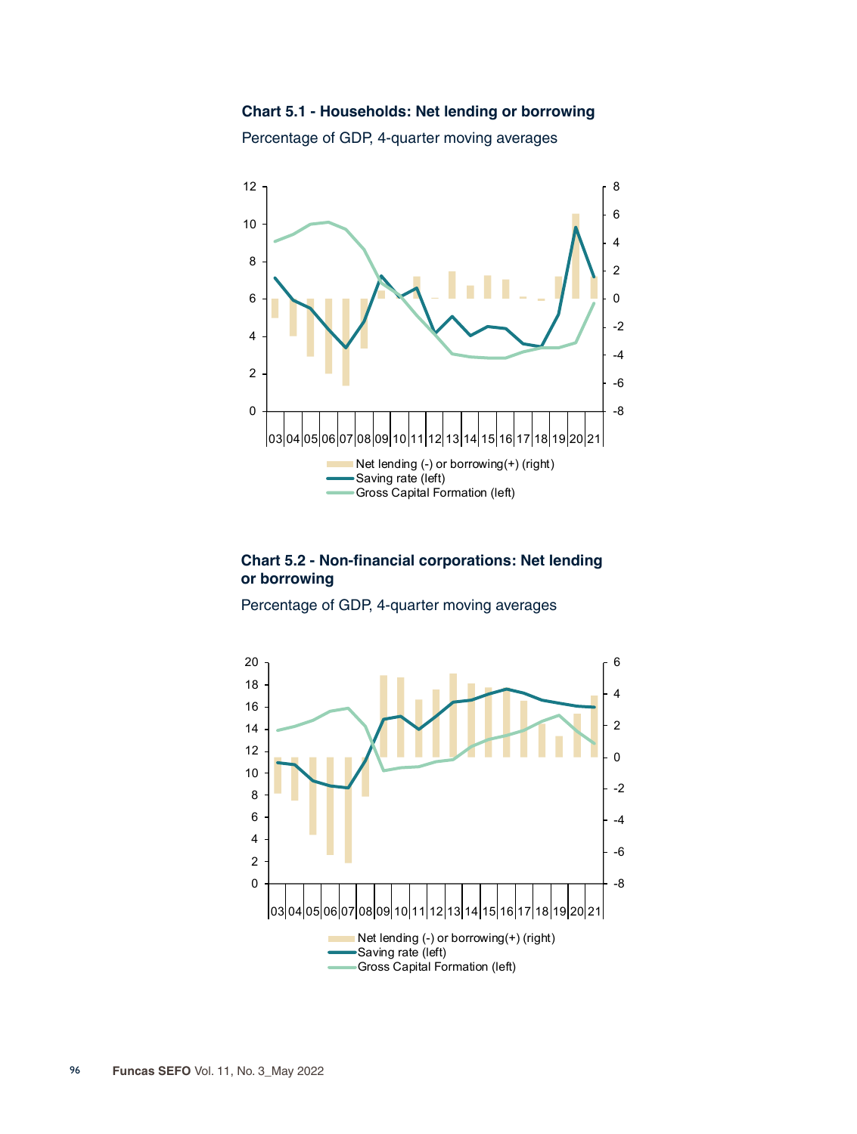**Chart 5.1 - Households: Net lending or borrowing**





#### **Chart 5.2 - Non-financial corporations: Net lending or borrowing**

Percentage of GDP, 4-quarter moving averages

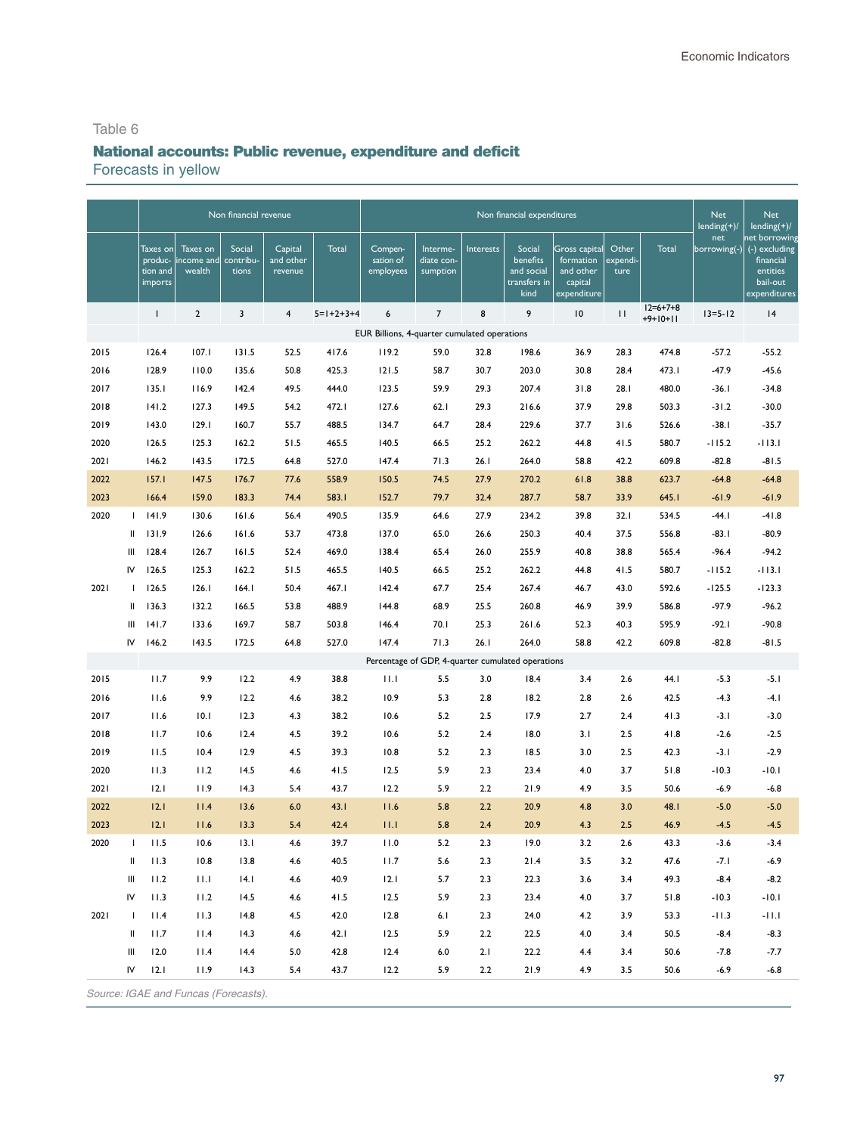# National accounts: Public revenue, expenditure and deficit Forecasts in yellow

|      |              |                      |                                      | Non financial revenue |                         |             |                                                   |                        |           | Non financial expenditures         |                                     |                   |                                | <b>Net</b><br>$lending(+)/$ | Net<br>$lending(+)/$                        |
|------|--------------|----------------------|--------------------------------------|-----------------------|-------------------------|-------------|---------------------------------------------------|------------------------|-----------|------------------------------------|-------------------------------------|-------------------|--------------------------------|-----------------------------|---------------------------------------------|
|      |              | Taxes on <br>produc- | Taxes on<br>ncome and                | Social<br>contribu-   | Capital<br>and other    | Total       | Compen-<br>sation of                              | Interme-<br>diate con- | Interests | Social<br>benefits                 | Gross capital<br>formation          | Other<br>expendi- | Total                          | net<br>borrowing(-)         | net borrowing<br>(-) excluding<br>financial |
|      |              | tion and<br>imports  | wealth                               | tions                 | revenue                 |             | employees                                         | sumption               |           | and social<br>transfers in<br>kind | and other<br>capital<br>expenditure | ture              |                                |                             | entities<br>bail-out<br>expenditures        |
|      |              | L                    | $\overline{2}$                       | 3                     | $\overline{\mathbf{4}}$ | $5=1+2+3+4$ | 6                                                 | $\overline{7}$         | 8         | 9                                  | 10                                  | П                 | $12 = 6 + 7 + 8$<br>$+9+10+11$ | $13 = 5 - 12$               | 4                                           |
|      |              |                      |                                      |                       |                         |             | EUR Billions, 4-quarter cumulated operations      |                        |           |                                    |                                     |                   |                                |                             |                                             |
| 2015 |              | 126.4                | 107.1                                | 131.5                 | 52.5                    | 417.6       | 119.2                                             | 59.0                   | 32.8      | 198.6                              | 36.9                                | 28.3              | 474.8                          | $-57.2$                     | $-55.2$                                     |
| 2016 |              | 128.9                | 110.0                                | 135.6                 | 50.8                    | 425.3       | 121.5                                             | 58.7                   | 30.7      | 203.0                              | 30.8                                | 28.4              | 473.I                          | $-47.9$                     | $-45.6$                                     |
| 2017 |              | 135.1                | 116.9                                | 142.4                 | 49.5                    | 444.0       | 123.5                                             | 59.9                   | 29.3      | 207.4                              | 31.8                                | 28.1              | 480.0                          | $-36.1$                     | $-34.8$                                     |
| 2018 |              | 141.2                | 127.3                                | 149.5                 | 54.2                    | 472.I       | 127.6                                             | 62.1                   | 29.3      | 216.6                              | 37.9                                | 29.8              | 503.3                          | $-31.2$                     | $-30.0$                                     |
| 2019 |              | 143.0                | 129.1                                | 160.7                 | 55.7                    | 488.5       | 134.7                                             | 64.7                   | 28.4      | 229.6                              | 37.7                                | 31.6              | 526.6                          | $-38.1$                     | $-35.7$                                     |
| 2020 |              | 126.5                | 125.3                                | 162.2                 | 51.5                    | 465.5       | 140.5                                             | 66.5                   | 25.2      | 262.2                              | 44.8                                | 41.5              | 580.7                          | $-115.2$                    | $-113.1$                                    |
| 2021 |              | 146.2                | 143.5                                | 172.5                 | 64.8                    | 527.0       | 147.4                                             | 71.3                   | 26.1      | 264.0                              | 58.8                                | 42.2              | 609.8                          | $-82.8$                     | $-81.5$                                     |
| 2022 |              | 157.1                | 147.5                                | 176.7                 | 77.6                    | 558.9       | 150.5                                             | 74.5                   | 27.9      | 270.2                              | 61.8                                | 38.8              | 623.7                          | $-64.8$                     | $-64.8$                                     |
| 2023 |              | 166.4                | 159.0                                | 183.3                 | 74.4                    | 583.I       | 152.7                                             | 79.7                   | 32.4      | 287.7                              | 58.7                                | 33.9              | 645.I                          | $-61.9$                     | $-61.9$                                     |
| 2020 | $\mathbf{L}$ | 141.9                | 130.6                                | 161.6                 | 56.4                    | 490.5       | 135.9                                             | 64.6                   | 27.9      | 234.2                              | 39.8                                | 32.1              | 534.5                          | $-44.1$                     | $-41.8$                                     |
|      | Ш            | 131.9                | 126.6                                | 161.6                 | 53.7                    | 473.8       | 137.0                                             | 65.0                   | 26.6      | 250.3                              | 40.4                                | 37.5              | 556.8                          | $-83.1$                     | $-80.9$                                     |
|      | Ш            | 128.4                | 126.7                                | 161.5                 | 52.4                    | 469.0       | 138.4                                             | 65.4                   | 26.0      | 255.9                              | 40.8                                | 38.8              | 565.4                          | $-96.4$                     | $-94.2$                                     |
|      | IV           | 126.5                | 125.3                                | 162.2                 | 51.5                    | 465.5       | 140.5                                             | 66.5                   | 25.2      | 262.2                              | 44.8                                | 41.5              | 580.7                          | $-115.2$                    | $-113.1$                                    |
| 2021 | $\mathbf{L}$ | 126.5                | 126.1                                | 164.1                 | 50.4                    | 467.I       | 142.4                                             | 67.7                   | 25.4      | 267.4                              | 46.7                                | 43.0              | 592.6                          | $-125.5$                    | $-123.3$                                    |
|      | Ш            | 136.3                | 132.2                                | 166.5                 | 53.8                    | 488.9       | 144.8                                             | 68.9                   | 25.5      | 260.8                              | 46.9                                | 39.9              | 586.8                          | $-97.9$                     | $-96.2$                                     |
|      | Ш            | 141.7                | 133.6                                | 169.7                 | 58.7                    | 503.8       | 146.4                                             | 70.1                   | 25.3      | 261.6                              | 52.3                                | 40.3              | 595.9                          | $-92.1$                     | $-90.8$                                     |
|      | IV           | 146.2                | 143.5                                | 172.5                 | 64.8                    | 527.0       | 147.4                                             | 71.3                   | 26.1      | 264.0                              | 58.8                                | 42.2              | 609.8                          | $-82.8$                     | $-81.5$                                     |
|      |              |                      |                                      |                       |                         |             | Percentage of GDP, 4-quarter cumulated operations |                        |           |                                    |                                     |                   |                                |                             |                                             |
| 2015 |              | 11.7                 | 9.9                                  | 12.2                  | 4.9                     | 38.8        | 11.1                                              | 5.5                    | 3.0       | 18.4                               | 3.4                                 | 2.6               | 44. I                          | $-5.3$                      | $-5.1$                                      |
| 2016 |              | 11.6                 | 9.9                                  | 12.2                  | 4.6                     | 38.2        | 10.9                                              | 5.3                    | 2.8       | 18.2                               | 2.8                                 | 2.6               | 42.5                           | $-4.3$                      | -4. I                                       |
| 2017 |              | 11.6                 | 10.1                                 | 12.3                  | 4.3                     | 38.2        | 10.6                                              | 5.2                    | 2.5       | 17.9                               | 2.7                                 | 2.4               | 41.3                           | -3. I                       | $-3.0$                                      |
| 2018 |              | 11.7                 | 10.6                                 | 12.4                  | 4.5                     | 39.2        | 10.6                                              | 5.2                    | 2.4       | 18.0                               | 3.1                                 | 2.5               | 41.8                           | $-2.6$                      | $-2.5$                                      |
| 2019 |              | 11.5                 | 10.4                                 | 12.9                  | 4.5                     | 39.3        | 10.8                                              | 5.2                    | 2.3       | 18.5                               | 3.0                                 | 2.5               | 42.3                           | $-3.1$                      | $-2.9$                                      |
| 2020 |              | 11.3                 | 11.2                                 | 14.5                  | 4.6                     | 41.5        | 12.5                                              | 5.9                    | 2.3       | 23.4                               | 4.0                                 | 3.7               | 51.8                           | $-10.3$                     | -10.1                                       |
| 2021 |              | 12.1                 | 11.9                                 | 14.3                  | 5.4                     | 43.7        | 12.2                                              | 5.9                    | 2.2       | 21.9                               | 4.9                                 | 3.5               | 50.6                           | -6.9                        | $-6.8$                                      |
| 2022 |              | 12.1                 | 11.4                                 | 13.6                  | 6.0                     | 43.1        | 11.6                                              | 5.8                    | 2.2       | 20.9                               | 4.8                                 | 3.0               | 48.1                           | $-5.0$                      | $-5.0$                                      |
| 2023 |              | 12.1                 | 11.6                                 | 13.3                  | 5.4                     | 42.4        | 11.1                                              | 5.8                    | 2.4       | 20.9                               | 4.3                                 | 2.5               | 46.9                           | $-4.5$                      | $-4.5$                                      |
| 2020 | $\mathbf{I}$ | 11.5                 | 10.6                                 | 13.1                  | 4.6                     | 39.7        | 11.0                                              | 5.2                    | 2.3       | 19.0                               | 3.2                                 | 2.6               | 43.3                           | $-3.6$                      | $-3.4$                                      |
|      | Ш            | 11.3                 | 10.8                                 | 13.8                  | 4.6                     | 40.5        | 11.7                                              | 5.6                    | 2.3       | 21.4                               | 3.5                                 | 3.2               | 47.6                           | $-7.1$                      | $-6.9$                                      |
|      | Ш            | 11.2                 | 11.1                                 | 4.1                   | 4.6                     | 40.9        | 12.1                                              | 5.7                    | 2.3       | 22.3                               | 3.6                                 | 3.4               | 49.3                           | $-8.4$                      | $-8.2$                                      |
|      | IV           | 11.3                 | 11.2                                 | 14.5                  | 4.6                     | 41.5        | 12.5                                              | 5.9                    | 2.3       | 23.4                               | 4.0                                 | 3.7               | 51.8                           | $-10.3$                     | $-10.1$                                     |
| 2021 | J.           | 11.4                 | 11.3                                 | 14.8                  | 4.5                     | 42.0        | 12.8                                              | 6.1                    | 2.3       | 24.0                               | 4.2                                 | 3.9               | 53.3                           | $-11.3$                     | $-11.1$                                     |
|      | Ш            | 11.7                 | 11.4                                 | 14.3                  | 4.6                     | 42.1        | 12.5                                              | 5.9                    | 2.2       | 22.5                               | 4.0                                 | 3.4               | 50.5                           | $-8.4$                      | $-8.3$                                      |
|      | Ш            | 12.0                 | 11.4                                 | 14.4                  | 5.0                     | 42.8        | 12.4                                              | 6.0                    | 2.1       | 22.2                               | 4.4                                 | 3.4               | 50.6                           | $-7.8$                      | $-7.7$                                      |
|      | IV           | 12.1                 | 11.9                                 | 14.3                  | 5.4                     | 43.7        | 12.2                                              | 5.9                    | 2.2       | 21.9                               | 4.9                                 | 3.5               | 50.6                           | $-6.9$                      | $-6.8$                                      |
|      |              |                      | Source: IGAE and Funcas (Forecasts). |                       |                         |             |                                                   |                        |           |                                    |                                     |                   |                                |                             |                                             |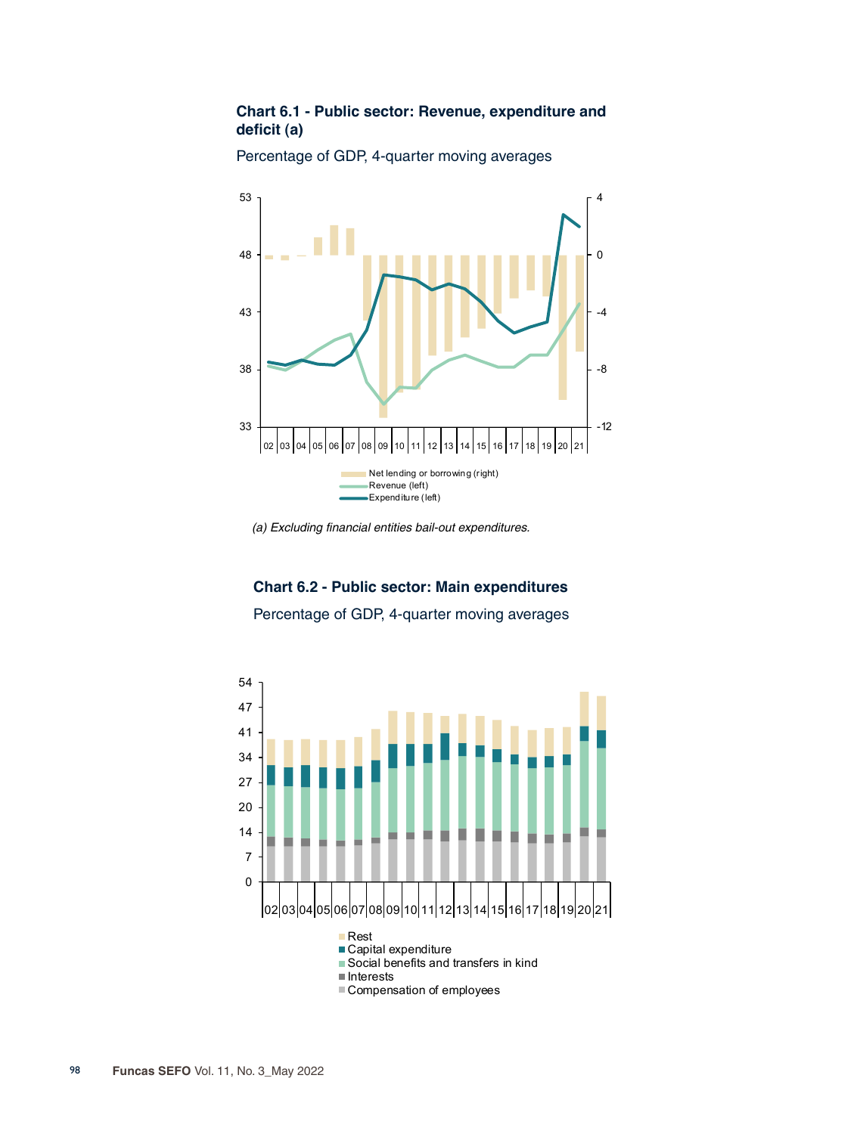## **Chart 6.1 - Public sector: Revenue, expenditure and deficit (a)**



Percentage of GDP, 4-quarter moving averages

# **Chart 6.2 - Public sector: Main expenditures**

Percentage of GDP, 4-quarter moving averages



*<sup>(</sup>a) Excluding financial entities bail-out expenditures.*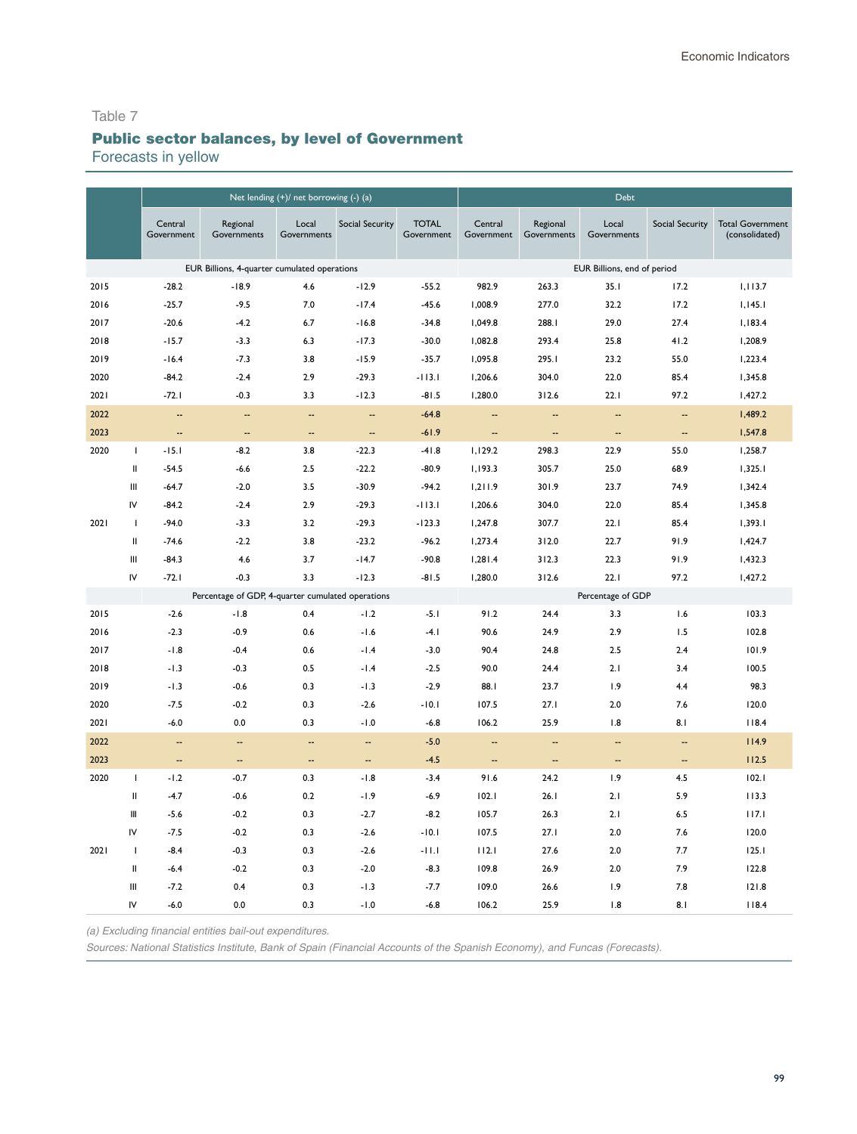# Table 7 Public sector balances, by level of Government

Forecasts in yellow

|      |               |                          |                                                   | Net lending (+)/ net borrowing (-) (a) |                          |                            |                          |                          | <b>Debt</b>                 |                          |                                           |
|------|---------------|--------------------------|---------------------------------------------------|----------------------------------------|--------------------------|----------------------------|--------------------------|--------------------------|-----------------------------|--------------------------|-------------------------------------------|
|      |               | Central<br>Government    | Regional<br>Governments                           | Local<br>Governments                   | <b>Social Security</b>   | <b>TOTAL</b><br>Government | Central<br>Government    | Regional<br>Governments  | Local<br>Governments        | <b>Social Security</b>   | <b>Total Government</b><br>(consolidated) |
|      |               |                          | EUR Billions, 4-quarter cumulated operations      |                                        |                          |                            |                          |                          | EUR Billions, end of period |                          |                                           |
| 2015 |               | $-28.2$                  | $-18.9$                                           | 4.6                                    | $-12.9$                  | $-55.2$                    | 982.9                    | 263.3                    | 35.1                        | 17.2                     | 1,113.7                                   |
| 2016 |               | $-25.7$                  | $-9.5$                                            | 7.0                                    | $-17.4$                  | $-45.6$                    | 1,008.9                  | 277.0                    | 32.2                        | 17.2                     | 1,145.1                                   |
| 2017 |               | $-20.6$                  | $-4.2$                                            | 6.7                                    | $-16.8$                  | $-34.8$                    | 1,049.8                  | 288.I                    | 29.0                        | 27.4                     | 1,183.4                                   |
| 2018 |               | $-15.7$                  | $-3.3$                                            | 6.3                                    | $-17.3$                  | $-30.0$                    | 1,082.8                  | 293.4                    | 25.8                        | 41.2                     | 1,208.9                                   |
| 2019 |               | $-16.4$                  | $-7.3$                                            | 3.8                                    | $-15.9$                  | $-35.7$                    | 1,095.8                  | 295.I                    | 23.2                        | 55.0                     | 1,223.4                                   |
| 2020 |               | $-84.2$                  | $-2.4$                                            | 2.9                                    | $-29.3$                  | $-113.1$                   | 1,206.6                  | 304.0                    | 22.0                        | 85.4                     | 1,345.8                                   |
| 2021 |               | $-72.1$                  | $-0.3$                                            | 3.3                                    | $-12.3$                  | $-81.5$                    | 1,280.0                  | 312.6                    | 22.1                        | 97.2                     | 1,427.2                                   |
| 2022 |               | $\overline{\phantom{a}}$ | $\overline{\phantom{a}}$                          | $\overline{a}$                         | $\overline{\phantom{a}}$ | $-64.8$                    | $\overline{\phantom{a}}$ | $\overline{a}$           | $\overline{a}$              | $\overline{\phantom{a}}$ | 1,489.2                                   |
| 2023 |               | $\overline{\phantom{a}}$ | 4                                                 | --                                     | $\overline{\phantom{a}}$ | $-61.9$                    | --                       | $\overline{\phantom{a}}$ | $\overline{\phantom{a}}$    | н,                       | 1,547.8                                   |
| 2020 | $\mathbf{I}$  | $-15.1$                  | $-8.2$                                            | 3.8                                    | $-22.3$                  | $-41.8$                    | 1,129.2                  | 298.3                    | 22.9                        | 55.0                     | 1,258.7                                   |
|      | Ш             | $-54.5$                  | $-6.6$                                            | 2.5                                    | $-22.2$                  | $-80.9$                    | 1,193.3                  | 305.7                    | 25.0                        | 68.9                     | 1,325.1                                   |
|      | Ш             | $-64.7$                  | $-2.0$                                            | 3.5                                    | $-30.9$                  | $-94.2$                    | 1,211.9                  | 301.9                    | 23.7                        | 74.9                     | 1,342.4                                   |
|      | IV            | $-84.2$                  | $-2.4$                                            | 2.9                                    | $-29.3$                  | $-113.1$                   | 1,206.6                  | 304.0                    | 22.0                        | 85.4                     | 1,345.8                                   |
| 2021 | T             | $-94.0$                  | $-3.3$                                            | 3.2                                    | $-29.3$                  | $-123.3$                   | 1,247.8                  | 307.7                    | 22.1                        | 85.4                     | 1,393.1                                   |
|      | $\mathbf{II}$ | $-74.6$                  | $-2.2$                                            | 3.8                                    | $-23.2$                  | $-96.2$                    | 1,273.4                  | 312.0                    | 22.7                        | 91.9                     | 1,424.7                                   |
|      | Ш             | $-84.3$                  | 4.6                                               | 3.7                                    | $-14.7$                  | $-90.8$                    | 1,281.4                  | 312.3                    | 22.3                        | 91.9                     | 1,432.3                                   |
|      | IV            | $-72.1$                  | $-0.3$                                            | 3.3                                    | $-12.3$                  | $-81.5$                    | 1,280.0                  | 312.6                    | 22.1                        | 97.2                     | 1,427.2                                   |
|      |               |                          | Percentage of GDP, 4-quarter cumulated operations |                                        |                          |                            |                          |                          | Percentage of GDP           |                          |                                           |
| 2015 |               | $-2.6$                   | $-1.8$                                            | 0.4                                    | $-1.2$                   | $-5.1$                     | 91.2                     | 24.4                     | 3.3                         | 1.6                      | 103.3                                     |
| 2016 |               | $-2.3$                   | $-0.9$                                            | 0.6                                    | $-1.6$                   | $-4.1$                     | 90.6                     | 24.9                     | 2.9                         | 1.5                      | 102.8                                     |
| 2017 |               | $-1.8$                   | $-0.4$                                            | 0.6                                    | $-1.4$                   | $-3.0$                     | 90.4                     | 24.8                     | 2.5                         | 2.4                      | 101.9                                     |
| 2018 |               | $-1.3$                   | $-0.3$                                            | 0.5                                    | $-1.4$                   | $-2.5$                     | 90.0                     | 24.4                     | 2.1                         | 3.4                      | 100.5                                     |
| 2019 |               | $-1.3$                   | $-0.6$                                            | 0.3                                    | $-1.3$                   | $-2.9$                     | 88.1                     | 23.7                     | 1.9                         | 4.4                      | 98.3                                      |
| 2020 |               | $-7.5$                   | $-0.2$                                            | 0.3                                    | $-2.6$                   | $-10.1$                    | 107.5                    | 27.1                     | 2.0                         | 7.6                      | 120.0                                     |
| 2021 |               | $-6.0$                   | 0.0                                               | 0.3                                    | $-1.0$                   | $-6.8$                     | 106.2                    | 25.9                     | 1.8                         | 8.1                      | 118.4                                     |
| 2022 |               | --                       | --                                                | Ш,                                     | н.                       | $-5.0$                     | --                       | --                       | --                          | --                       | 114.9                                     |
| 2023 |               | $\overline{\phantom{a}}$ | $\overline{\phantom{a}}$                          | $\overline{\phantom{a}}$               | $\overline{\phantom{a}}$ | $-4.5$                     | $\overline{\phantom{a}}$ | $\overline{\phantom{a}}$ | $\overline{\phantom{a}}$    | $\overline{\phantom{a}}$ | 112.5                                     |
| 2020 | $\mathbf{I}$  | $-1.2$                   | $-0.7$                                            | 0.3                                    | $-1.8$                   | $-3.4$                     | 91.6                     | 24.2                     | 1.9                         | 4.5                      | 102.1                                     |
|      | Ш             | $-4.7$                   | $-0.6$                                            | 0.2                                    | $-1.9$                   | $-6.9$                     | 102.1                    | 26.1                     | 2.1                         | 5.9                      | 113.3                                     |
|      | Ш             | $-5.6$                   | $-0.2$                                            | 0.3                                    | $-2.7$                   | $-8.2$                     | 105.7                    | 26.3                     | 2.1                         | 6.5                      | 117.1                                     |
|      | IV            | $-7.5$                   | $-0.2$                                            | 0.3                                    | $-2.6$                   | $-10.1$                    | 107.5                    | 27.1                     | 2.0                         | 7.6                      | 120.0                                     |
| 2021 | $\mathbf{I}$  | $-8.4$                   | $-0.3$                                            | 0.3                                    | $-2.6$                   | $-11.1$                    | 112.1                    | 27.6                     | 2.0                         | 7.7                      | 125.1                                     |
|      | Ш             | $-6.4$                   | $-0.2$                                            | 0.3                                    | $-2.0$                   | $-8.3$                     | 109.8                    | 26.9                     | 2.0                         | 7.9                      | 122.8                                     |
|      | Ш             | $-7.2$                   | 0.4                                               | 0.3                                    | $-1.3$                   | $-7.7$                     | 109.0                    | 26.6                     | 1.9                         | 7.8                      | 121.8                                     |
|      | IV            | $-6.0$                   | 0.0                                               | 0.3                                    | $-1.0$                   | $-6.8$                     | 106.2                    | 25.9                     | 1.8                         | 8.1                      | 118.4                                     |

*(a) Excluding financial entities bail-out expenditures.*

*Sources: National Statistics Institute, Bank of Spain (Financial Accounts of the Spanish Economy), and* Funcas *(Forecasts).*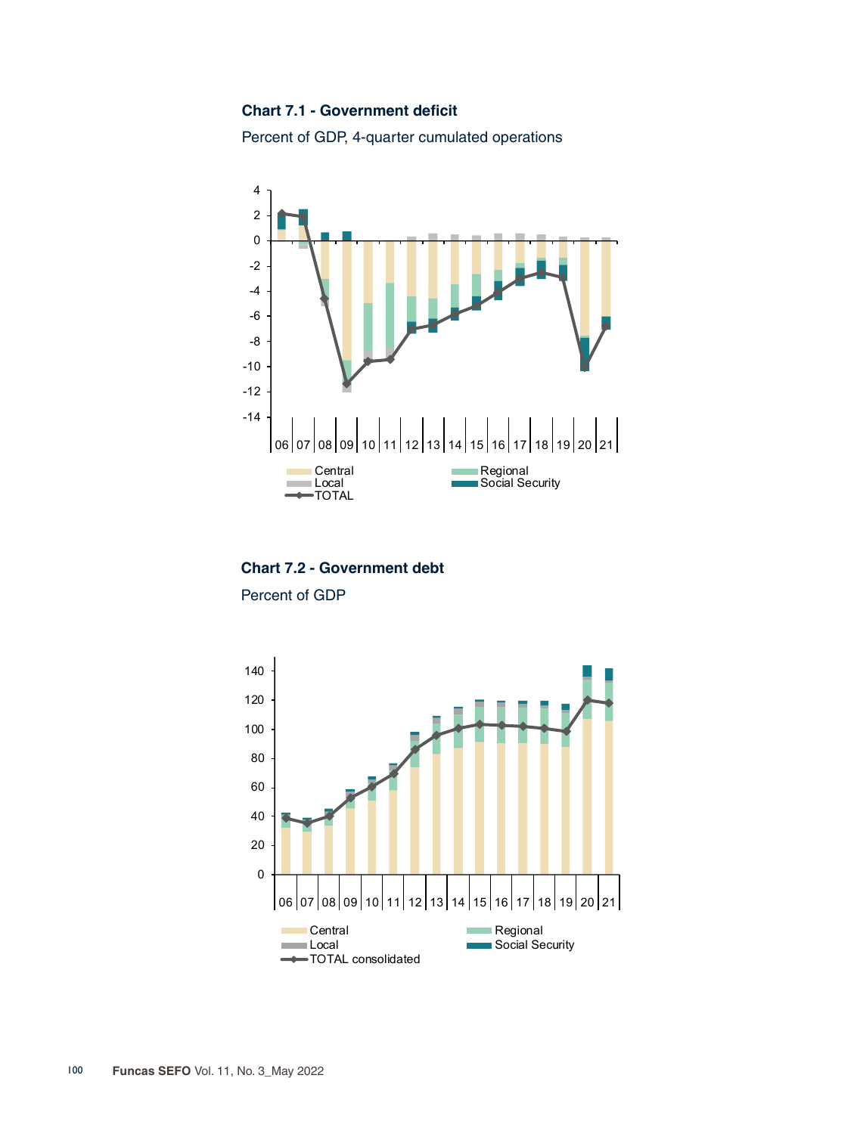#### **Chart 7.1 - Government deficit**

Percent of GDP, 4-quarter cumulated operations



**Chart 7.2 - Government debt**

Percent of GDP

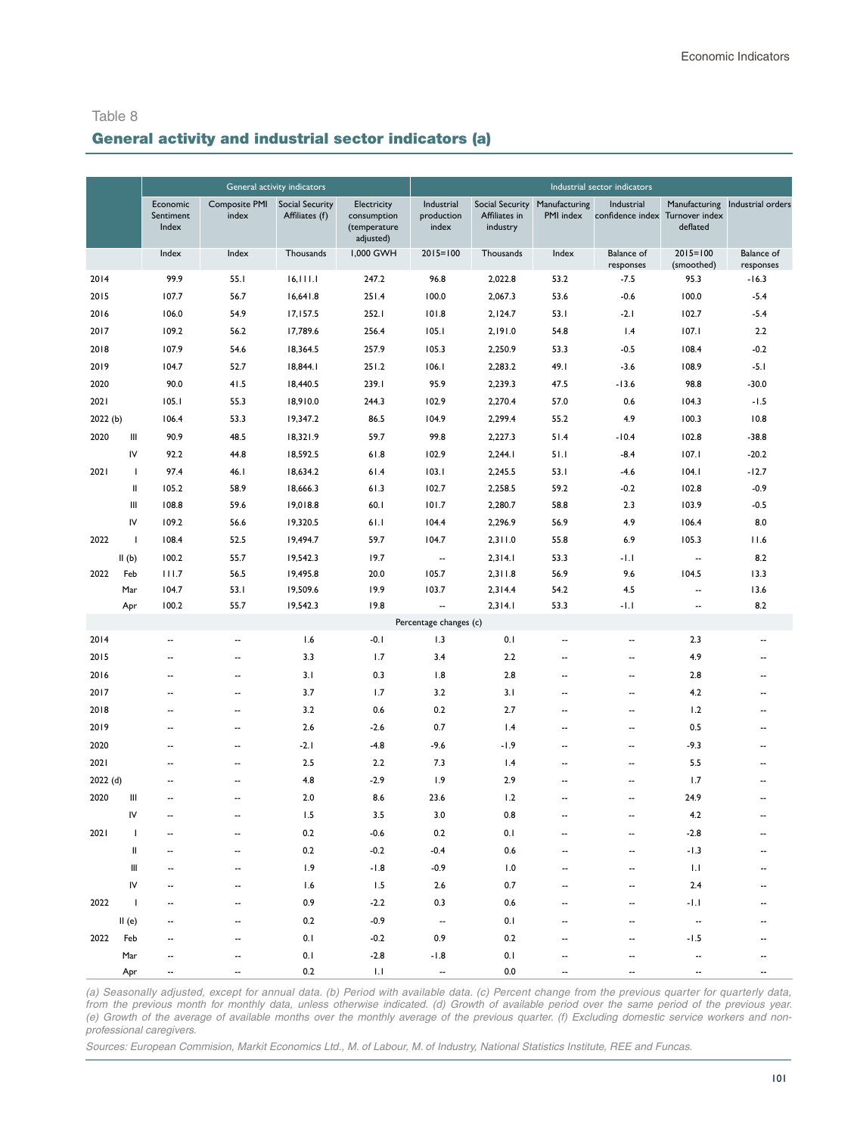## General activity and industrial sector indicators (a)

|         |                          |                                |                               | General activity indicators              |                                                         |                                   |                           |                                            | Industrial sector indicators   |                                             |                                |
|---------|--------------------------|--------------------------------|-------------------------------|------------------------------------------|---------------------------------------------------------|-----------------------------------|---------------------------|--------------------------------------------|--------------------------------|---------------------------------------------|--------------------------------|
|         |                          | Economic<br>Sentiment<br>Index | <b>Composite PMI</b><br>index | <b>Social Security</b><br>Affiliates (f) | Electricity<br>consumption<br>(temperature<br>adjusted) | Industrial<br>production<br>index | Affiliates in<br>industry | Social Security Manufacturing<br>PMI index | Industrial<br>confidence index | Manufacturing<br>Turnover index<br>deflated | Industrial orders              |
|         |                          | Index                          | Index                         | Thousands                                | 1,000 GWH                                               | $2015 = 100$                      | Thousands                 | Index                                      | <b>Balance</b> of<br>responses | $2015 = 100$<br>(smoothed)                  | <b>Balance</b> of<br>responses |
| 2014    |                          | 99.9                           | 55.1                          | 16, 111.1                                | 247.2                                                   | 96.8                              | 2,022.8                   | 53.2                                       | $-7.5$                         | 95.3                                        | $-16.3$                        |
| 2015    |                          | 107.7                          | 56.7                          | 16,641.8                                 | 251.4                                                   | 100.0                             | 2,067.3                   | 53.6                                       | $-0.6$                         | 100.0                                       | $-5.4$                         |
| 2016    |                          | 106.0                          | 54.9                          | 17,157.5                                 | 252.I                                                   | 101.8                             | 2,124.7                   | 53.1                                       | $-2.1$                         | 102.7                                       | $-5.4$                         |
| 2017    |                          | 109.2                          | 56.2                          | 17,789.6                                 | 256.4                                                   | 105.1                             | 2,191.0                   | 54.8                                       | 1.4                            | 107.1                                       | 2.2                            |
| 2018    |                          | 107.9                          | 54.6                          | 18,364.5                                 | 257.9                                                   | 105.3                             | 2,250.9                   | 53.3                                       | $-0.5$                         | 108.4                                       | $-0.2$                         |
| 2019    |                          | 104.7                          | 52.7                          | 18,844.1                                 | 251.2                                                   | 106.1                             | 2,283.2                   | 49.I                                       | $-3.6$                         | 108.9                                       | $-5.1$                         |
| 2020    |                          | 90.0                           | 41.5                          | 18,440.5                                 | 239.1                                                   | 95.9                              | 2,239.3                   | 47.5                                       | $-13.6$                        | 98.8                                        | $-30.0$                        |
| 2021    |                          | 105.1                          | 55.3                          | 18,910.0                                 | 244.3                                                   | 102.9                             | 2,270.4                   | 57.0                                       | 0.6                            | 104.3                                       | $-1.5$                         |
| 2022(b) |                          | 106.4                          | 53.3                          | 19,347.2                                 | 86.5                                                    | 104.9                             | 2,299.4                   | 55.2                                       | 4.9                            | 100.3                                       | 10.8                           |
| 2020    | Ш                        | 90.9                           | 48.5                          | 18,321.9                                 | 59.7                                                    | 99.8                              | 2,227.3                   | 51.4                                       | $-10.4$                        | 102.8                                       | $-38.8$                        |
|         | IV                       | 92.2                           | 44.8                          | 18,592.5                                 | 61.8                                                    | 102.9                             | 2,244.1                   | 51.1                                       | $-8.4$                         | 107.1                                       | $-20.2$                        |
| 2021    | T                        | 97.4                           | 46.I                          | 18,634.2                                 | 61.4                                                    | 103.1                             | 2,245.5                   | 53.1                                       | $-4.6$                         | 104.1                                       | $-12.7$                        |
|         | II                       | 105.2                          | 58.9                          | 18,666.3                                 | 61.3                                                    | 102.7                             | 2,258.5                   | 59.2                                       | $-0.2$                         | 102.8                                       | $-0.9$                         |
|         | Ш                        | 108.8                          | 59.6                          | 19,018.8                                 | 60.1                                                    | 101.7                             | 2,280.7                   | 58.8                                       | 2.3                            | 103.9                                       | $-0.5$                         |
|         | IV                       | 109.2                          | 56.6                          | 19,320.5                                 | 61.1                                                    | 104.4                             | 2,296.9                   | 56.9                                       | 4.9                            | 106.4                                       | 8.0                            |
| 2022    | $\mathbf{I}$             | 108.4                          | 52.5                          | 19,494.7                                 | 59.7                                                    | 104.7                             | 2,311.0                   | 55.8                                       | 6.9                            | 105.3                                       | 11.6                           |
|         | II(b)                    | 100.2                          | 55.7                          | 19,542.3                                 | 19.7                                                    | $\overline{\phantom{a}}$          | 2,314.1                   | 53.3                                       | -1.1                           | $\overline{\phantom{a}}$                    | 8.2                            |
| 2022    | Feb                      | 111.7                          | 56.5                          | 19,495.8                                 | 20.0                                                    | 105.7                             | 2,311.8                   | 56.9                                       | 9.6                            | 104.5                                       | 13.3                           |
|         | Mar                      | 104.7                          | 53.1                          | 19,509.6                                 | 19.9                                                    | 103.7                             | 2,314.4                   | 54.2                                       | 4.5                            |                                             | 13.6                           |
|         | Apr                      | 100.2                          | 55.7                          | 19,542.3                                 | 19.8                                                    | $\overline{\phantom{a}}$          | 2,314.1                   | 53.3                                       | $-1.1$                         | --                                          | 8.2                            |
|         |                          |                                |                               |                                          |                                                         | Percentage changes (c)            |                           |                                            |                                |                                             |                                |
| 2014    |                          | $\overline{\phantom{a}}$       | $\overline{\phantom{a}}$      | 1.6                                      | $-0.1$                                                  | 1.3                               | 0.1                       | --                                         | $\overline{\phantom{a}}$       | 2.3                                         | $\overline{\phantom{a}}$       |
| 2015    |                          | $\overline{\phantom{a}}$       | $\overline{\phantom{a}}$      | 3.3                                      | 1.7                                                     | 3.4                               | 2.2                       | $\overline{\phantom{a}}$                   | $\overline{\phantom{a}}$       | 4.9                                         | $\overline{\phantom{a}}$       |
| 2016    |                          | $\overline{\phantom{a}}$       | --                            | 3.1                                      | 0.3                                                     | 1.8                               | 2.8                       | --                                         | --                             | 2.8                                         | $\overline{\phantom{a}}$       |
| 2017    |                          | $\overline{\phantom{a}}$       | --                            | 3.7                                      | 1.7                                                     | 3.2                               | 3.1                       | --                                         | $\overline{\phantom{a}}$       | 4.2                                         | $\overline{\phantom{a}}$       |
| 2018    |                          | $\overline{\phantom{a}}$       | $\overline{a}$                | 3.2                                      | 0.6                                                     | 0.2                               | 2.7                       | ٠.                                         | $\overline{\phantom{a}}$       | 1.2                                         | $\overline{\phantom{a}}$       |
| 2019    |                          | $\overline{\phantom{a}}$       | $\overline{\phantom{a}}$      | 2.6                                      | $-2.6$                                                  | 0.7                               | 1.4                       | ٠.                                         | $\overline{\phantom{a}}$       | 0.5                                         | $\overline{\phantom{a}}$       |
| 2020    |                          | $\overline{\phantom{a}}$       | --                            | $-2.1$                                   | $-4.8$                                                  | $-9.6$                            | $-1.9$                    | --                                         | --                             | $-9.3$                                      | $\overline{\phantom{a}}$       |
| 2021    |                          | $\overline{\phantom{a}}$       | --                            | 2.5                                      | 2.2                                                     | 7.3                               | 1.4                       | --                                         | $\overline{\phantom{a}}$       | 5.5                                         | $\overline{a}$                 |
| 2022(d) |                          | $\overline{\phantom{a}}$       | $\overline{\phantom{a}}$      | 4.8                                      | $-2.9$                                                  | 1.9                               | 2.9                       | --                                         | $\overline{\phantom{a}}$       | 1.7                                         | $\overline{\phantom{a}}$       |
| 2020    | Ш                        | $\overline{\phantom{a}}$       | $\overline{\phantom{a}}$      | 2.0                                      | 8.6                                                     | 23.6                              | 1.2                       | --                                         | $\overline{\phantom{a}}$       | 24.9                                        | $\overline{\phantom{a}}$       |
|         | IV                       | $\overline{\phantom{a}}$       | --                            | 1.5                                      | 3.5                                                     | 3.0                               | 0.8                       | --                                         | ٠.                             | 4.2                                         |                                |
| 2021    | J.                       | $\overline{a}$                 | --                            | 0.2                                      | $-0.6$                                                  | 0.2                               | 0.1                       | --                                         | ٠.                             | $-2.8$                                      | $\overline{\phantom{a}}$       |
|         | Ш                        |                                |                               | 0.2                                      | $-0.2$                                                  | $-0.4$                            | 0.6                       |                                            |                                | $-1.3$                                      |                                |
|         | Ш                        |                                |                               | 1.9                                      | $-1.8$                                                  | $-0.9$                            | 1.0                       |                                            |                                | 1.1                                         |                                |
|         | IV                       |                                |                               | 1.6                                      | 1.5                                                     | $2.6$                             | 0.7                       |                                            |                                | $2.4$                                       |                                |
| 2022    | $\overline{\phantom{a}}$ |                                |                               | 0.9                                      | $-2.2$                                                  | 0.3                               | 0.6                       |                                            |                                | $-1.1$                                      |                                |
|         | II(e)                    |                                |                               | 0.2                                      | $-0.9$                                                  | $\overline{\phantom{a}}$          | 0.1                       |                                            |                                |                                             |                                |
|         | 2022 Feb                 |                                |                               | 0.1                                      | $-0.2$                                                  | 0.9                               | 0.2                       |                                            |                                | $-1.5$                                      |                                |
|         | Mar                      |                                |                               | 0.1                                      | $-2.8$                                                  | $-1.8$                            | 0.1                       |                                            |                                |                                             |                                |
|         | Apr                      |                                |                               | 0.2                                      | $1.1\,$                                                 | $\overline{\phantom{a}}$          | 0.0                       |                                            |                                |                                             |                                |

*(a) Seasonally adjusted, except for annual data. (b) Period with available data. (c) Percent change from the previous quarter for quarterly data, from the previous month for monthly data, unless otherwise indicated. (d) Growth of available period over the same period of the previous year. (e) Growth of the average of available months over the monthly average of the previous quarter. (f) Excluding domestic service workers and nonprofessional caregivers.*

Sources: European Commision, Markit Economics Ltd., M. of Labour, M. of Industry, National Statistics Institute, REE and Funcas.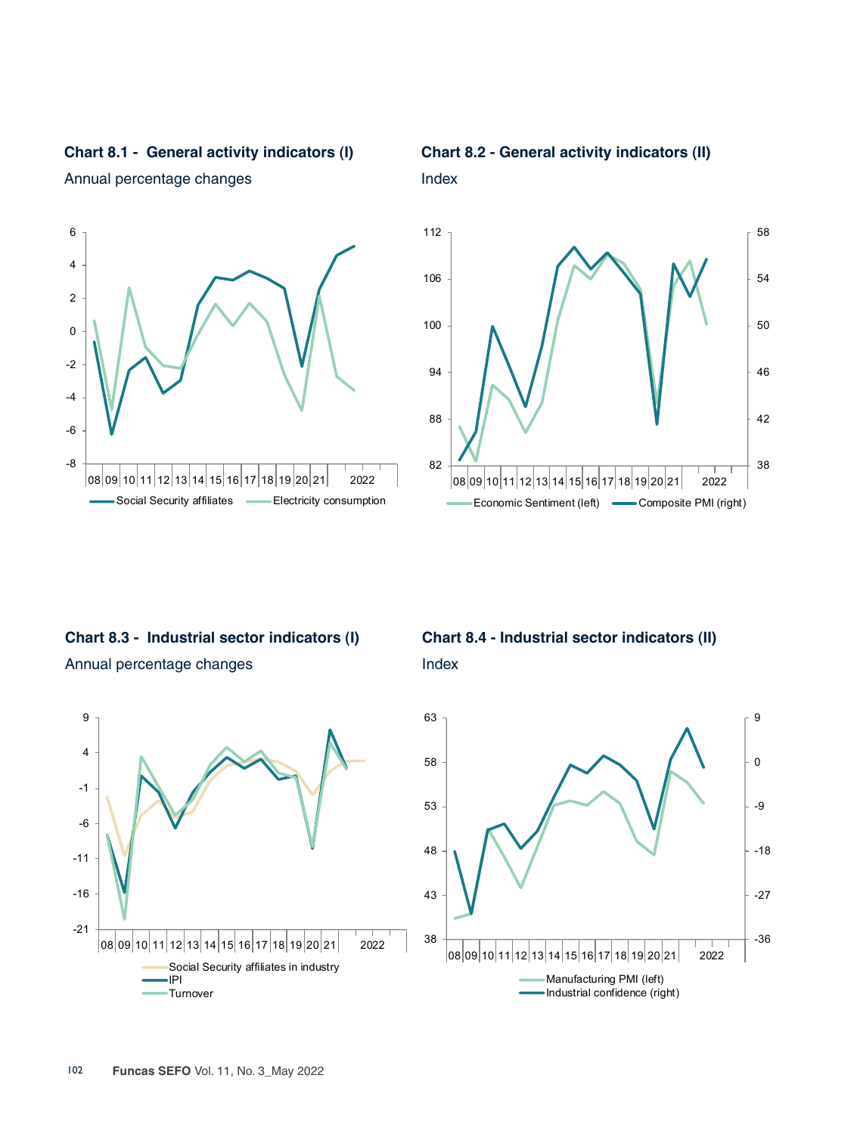



Annual percentage changes



Index



**Chart 8.3 - Industrial sector indicators (I)** Annual percentage changes



**Chart 8.4 - Industrial sector indicators (II)** Index

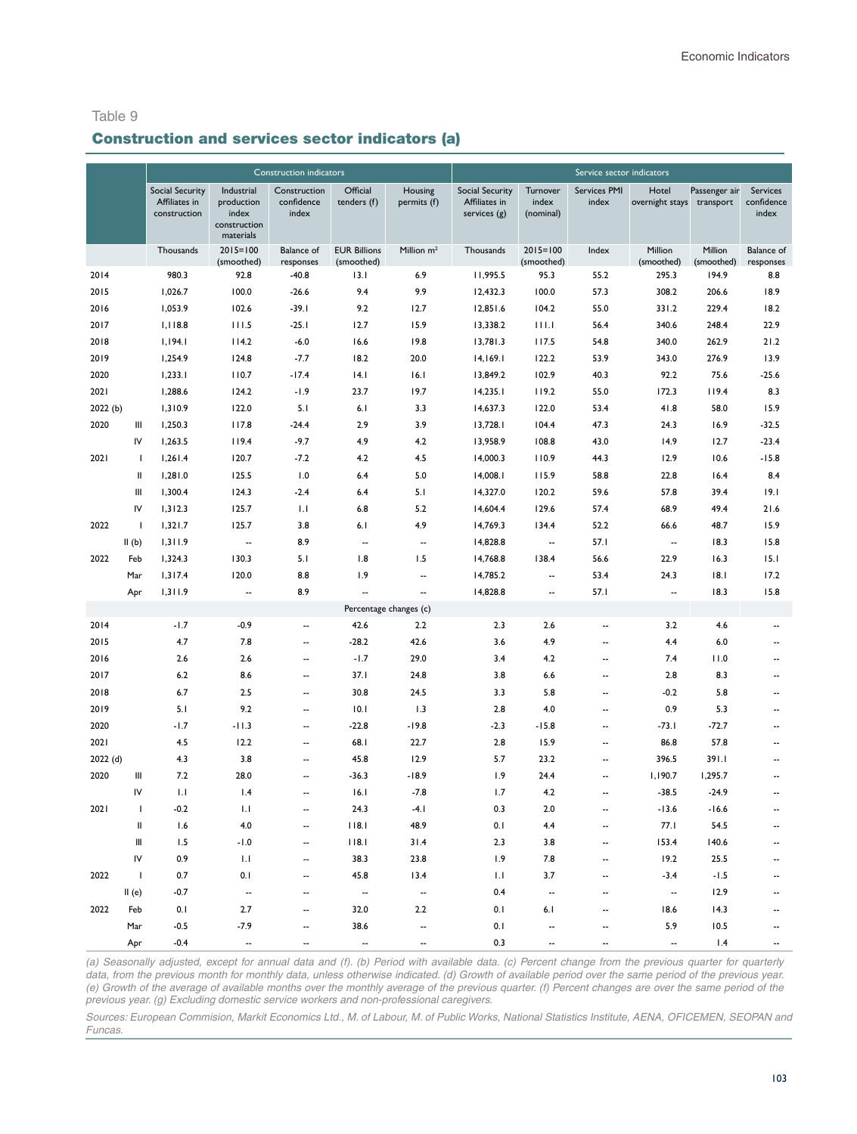#### Construction and services sector indicators (a)

|         |                          |                                                         |                                                                | <b>Construction indicators</b>      |                                   |                          |                                                         |                                | Service sector indicators |                          |                            |                                 |
|---------|--------------------------|---------------------------------------------------------|----------------------------------------------------------------|-------------------------------------|-----------------------------------|--------------------------|---------------------------------------------------------|--------------------------------|---------------------------|--------------------------|----------------------------|---------------------------------|
|         |                          | <b>Social Security</b><br>Affiliates in<br>construction | Industrial<br>production<br>index<br>construction<br>materials | Construction<br>confidence<br>index | Official<br>tenders (f)           | Housing<br>permits (f)   | <b>Social Security</b><br>Affiliates in<br>services (g) | Turnover<br>index<br>(nominal) | Services PMI<br>index     | Hotel<br>overnight stays | Passenger air<br>transport | Services<br>confidence<br>index |
|         |                          | Thousands                                               | $2015 = 100$<br>(smoothed)                                     | <b>Balance</b> of<br>responses      | <b>EUR Billions</b><br>(smoothed) | Million $m2$             | Thousands                                               | $2015 = 100$<br>(smoothed)     | Index                     | Million<br>(smoothed)    | Million<br>(smoothed)      | <b>Balance</b> of<br>responses  |
| 2014    |                          | 980.3                                                   | 92.8                                                           | $-40.8$                             | 13.1                              | 6.9                      | 11,995.5                                                | 95.3                           | 55.2                      | 295.3                    | 194.9                      | 8.8                             |
| 2015    |                          | 1,026.7                                                 | 100.0                                                          | $-26.6$                             | 9.4                               | 9.9                      | 12,432.3                                                | 100.0                          | 57.3                      | 308.2                    | 206.6                      | 18.9                            |
| 2016    |                          | 1,053.9                                                 | 102.6                                                          | $-39.1$                             | 9.2                               | 12.7                     | 12,851.6                                                | 104.2                          | 55.0                      | 331.2                    | 229.4                      | 18.2                            |
| 2017    |                          | 1,118.8                                                 | 111.5                                                          | $-25.1$                             | 12.7                              | 15.9                     | 13,338.2                                                | 111.1                          | 56.4                      | 340.6                    | 248.4                      | 22.9                            |
| 2018    |                          | 1,194.1                                                 | 114.2                                                          | $-6.0$                              | 16.6                              | 19.8                     | 13,781.3                                                | 117.5                          | 54.8                      | 340.0                    | 262.9                      | 21.2                            |
| 2019    |                          | 1,254.9                                                 | 124.8                                                          | $-7.7$                              | 18.2                              | 20.0                     | 14,169.1                                                | 122.2                          | 53.9                      | 343.0                    | 276.9                      | 13.9                            |
| 2020    |                          | 1,233.1                                                 | 110.7                                                          | $-17.4$                             | 4.1                               | 16.1                     | 13,849.2                                                | 102.9                          | 40.3                      | 92.2                     | 75.6                       | $-25.6$                         |
| 2021    |                          | 1,288.6                                                 | 124.2                                                          | $-1.9$                              | 23.7                              | 19.7                     | 14,235.1                                                | 119.2                          | 55.0                      | 172.3                    | 119.4                      | 8.3                             |
| 2022(b) |                          | 1,310.9                                                 | 122.0                                                          | 5.1                                 | 6.1                               | 3.3                      | 14,637.3                                                | 122.0                          | 53.4                      | 41.8                     | 58.0                       | 15.9                            |
| 2020    | Ш                        | 1,250.3                                                 | 117.8                                                          | $-24.4$                             | 2.9                               | 3.9                      | 13,728.1                                                | 104.4                          | 47.3                      | 24.3                     | 16.9                       | $-32.5$                         |
|         | IV                       | 1,263.5                                                 | 119.4                                                          | $-9.7$                              | 4.9                               | 4.2                      | 13,958.9                                                | 108.8                          | 43.0                      | 14.9                     | 12.7                       | $-23.4$                         |
| 2021    | $\mathbf{I}$             | 1,261.4                                                 | 120.7                                                          | $-7.2$                              | 4.2                               | 4.5                      | 14,000.3                                                | 110.9                          | 44.3                      | 12.9                     | 10.6                       | $-15.8$                         |
|         | Ш                        | 1,281.0                                                 | 125.5                                                          | 1.0                                 | 6.4                               | 5.0                      | 14,008.1                                                | 115.9                          | 58.8                      | 22.8                     | 16.4                       | 8.4                             |
|         | Ш                        | 1,300.4                                                 | 124.3                                                          | $-2.4$                              | 6.4                               | 5.1                      | 14,327.0                                                | 120.2                          | 59.6                      | 57.8                     | 39.4                       | 19.1                            |
|         | IV                       | 1,312.3                                                 | 125.7                                                          | 1.1                                 | 6.8                               | 5.2                      | 14,604.4                                                | 129.6                          | 57.4                      | 68.9                     | 49.4                       | 21.6                            |
| 2022    | $\mathbf{I}$             | 1,321.7                                                 | 125.7                                                          | 3.8                                 | 6.1                               | 4.9                      | 14,769.3                                                | 134.4                          | 52.2                      | 66.6                     | 48.7                       | 15.9                            |
|         | II(b)                    | 1,311.9                                                 | $\overline{\phantom{a}}$                                       | 8.9                                 | --                                | $\overline{\phantom{a}}$ | 14,828.8                                                | $\overline{\phantom{a}}$       | 57.1                      | --                       | 18.3                       | 15.8                            |
| 2022    | Feb                      | 1,324.3                                                 | 130.3                                                          | 5.1                                 | 1.8                               | 1.5                      | 14,768.8                                                | 138.4                          | 56.6                      | 22.9                     | 16.3                       | 15.1                            |
|         | Mar                      | 1,317.4                                                 | 120.0                                                          | 8.8                                 | 1.9                               | $\overline{\phantom{a}}$ | 14,785.2                                                | ۰.                             | 53.4                      | 24.3                     | 18.1                       | 17.2                            |
|         | Apr                      | 1,311.9                                                 | --                                                             | 8.9                                 | $\overline{\phantom{a}}$          | $\overline{\phantom{a}}$ | 14,828.8                                                | --                             | 57.1                      | --                       | 18.3                       | 15.8                            |
|         |                          |                                                         |                                                                |                                     |                                   | Percentage changes (c)   |                                                         |                                |                           |                          |                            |                                 |
| 2014    |                          | $-1.7$                                                  | $-0.9$                                                         | ٠.                                  | 42.6                              | 2.2                      | 2.3                                                     | 2.6                            | ۰.                        | 3.2                      | 4.6                        |                                 |
| 2015    |                          | 4.7                                                     | 7.8                                                            | $\overline{\phantom{a}}$            | $-28.2$                           | 42.6                     | 3.6                                                     | 4.9                            | ۰.                        | 4.4                      | 6.0                        | $\overline{\phantom{a}}$        |
| 2016    |                          | 2.6                                                     | 2.6                                                            | $\overline{\phantom{a}}$            | $-1.7$                            | 29.0                     | 3.4                                                     | 4.2                            | ۰.                        | 7.4                      | 11.0                       | $\overline{\phantom{a}}$        |
| 2017    |                          | 6.2                                                     | 8.6                                                            | ۰.                                  | 37.1                              | 24.8                     | 3.8                                                     | 6.6                            | --                        | 2.8                      | 8.3                        | --                              |
| 2018    |                          | 6.7                                                     | 2.5                                                            | ۰.                                  | 30.8                              | 24.5                     | 3.3                                                     | 5.8                            | --                        | $-0.2$                   | 5.8                        | --                              |
| 2019    |                          | 5.1                                                     | 9.2                                                            | $\overline{\phantom{a}}$            | 10.1                              | 1.3                      | 2.8                                                     | 4.0                            | ۰.                        | 0.9                      | 5.3                        | $\overline{\phantom{a}}$        |
| 2020    |                          | $-1.7$                                                  | $-11.3$                                                        | $\overline{\phantom{a}}$            | $-22.8$                           | $-19.8$                  | $-2.3$                                                  | $-15.8$                        | --                        | $-73.1$                  | $-72.7$                    | $\overline{a}$                  |
| 2021    |                          | 4.5                                                     | 12.2                                                           | $\overline{\phantom{a}}$            | 68.1                              | 22.7                     | 2.8                                                     | 15.9                           | --                        | 86.8                     | 57.8                       | $\overline{\phantom{a}}$        |
| 2022(d) |                          | 4.3                                                     | 3.8                                                            | $\overline{\phantom{a}}$            | 45.8                              | 12.9                     | 5.7                                                     | 23.2                           | --                        | 396.5                    | 391.I                      | $\overline{\phantom{a}}$        |
| 2020    | Ш                        | 7.2                                                     | 28.0                                                           | --                                  | $-36.3$                           | $-18.9$                  | 1.9                                                     | 24.4                           | --                        | 1,190.7                  | 1,295.7                    |                                 |
|         | IV                       | 1.1                                                     | 1.4                                                            | --                                  | 16.1                              | $-7.8$                   | 1.7                                                     | 4.2                            | ۰.                        | $-38.5$                  | $-24.9$                    | --                              |
| 2021    | $\overline{\phantom{a}}$ | $-0.2$                                                  | 1.1                                                            | --                                  | 24.3                              | $-4.1$                   | 0.3                                                     | 2.0                            | --                        | $-13.6$                  | $-16.6$                    | ۰.                              |
|         | Ш                        | 1.6                                                     | 4.0                                                            | --                                  | 118.1                             | 48.9                     | 0.1                                                     | 4.4                            | Ξ.                        | 77.1                     | 54.5                       |                                 |
|         | Ш                        | 1.5                                                     | $-1.0$                                                         |                                     | 118.1                             | 31.4                     | 2.3                                                     | 3.8                            |                           | 153.4                    | 140.6                      |                                 |
|         | IV                       | 0.9                                                     | 1.1                                                            |                                     | 38.3                              | 23.8                     | 1.9                                                     | 7.8                            |                           | 19.2                     | 25.5                       |                                 |
| 2022    | $\mathbf{I}$             | 0.7                                                     | 0.1                                                            | --                                  | 45.8                              | 13.4                     | 1.1                                                     | 3.7                            |                           | $-3.4$                   | $-1.5$                     |                                 |
|         | II(e)                    | $-0.7$                                                  | $\overline{\phantom{a}}$                                       | --                                  | $\overline{\phantom{a}}$          | $\overline{\phantom{a}}$ | 0.4                                                     | --                             |                           | $\overline{\phantom{a}}$ | 12.9                       |                                 |
| 2022    | Feb                      | 0.1                                                     | 2.7                                                            | --                                  | 32.0                              | 2.2                      | 0.1                                                     | 6.1                            | --                        | 18.6                     | 14.3                       |                                 |
|         | Mar                      | $-0.5$                                                  | $-7.9$                                                         |                                     | 38.6                              |                          | 0.1                                                     | --                             |                           | 5.9                      | 10.5                       |                                 |
|         | Apr                      | $-0.4$                                                  | $\ddotsc$                                                      |                                     | $\overline{\phantom{a}}$          |                          | 0.3                                                     |                                |                           | $\overline{\phantom{a}}$ | 1.4                        |                                 |

*(a) Seasonally adjusted, except for annual data and (f). (b) Period with available data. (c) Percent change from the previous quarter for quarterly*  data, from the previous month for monthly data, unless otherwise indicated. (d) Growth of available period over the same period of the previous year. *(e) Growth of the average of available months over the monthly average of the previous quarter. (f) Percent changes are over the same period of the previous year. (g) Excluding domestic service workers and non-professional caregivers.*

Sources: European Commision, Markit Economics Ltd., M. of Labour, M. of Public Works, National Statistics Institute, AENA, OFICEMEN, SEOPAN and Funcas.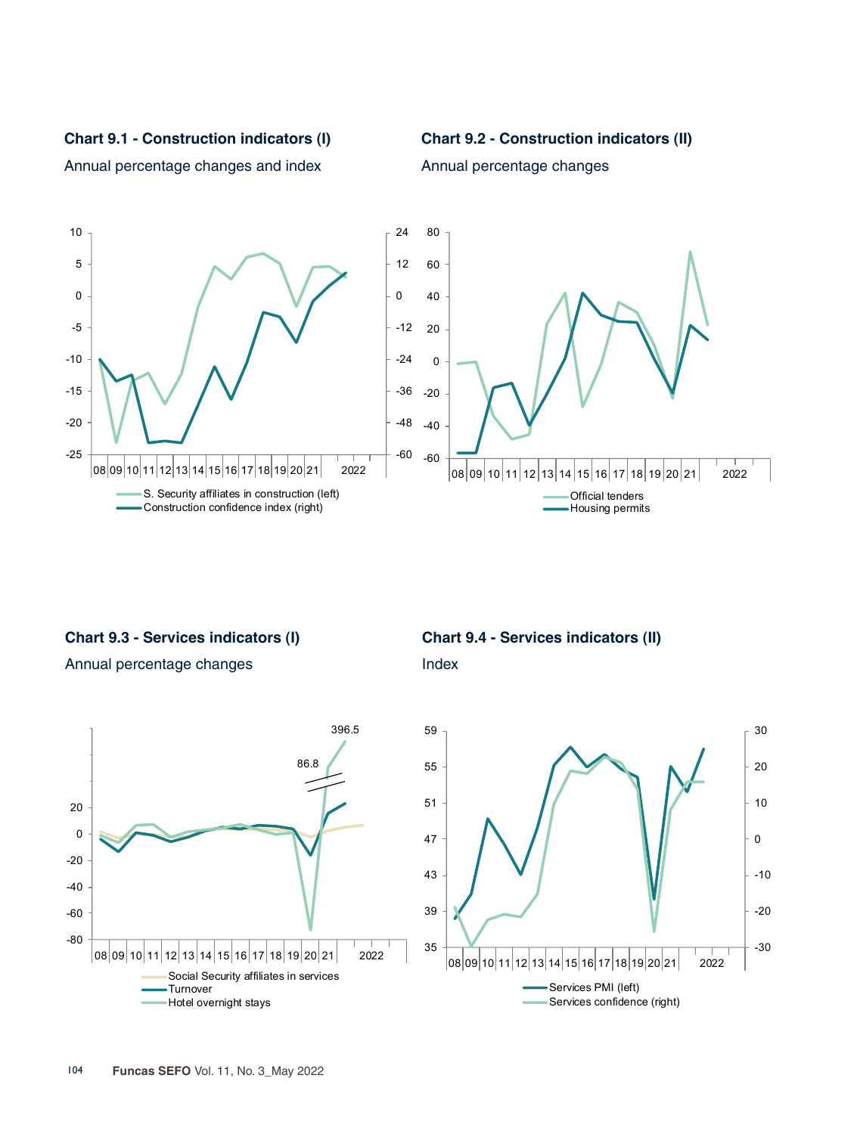**Chart 9.1 - Construction indicators (I)**



Annual percentage changes and index





**Chart 9.3 - Services indicators (I)**

Annual percentage changes



**Chart 9.4 - Services indicators (II)**

Index

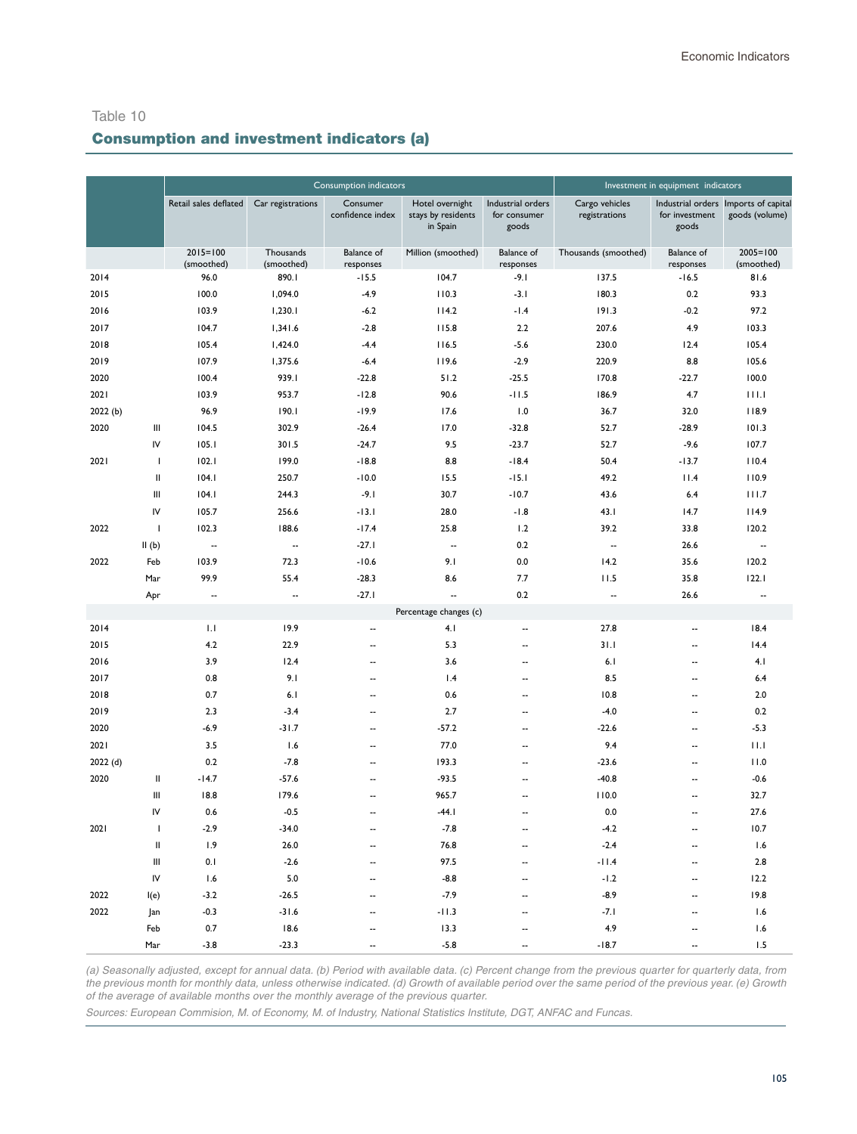#### Consumption indicators **Investment in equipment indicators** Retail sales deflated Car registrations Consumer confidence index Hotel overnight stays by residents in Spain Industrial orders for consumer goods Cargo vehicles registrations Industrial orders Imports of capital for investment goods goods (volume) 2015=100 (smoothed) Thousands (smoothed) Balance of responses Million (smoothed) Balance of responses Thousands (smoothed) Balance of responses 2005=100 (smoothed) 2014 96.0 890.1 -15.5 104.7 -9.1 137.5 -16.5 81.6 2015 100.0 1,094.0 -4.9 110.3 -3.1 180.3 0.2 93.3 2016 103.9 1,230.1 -6.2 114.2 -1.4 191.3 -0.2 97.2 2017 104.7 1,341.6 -2.8 115.8 2.2 207.6 4.9 103.3 2018 105.4 1,424.0 -4.4 116.5 -5.6 230.0 12.4 105.4 2019 107.9 1,375.6 -6.4 119.6 -2.9 220.9 8.8 105.6 2020 100.4 939.1 -22.8 51.2 -25.5 170.8 -22.7 100.0 2021 103.9 953.7 -12.8 90.6 -11.5 186.9 4.7 111.1 2022 (b) 96.9 190.1 -19.9 17.6 1.0 36.7 32.0 118.9 2020 III 104.5 302.9 -26.4 17.0 -32.8 52.7 -28.9 101.3 IV 105.1 301.5 -24.7 9.5 -23.7 52.7 -9.6 107.7 2021 I 102.1 199.0 -18.8 8.8 -18.4 50.4 -13.7 110.4 II 104.1 250.7 -10.0 15.5 -15.1 49.2 11.4 110.9 III 104.1 244.3 -9.1 30.7 -10.7 43.6 6.4 111.7 IV 105.7 256.6 -13.1 28.0 -1.8 43.1 14.7 114.9 2022 I 102.3 188.6 -17.4 25.8 1.2 39.2 33.8 120.2 II (b) -- -- -27.1 -- 0.2 -- 26.6 -- 2022 Feb 103.9 72.3 -10.6 9.1 0.0 14.2 35.6 120.2 Mar 99.9 55.4 -28.3 8.6 7.7 11.5 35.8 122.1 Apr -- -- -- - -27.1 -- - 0.2 -- - 26.6 --Percentage changes (c) 2014 1.1 19.9 -- 4.1 -- 27.8 -- 18.4 2015 4.2 22.9 -- 5.3 -- 31.1 -- 14.4 2016 3.9 12.4 -- 3.6 -- 6.1 -- 4.1 2017 0.8 9.1 -- 1.4 -- 8.5 -- 6.4 2018 0.7 6.1 -- 0.6 -- 10.8 -- 2.0 2019 2.3 -3.4 -- 2.7 -- -4.0 -- 0.2 2020 -6.9 -31.7 -- - -57.2 -- - - - -22.6 -- - - - -5.3 2021 3.5 1.6 -- 77.0 -- 9.4 -- 11.1 2022 (d) 0.2 -7.8 -- 193.3 -- -23.6 -- 11.0 2020 II -14.7 -57.6 -- -93.5 -- -40.8 -- - -0.6 III 18.8 179.6 -- 965.7 -- 110.0 -- 32.7 IV 0.6 -0.5 -- -44.1 -- 0.0 -- 27.6 2021 I -2.9 -34.0 -- - -7.8 -- - - -4.2 -- 10.7 II 1.9 26.0 -- 76.8 -- -2.4 -- 1.6 III 0.1 -2.6 -- 97.5 -- - - -11.4 -- - 2.8 IV 1.6 5.0 -- -8.8 -- -1.2 -- 12.2 2022 I(e) -3.2 -26.5 -- - -7.9 -- - - -8.9 -- - - 19.8 2022 Jan -0.3 -31.6 -- - -11.3 -- - -- --- -- -1.6 -- - 1.6 Feb 0.7 18.6 -- 13.3 -- 4.9 -- 1.6

## Consumption and investment indicators (a)

*(a) Seasonally adjusted, except for annual data. (b) Period with available data. (c) Percent change from the previous quarter for quarterly data, from the previous month for monthly data, unless otherwise indicated. (d) Growth of available period over the same period of the previous year. (e) Growth of the average of available months over the monthly average of the previous quarter.* 

Mar -3.8 -23.3 -- -5.8 -- -18.7 -- 1.5

*Sources: European Commision, M. of Economy, M. of Industry, National Statistics Institute, DGT, ANFAC and Funcas.*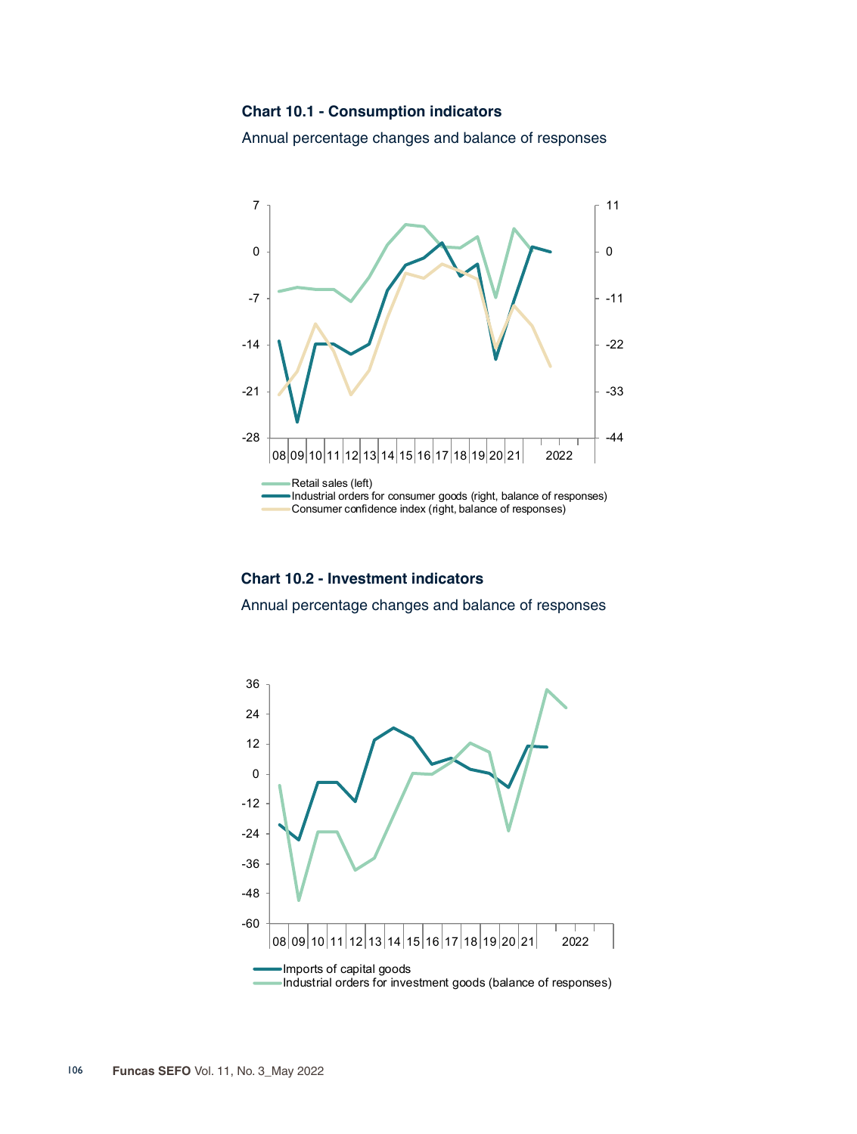#### **Chart 10.1 - Consumption indicators**

Annual percentage changes and balance of responses



#### **Chart 10.2 - Investment indicators**

Annual percentage changes and balance of responses

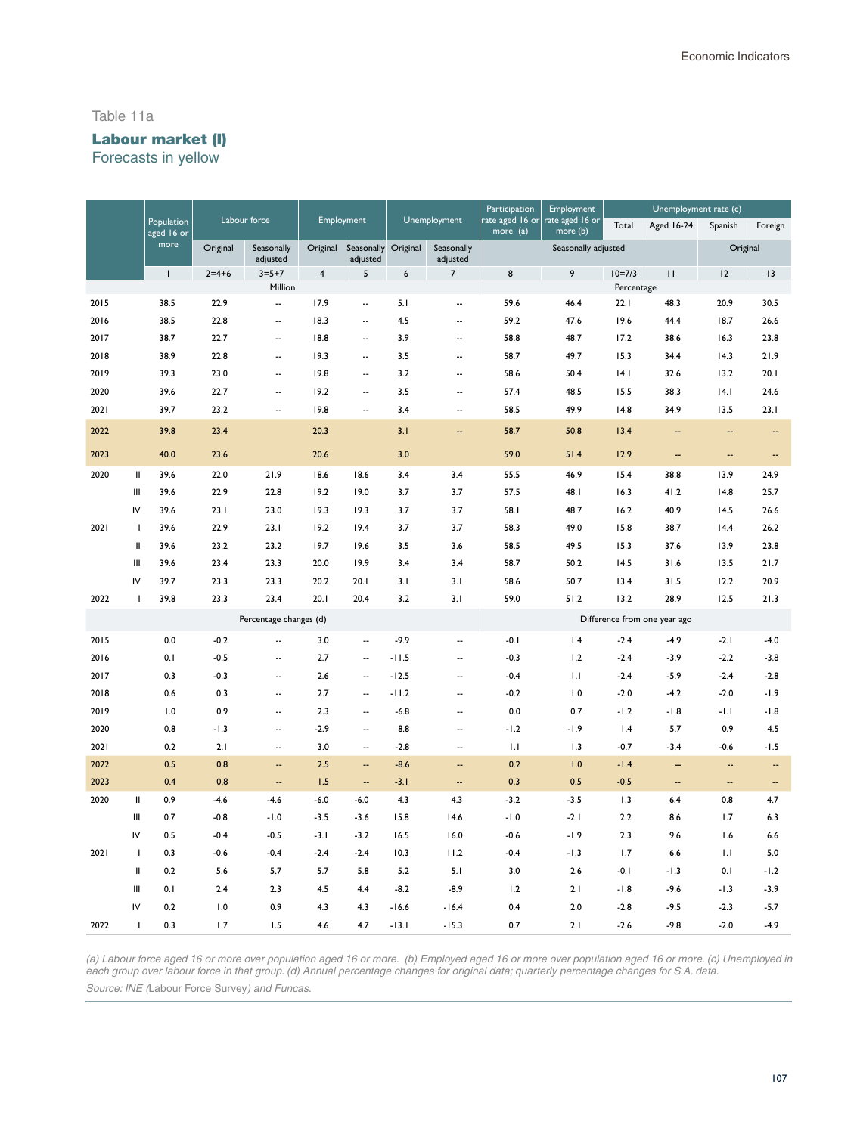#### Table 11a

# Labour market (I)

Forecasts in yellow

|      |                |                          |          |                          |          |                          |          | Participation            | Employment                  |                             | Unemployment rate (c) |                                                                  |          |                          |
|------|----------------|--------------------------|----------|--------------------------|----------|--------------------------|----------|--------------------------|-----------------------------|-----------------------------|-----------------------|------------------------------------------------------------------|----------|--------------------------|
|      |                | Population<br>aged 16 or |          | Labour force             |          | Employment               |          | Unemployment             | rate aged 16 or<br>more (a) | rate aged 16 or<br>more (b) | Total                 | <b>Aged 16-24</b>                                                | Spanish  | Foreign                  |
|      |                | more                     | Original | Seasonally<br>adjusted   | Original | Seasonally<br>adjusted   | Original | Seasonally<br>adjusted   |                             | Seasonally adjusted         |                       |                                                                  | Original |                          |
|      |                | $\mathsf{I}$             | $2=4+6$  | $3 = 5 + 7$              | 4        | 5                        | 6        | $\overline{7}$           | 8                           | 9                           | $10=7/3$              | $\mathsf{H}% _{T}=\mathsf{H}_{T}\left( \mathcal{M}_{T}\right) ,$ | 12       | 3                        |
|      |                |                          |          | Million                  |          |                          |          |                          |                             |                             | Percentage            |                                                                  |          |                          |
| 2015 |                | 38.5                     | 22.9     | $\overline{\phantom{a}}$ | 17.9     | $\overline{\phantom{a}}$ | 5.1      | --                       | 59.6                        | 46.4                        | 22.1                  | 48.3                                                             | 20.9     | 30.5                     |
| 2016 |                | 38.5                     | 22.8     | --                       | 18.3     | $\ddotsc$                | 4.5      | $\overline{\phantom{a}}$ | 59.2                        | 47.6                        | 19.6                  | 44.4                                                             | 18.7     | 26.6                     |
| 2017 |                | 38.7                     | 22.7     | $\overline{a}$           | 18.8     | $\overline{a}$           | 3.9      | $\overline{\phantom{a}}$ | 58.8                        | 48.7                        | 17.2                  | 38.6                                                             | 16.3     | 23.8                     |
| 2018 |                | 38.9                     | 22.8     | Ξ.                       | 19.3     | $\overline{\phantom{a}}$ | 3.5      | --                       | 58.7                        | 49.7                        | 15.3                  | 34.4                                                             | 14.3     | 21.9                     |
| 2019 |                | 39.3                     | 23.0     | Ξ.                       | 19.8     | $\overline{\phantom{a}}$ | 3.2      | $\overline{\phantom{a}}$ | 58.6                        | 50.4                        | 4.1                   | 32.6                                                             | 13.2     | 20.1                     |
| 2020 |                | 39.6                     | 22.7     | $\overline{a}$           | 19.2     | $\ddotsc$                | 3.5      | $\overline{a}$           | 57.4                        | 48.5                        | 15.5                  | 38.3                                                             | 4.1      | 24.6                     |
| 2021 |                | 39.7                     | 23.2     | Ξ.                       | 19.8     | Ξ.                       | 3.4      | $\overline{\phantom{a}}$ | 58.5                        | 49.9                        | 14.8                  | 34.9                                                             | 13.5     | 23.1                     |
| 2022 |                | 39.8                     | 23.4     |                          | 20.3     |                          | 3.1      | Ξ.                       | 58.7                        | 50.8                        | 13.4                  | Ξ.                                                               |          | --                       |
| 2023 |                | 40.0                     | 23.6     |                          | 20.6     |                          | 3.0      |                          | 59.0                        | 51.4                        | 12.9                  | $\overline{\phantom{a}}$                                         | н,       | $\overline{\phantom{a}}$ |
| 2020 | $\mathbf{I}$   | 39.6                     | 22.0     | 21.9                     | 18.6     | 18.6                     | 3.4      | 3.4                      | 55.5                        | 46.9                        | 15.4                  | 38.8                                                             | 13.9     | 24.9                     |
|      | Ш              | 39.6                     | 22.9     | 22.8                     | 19.2     | 19.0                     | 3.7      | 3.7                      | 57.5                        | 48.I                        | 16.3                  | 41.2                                                             | 14.8     | 25.7                     |
|      | IV             | 39.6                     | 23.1     | 23.0                     | 19.3     | 19.3                     | 3.7      | 3.7                      | 58.1                        | 48.7                        | 16.2                  | 40.9                                                             | 14.5     | 26.6                     |
| 2021 | $\mathbf{I}$   | 39.6                     | 22.9     | 23.1                     | 19.2     | 19.4                     | 3.7      | 3.7                      | 58.3                        | 49.0                        | 15.8                  | 38.7                                                             | 14.4     | 26.2                     |
|      | Ш              | 39.6                     | 23.2     | 23.2                     | 19.7     | 19.6                     | 3.5      | 3.6                      | 58.5                        | 49.5                        | 15.3                  | 37.6                                                             | 13.9     | 23.8                     |
|      | Ш              | 39.6                     | 23.4     | 23.3                     | 20.0     | 19.9                     | 3.4      | 3.4                      | 58.7                        | 50.2                        | 14.5                  | 31.6                                                             | 13.5     | 21.7                     |
|      | IV             | 39.7                     | 23.3     | 23.3                     | 20.2     | 20.1                     | 3.1      | 3.1                      | 58.6                        | 50.7                        | 13.4                  | 31.5                                                             | 12.2     | 20.9                     |
| 2022 | $\mathbf{I}$   | 39.8                     | 23.3     | 23.4                     | 20.1     | 20.4                     | 3.2      | 3.1                      | 59.0                        | 51.2                        | 13.2                  | 28.9                                                             | 12.5     | 21.3                     |
|      |                |                          |          | Percentage changes (d)   |          |                          |          |                          |                             |                             |                       | Difference from one year ago                                     |          |                          |
| 2015 |                | 0.0                      | $-0.2$   | --                       | 3.0      |                          | $-9.9$   | $\overline{\phantom{a}}$ | $-0.1$                      | 1.4                         | $-2.4$                | $-4.9$                                                           | $-2.1$   | $-4.0$                   |
| 2016 |                | 0.1                      | $-0.5$   | $\ddotsc$                | 2.7      | $\ddotsc$                | $-11.5$  | $\ddot{\phantom{a}}$     | $-0.3$                      | 1.2                         | $-2.4$                | $-3.9$                                                           | $-2.2$   | $-3.8$                   |
| 2017 |                | 0.3                      | $-0.3$   | $\overline{\phantom{a}}$ | 2.6      | $\sim$                   | $-12.5$  | $\overline{\phantom{a}}$ | $-0.4$                      | 1.1                         | $-2.4$                | $-5.9$                                                           | $-2.4$   | $-2.8$                   |
| 2018 |                | 0.6                      | 0.3      | $\overline{\phantom{a}}$ | 2.7      | $\overline{\phantom{a}}$ | $-11.2$  | $\overline{\phantom{a}}$ | $-0.2$                      | 1.0                         | $-2.0$                | $-4.2$                                                           | $-2.0$   | $-1.9$                   |
| 2019 |                | 1.0                      | 0.9      | --                       | 2.3      | $\overline{\phantom{a}}$ | $-6.8$   | $\ddot{\phantom{a}}$     | 0.0                         | 0.7                         | $-1.2$                | $-1.8$                                                           | $-1.1$   | $-1.8$                   |
| 2020 |                | 0.8                      | $-1.3$   | $\overline{\phantom{a}}$ | $-2.9$   | $\overline{\phantom{a}}$ | 8.8      | $\sim$                   | -1.2                        | -1.9                        | 1.4                   | 5.7                                                              | 0.9      | 4.5                      |
| 2021 |                | 0.2                      | 2.1      | $\overline{\phantom{a}}$ | 3.0      | $\overline{\phantom{a}}$ | $-2.8$   | $\overline{\phantom{a}}$ | 1.1                         | 1.3                         | $-0.7$                | $-3.4$                                                           | $-0.6$   | $-1.5$                   |
| 2022 |                | 0.5                      | 0.8      | ц,                       | 2.5      | Ξ.                       | $-8.6$   | $\sim$                   | 0.2                         | 1.0                         | $-1.4$                | Ξ.                                                               | ц.       | Ξ.                       |
| 2023 |                | 0.4                      | 0.8      | --                       | 1.5      | $\overline{\phantom{a}}$ | $-3.1$   | --                       | 0.3                         | 0.5                         | $-0.5$                | 4                                                                | --       | --                       |
| 2020 | Ш              | 0.9                      | $-4.6$   | $-4.6$                   | $-6.0$   | $-6.0$                   | 4.3      | 4.3                      | $-3.2$                      | $-3.5$                      | 1.3                   | 6.4                                                              | 0.8      | 4.7                      |
|      | III            | 0.7                      | $-0.8$   | $-1.0$                   | $-3.5$   | $-3.6$                   | 15.8     | 14.6                     | $-1.0$                      | $-2.1$                      | 2.2                   | 8.6                                                              | 1.7      | 6.3                      |
|      | IV             | 0.5                      | $-0.4$   | $-0.5$                   | $-3.1$   | $-3.2$                   | 16.5     | 16.0                     | $-0.6$                      | $-1.9$                      | 2.3                   | 9.6                                                              | 1.6      | 6.6                      |
| 2021 | $\mathbf{I}$   | 0.3                      | $-0.6$   | $-0.4$                   | $-2.4$   | $-2.4$                   | 10.3     | 11.2                     | $-0.4$                      | $-1.3$                      | 1.7                   | 6.6                                                              | 1.1      | 5.0                      |
|      | Ш              | 0.2                      | 5.6      | 5.7                      | 5.7      | 5.8                      | 5.2      | 5.1                      | 3.0                         | 2.6                         | $-0.1$                | $-1.3$                                                           | 0.1      | $-1.2$                   |
|      | Ш              | 0.1                      | 2.4      | 2.3                      | 4.5      | 4.4                      | $-8.2$   | $-8.9$                   | 1.2                         | 2.1                         | $-1.8$                | $-9.6$                                                           | $-1.3$   | $-3.9$                   |
|      | IV             | 0.2                      | 1.0      | 0.9                      | 4.3      | 4.3                      | $-16.6$  | $-16.4$                  | 0.4                         | 2.0                         | $-2.8$                | $-9.5$                                                           | $-2.3$   | $-5.7$                   |
| 2022 | $\overline{1}$ | 0.3                      | 1.7      | 1.5                      | 4.6      | 4.7                      | $-13.1$  | $-15.3$                  | 0.7                         | 2.1                         | $-2.6$                | $-9.8$                                                           | $-2.0$   | $-4.9$                   |

*(a) Labour force aged 16 or more over population aged 16 or more. (b) Employed aged 16 or more over population aged 16 or more. (c) Unemployed in each group over labour force in that group. (d) Annual percentage changes for original data; quarterly percentage changes for S.A. data. Source: INE (*Labour Force Survey*) and Funcas.*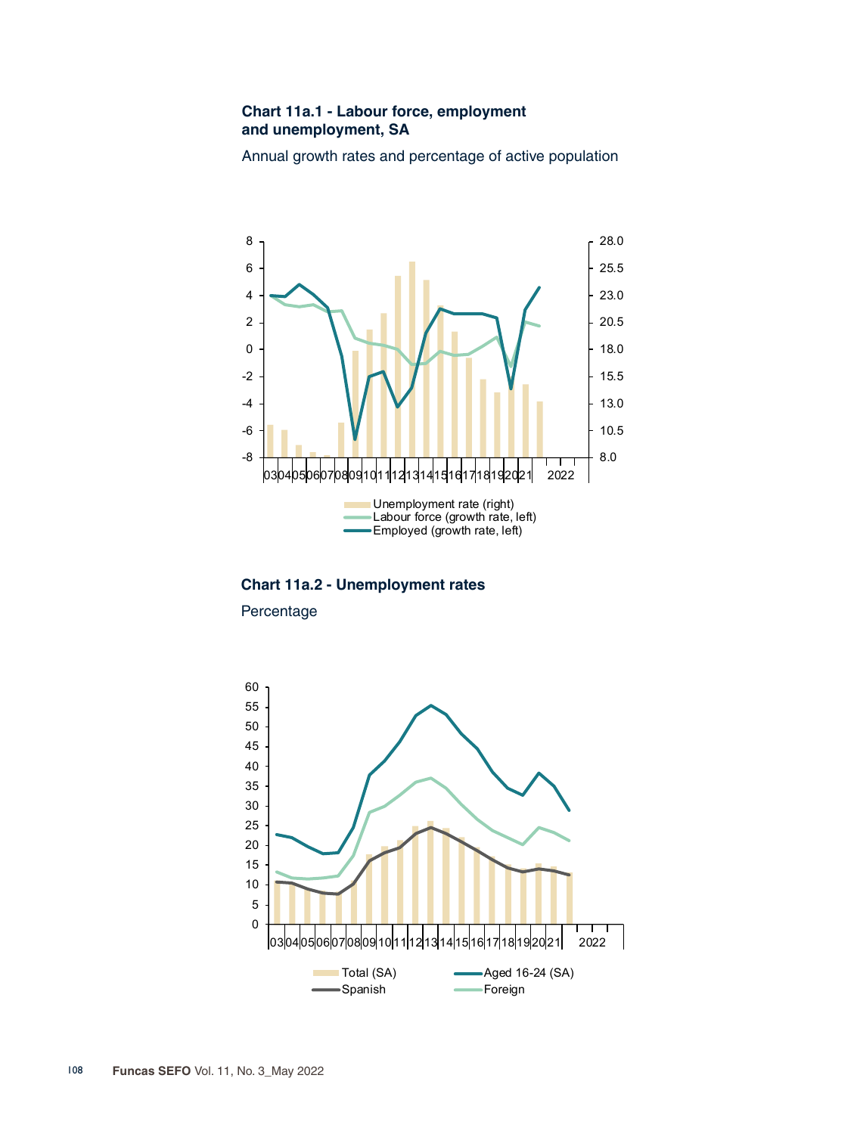## **Chart 11a.1 - Labour force, employment and unemployment, SA**

Annual growth rates and percentage of active population



**Chart 11a.2 - Unemployment rates**

Percentage

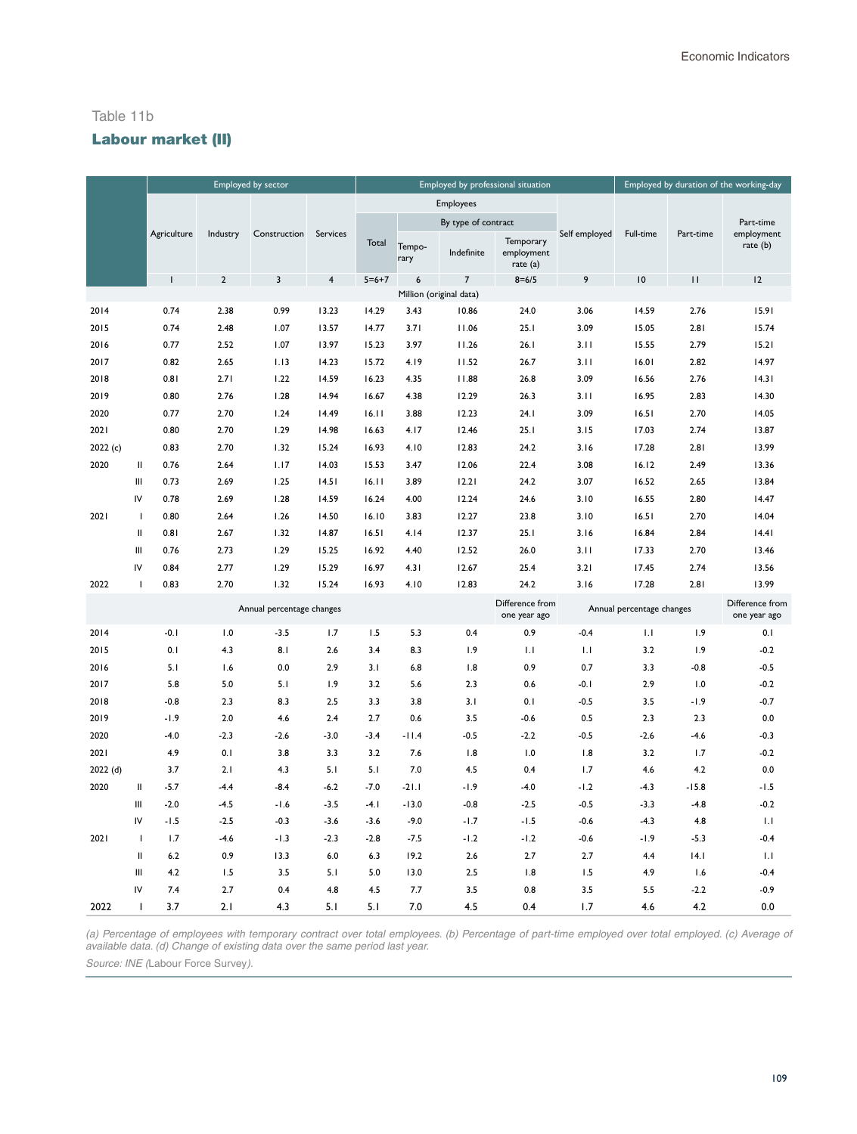#### Table 11b

## Labour market (II)

|         |                |                |                | Employed by sector        |                         |             |                |                         | Employed by professional situation  |               |                           |           | Employed by duration of the working-day |
|---------|----------------|----------------|----------------|---------------------------|-------------------------|-------------|----------------|-------------------------|-------------------------------------|---------------|---------------------------|-----------|-----------------------------------------|
|         |                |                |                |                           |                         |             |                | Employees               |                                     |               |                           |           |                                         |
|         |                |                |                |                           |                         |             |                | By type of contract     |                                     |               |                           |           | Part-time                               |
|         |                | Agriculture    | Industry       | Construction              | Services                | Total       | Tempo-<br>rary | Indefinite              | Temporary<br>employment<br>rate (a) | Self employed | Full-time                 | Part-time | employment<br>rate (b)                  |
|         |                | $\overline{1}$ | $\overline{2}$ | 3                         | $\overline{\mathbf{4}}$ | $5 = 6 + 7$ | 6              | $\overline{7}$          | $8 = 6/5$                           | 9             | $\overline{10}$           | П         | 12                                      |
|         |                |                |                |                           |                         |             |                | Million (original data) |                                     |               |                           |           |                                         |
| 2014    |                | 0.74           | 2.38           | 0.99                      | 13.23                   | 14.29       | 3.43           | 10.86                   | 24.0                                | 3.06          | 14.59                     | 2.76      | 15.91                                   |
| 2015    |                | 0.74           | 2.48           | 1.07                      | 13.57                   | 14.77       | 3.71           | 11.06                   | 25.1                                | 3.09          | 15.05                     | 2.81      | 15.74                                   |
| 2016    |                | 0.77           | 2.52           | 1.07                      | 13.97                   | 15.23       | 3.97           | 11.26                   | 26.1                                | 3.11          | 15.55                     | 2.79      | 15.21                                   |
| 2017    |                | 0.82           | 2.65           | 1.13                      | 14.23                   | 15.72       | 4.19           | 11.52                   | 26.7                                | 3.11          | 16.01                     | 2.82      | 14.97                                   |
| 2018    |                | 0.81           | 2.71           | 1.22                      | 14.59                   | 16.23       | 4.35           | 11.88                   | 26.8                                | 3.09          | 16.56                     | 2.76      | 14.31                                   |
| 2019    |                | 0.80           | 2.76           | 1.28                      | 14.94                   | 16.67       | 4.38           | 12.29                   | 26.3                                | 3.11          | 16.95                     | 2.83      | 14.30                                   |
| 2020    |                | 0.77           | 2.70           | 1.24                      | 14.49                   | 16.11       | 3.88           | 12.23                   | 24.1                                | 3.09          | 16.51                     | 2.70      | 14.05                                   |
| 2021    |                | 0.80           | 2.70           | 1.29                      | 14.98                   | 16.63       | 4.17           | 12.46                   | 25.1                                | 3.15          | 17.03                     | 2.74      | 13.87                                   |
| 2022(c) |                | 0.83           | 2.70           | 1.32                      | 15.24                   | 16.93       | 4.10           | 12.83                   | 24.2                                | 3.16          | 17.28                     | 2.81      | 13.99                                   |
| 2020    | Ш              | 0.76           | 2.64           | 1.17                      | 14.03                   | 15.53       | 3.47           | 12.06                   | 22.4                                | 3.08          | 16.12                     | 2.49      | 13.36                                   |
|         | Ш              | 0.73           | 2.69           | 1.25                      | 14.51                   | 16.11       | 3.89           | 12.21                   | 24.2                                | 3.07          | 16.52                     | 2.65      | 13.84                                   |
|         | IV             | 0.78           | 2.69           | 1.28                      | 14.59                   | 16.24       | 4.00           | 12.24                   | 24.6                                | 3.10          | 16.55                     | 2.80      | 14.47                                   |
| 2021    | J.             | 0.80           | 2.64           | 1.26                      | 14.50                   | 16.10       | 3.83           | 12.27                   | 23.8                                | 3.10          | 16.51                     | 2.70      | 14.04                                   |
|         | Ш              | 0.81           | 2.67           | 1.32                      | 14.87                   | 16.51       | 4.14           | 12.37                   | 25.1                                | 3.16          | 16.84                     | 2.84      | 14.41                                   |
|         | Ш              | 0.76           | 2.73           | 1.29                      | 15.25                   | 16.92       | 4.40           | 12.52                   | 26.0                                | 3.11          | 17.33                     | 2.70      | 13.46                                   |
|         | IV             | 0.84           | 2.77           | 1.29                      | 15.29                   | 16.97       | 4.31           | 12.67                   | 25.4                                | 3.21          | 17.45                     | 2.74      | 13.56                                   |
| 2022    | $\overline{1}$ | 0.83           | 2.70           | 1.32                      | 15.24                   | 16.93       | 4.10           | 12.83                   | 24.2                                | 3.16          | 17.28                     | 2.81      | 13.99                                   |
|         |                |                |                | Annual percentage changes |                         |             |                |                         | Difference from<br>one year ago     |               | Annual percentage changes |           | Difference from<br>one year ago         |
| 2014    |                | $-0.1$         | 1.0            | $-3.5$                    | 1.7                     | 1.5         | 5.3            | 0.4                     | 0.9                                 | $-0.4$        | 1.1                       | 1.9       | 0.1                                     |
| 2015    |                | 0.1            | 4.3            | 8.1                       | 2.6                     | 3.4         | 8.3            | 1.9                     | 1.1                                 | 1.1           | 3.2                       | 1.9       | $-0.2$                                  |
| 2016    |                | 5.1            | 1.6            | 0.0                       | 2.9                     | 3.1         | $6.8$          | 1.8                     | 0.9                                 | 0.7           | 3.3                       | $-0.8$    | $-0.5$                                  |
| 2017    |                | 5.8            | 5.0            | 5.1                       | 1.9                     | 3.2         | 5.6            | 2.3                     | 0.6                                 | $-0.1$        | 2.9                       | 1.0       | $-0.2$                                  |
| 2018    |                | $-0.8$         | 2.3            | 8.3                       | 2.5                     | 3.3         | 3.8            | 3.1                     | 0.1                                 | $-0.5$        | 3.5                       | $-1.9$    | $-0.7$                                  |
| 2019    |                | $-1.9$         | 2.0            | 4.6                       | 2.4                     | 2.7         | 0.6            | 3.5                     | $-0.6$                              | 0.5           | 2.3                       | 2.3       | 0.0                                     |
| 2020    |                | $-4.0$         | $-2.3$         | $-2.6$                    | $-3.0$                  | $-3.4$      | $-11.4$        | $-0.5$                  | $-2.2$                              | $-0.5$        | $-2.6$                    | $-4.6$    | $-0.3$                                  |
| 2021    |                | 4.9            | 0.1            | 3.8                       | 3.3                     | 3.2         | 7.6            | 1.8                     | 1.0                                 | 1.8           | 3.2                       | 1.7       | $-0.2$                                  |
| 2022(d) |                | 3.7            | 2.1            | 4.3                       | 5.1                     | 5.1         | 7.0            | 4.5                     | 0.4                                 | 1.7           | 4.6                       | 4.2       | 0.0                                     |
| 2020    | $\mathbf{I}$   | $-5.7$         | $-4.4$         | $-8.4$                    | $-6.2$                  | $-7.0$      | $-21.1$        | $-1.9$                  | $-4.0$                              | $-1.2$        | $-4.3$                    | $-15.8$   | $-1.5$                                  |
|         | III            | $-2.0$         | $-4.5$         | $-1.6$                    | $-3.5$                  | $-4.1$      | $-13.0$        | $-0.8$                  | $-2.5$                              | $-0.5$        | $-3.3$                    | $-4.8$    | $-0.2$                                  |
|         | IV             | $-1.5$         | $-2.5$         | $-0.3$                    | $-3.6$                  | $-3.6$      | $-9.0$         | $-1.7$                  | $-1.5$                              | $-0.6$        | $-4.3$                    | 4.8       | 1.1                                     |
| 2021    | $\mathbf{I}$   | 1.7            | $-4.6$         | $-1.3$                    | $-2.3$                  | $-2.8$      | $-7.5$         | $-1.2$                  | $-1.2$                              | $-0.6$        | $-1.9$                    | $-5.3$    | $-0.4$                                  |
|         | Ш              | 6.2            | 0.9            | 13.3                      | 6.0                     | 6.3         | 19.2           | 2.6                     | 2.7                                 | 2.7           | 4.4                       | 4.1       | 1.1                                     |
|         | Ш              | 4.2            | 1.5            | 3.5                       | 5.1                     | 5.0         | 13.0           | 2.5                     | 1.8                                 | 1.5           | 4.9                       | 1.6       | $-0.4$                                  |
|         | IV             | 7.4            | 2.7            | 0.4                       | 4.8                     | 4.5         | 7.7            | 3.5                     | 0.8                                 | 3.5           | 5.5                       | $-2.2$    | $-0.9$                                  |
| 2022    | T              | 3.7            | 2.1            | 4.3                       | 5.1                     | 5.1         | 7.0            | 4.5                     | 0.4                                 | 1.7           | 4.6                       | 4.2       | 0.0                                     |

(a) Percentage of employees with temporary contract over total employees. (b) Percentage of part-time employed over total employed. (c) Average of *available data. (d) Change of existing data over the same period last year.* Source: INE *(*Labour Force Survey*).*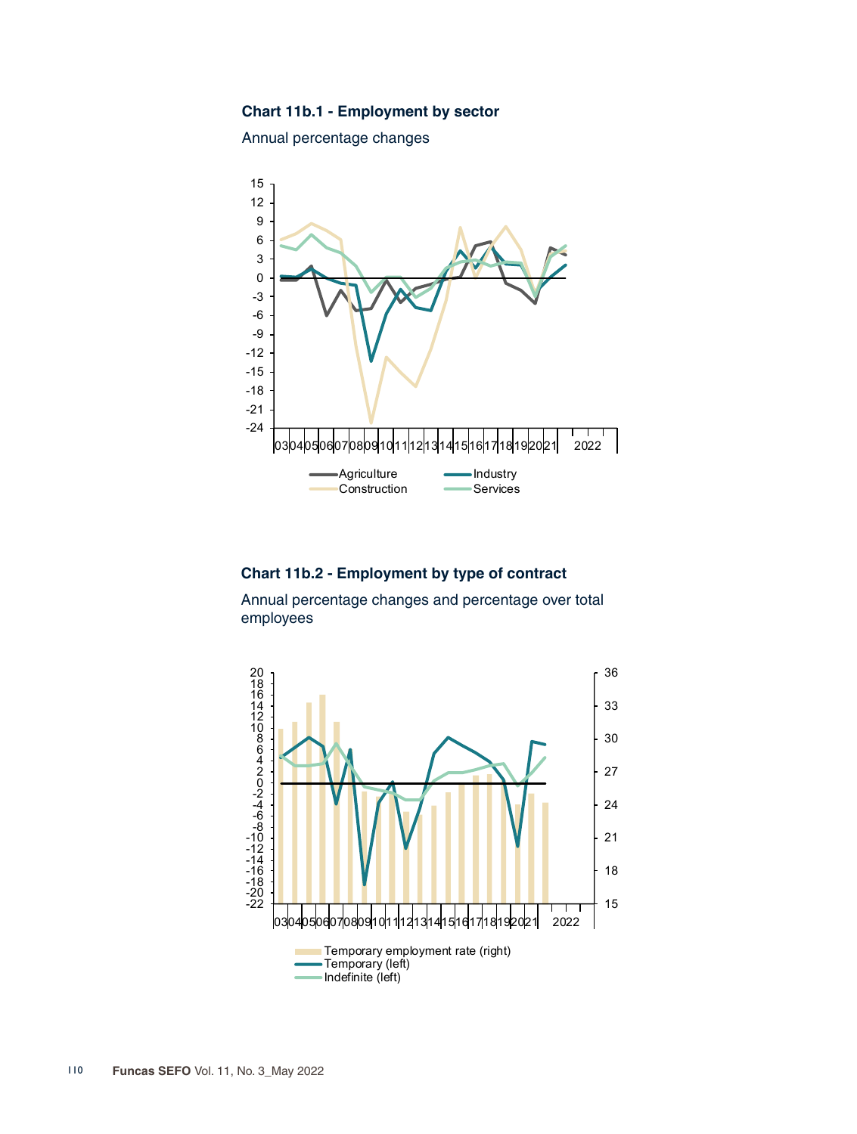## **Chart 11b.1 - Employment by sector**

Annual percentage changes



## **Chart 11b.2 - Employment by type of contract**

Annual percentage changes and percentage over total employees

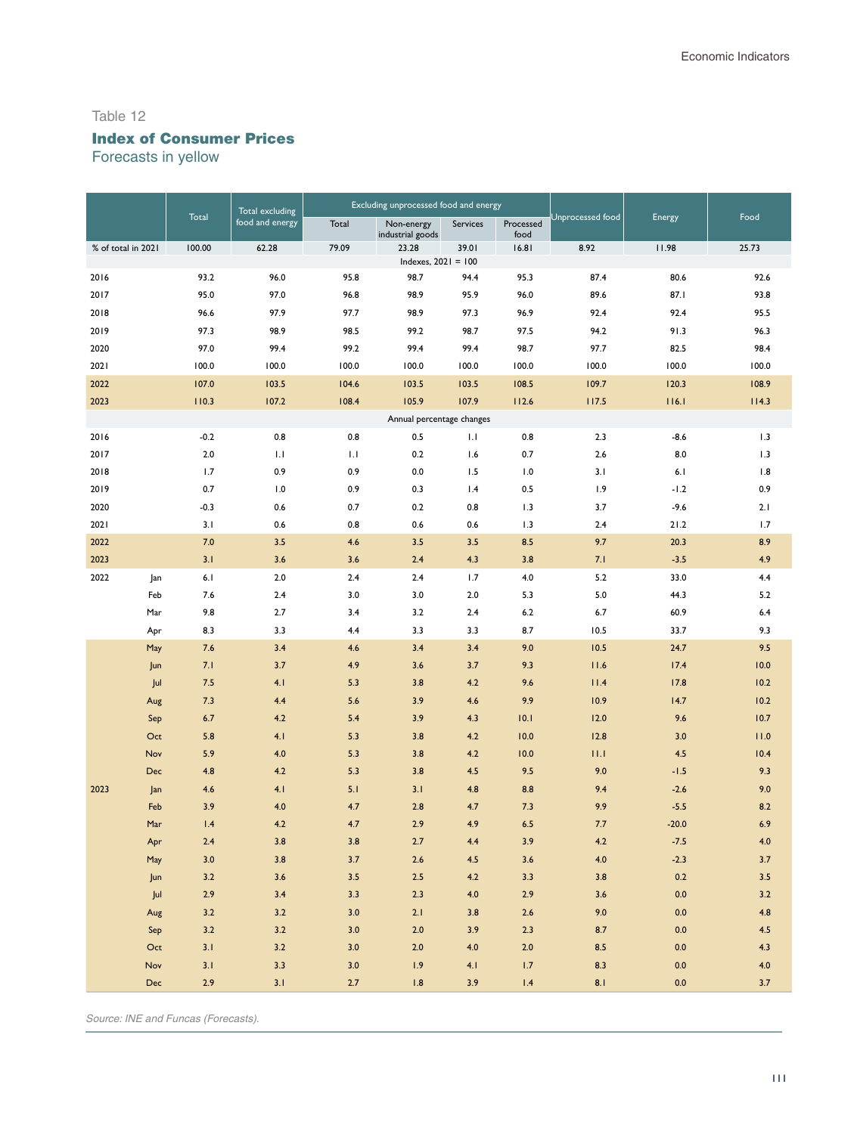# Index of Consumer Prices

Forecasts in yellow

|                    |            | Total excluding |                 | Excluding unprocessed food and energy |                                |              |                   |                         |              |              |
|--------------------|------------|-----------------|-----------------|---------------------------------------|--------------------------------|--------------|-------------------|-------------------------|--------------|--------------|
|                    |            | Total           | food and energy | Total                                 | Non-energy<br>industrial goods | Services     | Processed<br>food | <b>Jnprocessed</b> food | Energy       | Food         |
| % of total in 2021 |            | 100.00          | 62.28           | 79.09                                 | 23.28                          | 39.01        | 16.81             | 8.92                    | 11.98        | 25.73        |
| 2016               |            | 93.2            | 96.0            | 95.8                                  | Indexes, $2021 = 100$<br>98.7  | 94.4         | 95.3              | 87.4                    | 80.6         | 92.6         |
| 2017               |            | 95.0            | 97.0            | 96.8                                  | 98.9                           | 95.9         | 96.0              | 89.6                    | 87.1         | 93.8         |
| 2018               |            | 96.6            | 97.9            | 97.7                                  | 98.9                           | 97.3         | 96.9              | 92.4                    | 92.4         | 95.5         |
|                    |            |                 |                 |                                       |                                |              |                   |                         |              |              |
| 2019<br>2020       |            | 97.3<br>97.0    | 98.9<br>99.4    | 98.5<br>99.2                          | 99.2<br>99.4                   | 98.7<br>99.4 | 97.5              | 94.2<br>97.7            | 91.3<br>82.5 | 96.3<br>98.4 |
| 2021               |            | 100.0           | 100.0           | 100.0                                 | 100.0                          | 100.0        | 98.7<br>100.0     | 100.0                   | 100.0        | 100.0        |
| 2022               |            | 107.0           | 103.5           | 104.6                                 | 103.5                          | 103.5        | 108.5             | 109.7                   | 120.3        | 108.9        |
| 2023               |            | 110.3           | 107.2           | 108.4                                 | 105.9                          | 107.9        | 112.6             | 117.5                   | 116.1        | 114.3        |
|                    |            |                 |                 |                                       | Annual percentage changes      |              |                   |                         |              |              |
| 2016               |            | $-0.2$          | 0.8             | 0.8                                   | 0.5                            | IJ           | 0.8               | 2.3                     | $-8.6$       | 1.3          |
| 2017               |            | $2.0$           | 1.1             | 1.1                                   | 0.2                            | 1.6          | 0.7               | 2.6                     | 8.0          | 1.3          |
| 2018               |            | 1.7             | 0.9             | 0.9                                   | 0.0                            | 1.5          | 1.0               | 3.1                     | 6.1          | 1.8          |
| 2019               |            | 0.7             | 1.0             | 0.9                                   | 0.3                            | 1.4          | 0.5               | 1.9                     | $-1.2$       | 0.9          |
| 2020               |            | $-0.3$          | 0.6             | 0.7                                   | 0.2                            | 0.8          | 1.3               | 3.7                     | $-9.6$       | 2.1          |
| 2021               |            | 3.1             | 0.6             | 0.8                                   | 0.6                            | 0.6          | 1.3               | 2.4                     | 21.2         | 1.7          |
| 2022               |            | 7.0             | 3.5             | 4.6                                   | 3.5                            | 3.5          | 8.5               | 9.7                     | 20.3         | 8.9          |
| 2023               |            | 3.1             | 3.6             | 3.6                                   | 2.4                            | 4.3          | 3.8               | 7.1                     | $-3.5$       | 4.9          |
| 2022               | Jan        | 6.1             | 2.0             | 2.4                                   | 2.4                            | 1.7          | 4.0               | 5.2                     | 33.0         | 4.4          |
|                    | Feb        | 7.6             | 2.4             | 3.0                                   | 3.0                            | 2.0          | 5.3               | 5.0                     | 44.3         | 5.2          |
|                    | Mar        | 9.8             | 2.7             | 3.4                                   | 3.2                            | 2.4          | $6.2$             | 6.7                     | 60.9         | 6.4          |
|                    | Apr        | 8.3             | 3.3             | 4.4                                   | 3.3                            | 3.3          | 8.7               | 10.5                    | 33.7         | 9.3          |
|                    | May        | 7.6             | 3.4             | 4.6                                   | 3.4                            | 3.4          | 9.0               | 10.5                    | 24.7         | 9.5          |
|                    | Jun        | 7.1             | 3.7             | 4.9                                   | 3.6                            | 3.7          | 9.3               | 11.6                    | 17.4         | 10.0         |
|                    | Jul        | 7.5             | 4.1             | 5.3                                   | 3.8                            | 4.2          | 9.6               | 11.4                    | 17.8         | 10.2         |
|                    | Aug        | 7.3             | 4.4             | 5.6                                   | 3.9                            | 4.6          | 9.9               | 10.9                    | 14.7         | 10.2         |
|                    | Sep        | 6.7             | 4.2             | 5.4                                   | 3.9                            | 4.3          | 10.1              | 12.0                    | 9.6          | 10.7         |
|                    | Oct        | 5.8             | 4.1             | 5.3                                   | 3.8                            | 4.2          | 10.0              | 12.8                    | 3.0          | 11.0         |
|                    | Nov        | 5.9             | 4.0             | 5.3                                   | 3.8                            | 4.2          | 10.0              | 11.1                    | 4.5          | 10.4         |
|                    | Dec        | 4.8             | 4.2             | 5.3                                   | 3.8                            | 4.5          | 9.5               | 9.0                     | $-1.5$       | 9.3          |
| 2023               | Jan        | 4.6             | 4.1             | 5.1                                   | 3.1                            | 4.8          | 8.8               | 9.4                     | $-2.6$       | 9.0          |
|                    | Feb        | 3.9             | 4.0             | 4.7                                   | 2.8                            | 4.7          | 7.3               | 9.9                     | $-5.5$       | 8.2          |
|                    | Mar        | 1.4             | 4.2             | 4.7                                   | 2.9                            | 4.9          | 6.5               | 7.7                     | $-20.0$      | 6.9          |
|                    | Apr        | 2.4             | 3.8             | 3.8                                   | 2.7                            | 4.4          | 3.9               | 4.2                     | $-7.5$       | 4.0          |
|                    | May        | 3.0             | 3.8             | 3.7                                   | 2.6                            | 4.5          | 3.6               | 4.0                     | $-2.3$       | 3.7          |
|                    | Jun        | 3.2             | 3.6             | 3.5                                   | $2.5$                          | 4.2          | 3.3               | 3.8                     | 0.2          | 3.5          |
|                    | Jul        | 2.9             | 3.4             | 3.3                                   | 2.3                            | 4.0          | 2.9               | 3.6                     | 0.0          | 3.2          |
|                    | Aug        | 3.2             | 3.2             | $3.0$                                 | 2.1                            | 3.8          | $2.6$             | 9.0                     | $0.0\,$      | 4.8          |
|                    | Sep        | 3.2             | 3.2             | $3.0$                                 | $2.0$                          | 3.9          | 2.3               | 8.7                     | 0.0          | 4.5          |
|                    | Oct        | 3.1             | 3.2             | $3.0\,$                               | $2.0$                          | 4.0          | $2.0$             | 8.5                     | $0.0\,$      | 4.3          |
|                    | Nov        | 3.1             | 3.3             | $3.0\,$                               | 1.9                            | 4.1          | 1.7               | 8.3                     | 0.0          | $4.0$        |
|                    | <b>Dec</b> | 2.9             | 3.1             | $2.7$                                 | 1.8                            | 3.9          | 1.4               | 8.1                     | 0.0          | 3.7          |

*Source: INE and Funcas (Forecasts).*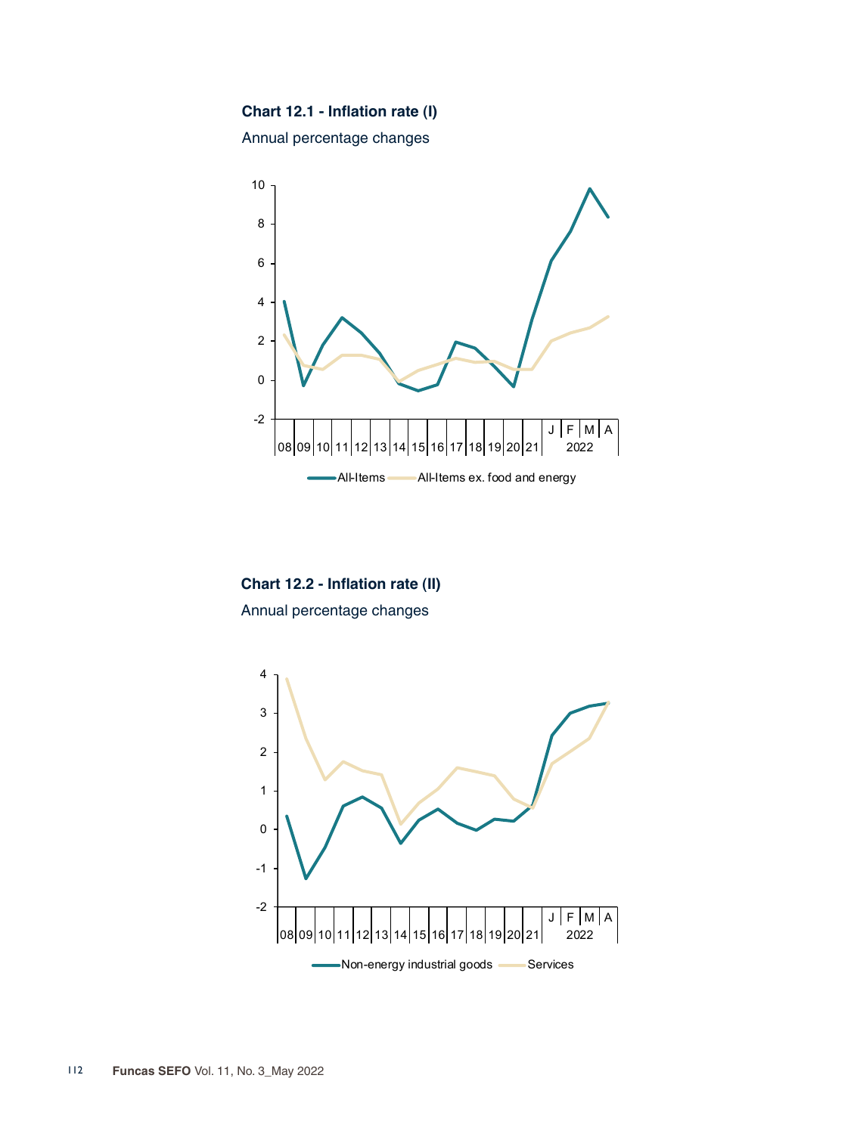# **Chart 12.1 - Inflation rate (I)**

Annual percentage changes



**Chart 12.2 - Inflation rate (II)** Annual percentage changes

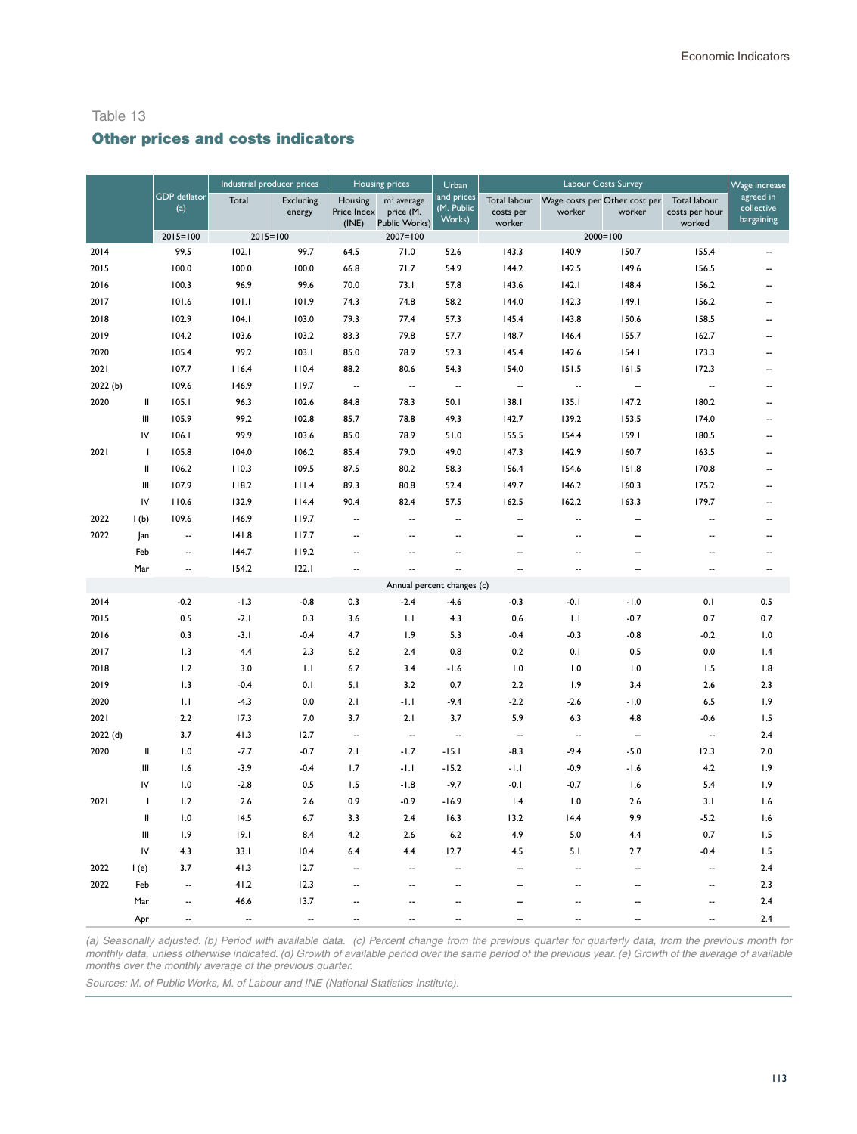## Other prices and costs indicators

|          |               |                            | Industrial producer prices |                            | <b>Housing prices</b>           |                                            | Urban                               |                                     | Wage increase                           |                          |                                          |                                       |
|----------|---------------|----------------------------|----------------------------|----------------------------|---------------------------------|--------------------------------------------|-------------------------------------|-------------------------------------|-----------------------------------------|--------------------------|------------------------------------------|---------------------------------------|
|          |               | <b>GDP</b> deflator<br>(a) | Total                      | <b>Excluding</b><br>energy | Housing<br>Price Index<br>(INE) | $m2$ average<br>price (M.<br>Public Works) | land prices<br>(M. Public<br>Works) | Total labour<br>costs per<br>worker | Wage costs per Other cost per<br>worker | worker                   | Total labour<br>costs per hour<br>worked | agreed in<br>collective<br>bargaining |
|          |               | $2015 = 100$               | $2015 = 100$               |                            |                                 | $2007 = 100$                               |                                     |                                     | $2000 = 100$                            |                          |                                          |                                       |
| 2014     |               | 99.5                       | 102.1                      | 99.7                       | 64.5                            | 71.0                                       | 52.6                                | 143.3                               | 140.9                                   | 150.7                    | 155.4                                    |                                       |
| 2015     |               | 100.0                      | 100.0                      | 100.0                      | 66.8                            | 71.7                                       | 54.9                                | 144.2                               | 142.5                                   | 149.6                    | 156.5                                    | $\ddot{\phantom{a}}$                  |
| 2016     |               | 100.3                      | 96.9                       | 99.6                       | 70.0                            | 73.1                                       | 57.8                                | 143.6                               | 142.1                                   | 148.4                    | 156.2                                    | ٠.                                    |
| 2017     |               | 101.6                      | 101.1                      | 101.9                      | 74.3                            | 74.8                                       | 58.2                                | 144.0                               | 142.3                                   | 149.1                    | 156.2                                    |                                       |
| 2018     |               | 102.9                      | 104.1                      | 103.0                      | 79.3                            | 77.4                                       | 57.3                                | 145.4                               | 143.8                                   | 150.6                    | 158.5                                    | --                                    |
| 2019     |               | 104.2                      | 103.6                      | 103.2                      | 83.3                            | 79.8                                       | 57.7                                | 148.7                               | 146.4                                   | 155.7                    | 162.7                                    | --                                    |
| 2020     |               | 105.4                      | 99.2                       | 103.1                      | 85.0                            | 78.9                                       | 52.3                                | 145.4                               | 142.6                                   | 154.1                    | 173.3                                    |                                       |
| 2021     |               | 107.7                      | 116.4                      | 110.4                      | 88.2                            | 80.6                                       | 54.3                                | 154.0                               | 151.5                                   | 161.5                    | 172.3                                    | --                                    |
| 2022 (b) |               | 109.6                      | 146.9                      | 119.7                      | $\overline{\phantom{a}}$        | $\overline{\phantom{a}}$                   | $\overline{\phantom{a}}$            | --                                  | $\overline{\phantom{a}}$                | --                       | $\overline{\phantom{a}}$                 |                                       |
| 2020     | $\rm{II}$     | 105.1                      | 96.3                       | 102.6                      | 84.8                            | 78.3                                       | 50.1                                | 138.1                               | 135.1                                   | 147.2                    | 180.2                                    | ٠.                                    |
|          | Ш             | 105.9                      | 99.2                       | 102.8                      | 85.7                            | 78.8                                       | 49.3                                | 142.7                               | 139.2                                   | 153.5                    | 174.0                                    | ٠.                                    |
|          | IV            | 106.1                      | 99.9                       | 103.6                      | 85.0                            | 78.9                                       | 51.0                                | 155.5                               | 154.4                                   | 159.1                    | 180.5                                    |                                       |
| 2021     | $\mathbf{I}$  | 105.8                      | 104.0                      | 106.2                      | 85.4                            | 79.0                                       | 49.0                                | 147.3                               | 142.9                                   | 160.7                    | 163.5                                    | $\overline{\phantom{a}}$              |
|          | Ш             | 106.2                      | 110.3                      | 109.5                      | 87.5                            | 80.2                                       | 58.3                                | 156.4                               | 154.6                                   | 161.8                    | 170.8                                    | --                                    |
|          | Ш             | 107.9                      | 118.2                      | 111.4                      | 89.3                            | 80.8                                       | 52.4                                | 149.7                               | 146.2                                   | 160.3                    | 175.2                                    | $\overline{\phantom{a}}$              |
|          | IV            | 110.6                      | 132.9                      | 114.4                      | 90.4                            | 82.4                                       | 57.5                                | 162.5                               | 162.2                                   | 163.3                    | 179.7                                    | $\overline{\phantom{a}}$              |
| 2022     | 1(b)          | 109.6                      | 146.9                      | 119.7                      | $\overline{\phantom{a}}$        | --                                         | --                                  | --                                  | --                                      | --                       | --                                       |                                       |
| 2022     | Jan           | $\overline{\phantom{a}}$   | 141.8                      | 117.7                      | Ξ.                              | $\overline{a}$                             | $\overline{a}$                      | --                                  | ٠.                                      | Ξ.                       | ٠.                                       | ۵.                                    |
|          | Feb           | $\overline{\phantom{a}}$   | 144.7                      | 119.2                      | $\overline{\phantom{a}}$        | $\ddotsc$                                  | Ξ.                                  | ۵.                                  | --                                      | $\sim$                   | ٠.                                       | $\overline{\phantom{a}}$              |
|          | Mar           | $\overline{\phantom{a}}$   | 154.2                      | 122.1                      | $\overline{\phantom{a}}$        | $\overline{\phantom{a}}$                   |                                     | --                                  | --                                      | $\overline{\phantom{a}}$ | $\overline{\phantom{a}}$                 | --                                    |
|          |               |                            |                            |                            |                                 | Annual percent changes (c)                 |                                     |                                     |                                         |                          |                                          |                                       |
| 2014     |               | $-0.2$                     | $-1.3$                     | $-0.8$                     | 0.3                             | $-2.4$                                     | $-4.6$                              | $-0.3$                              | $-0.1$                                  | $-1.0$                   | 0.1                                      | 0.5                                   |
| 2015     |               | 0.5                        | $-2.1$                     | 0.3                        | 3.6                             | 1.1                                        | 4.3                                 | 0.6                                 | 1.1                                     | $-0.7$                   | 0.7                                      | 0.7                                   |
| 2016     |               | 0.3                        | $-3.1$                     | $-0.4$                     | 4.7                             | 1.9                                        | 5.3                                 | $-0.4$                              | $-0.3$                                  | $-0.8$                   | $-0.2$                                   | 1.0                                   |
| 2017     |               | 1.3                        | 4.4                        | 2.3                        | 6.2                             | 2.4                                        | 0.8                                 | 0.2                                 | 0.1                                     | 0.5                      | 0.0                                      | 1.4                                   |
| 2018     |               | 1.2                        | 3.0                        | $\overline{1}$ .           | 6.7                             | 3.4                                        | $-1.6$                              | 1.0                                 | 1.0                                     | 1.0                      | 1.5                                      | 1.8                                   |
| 2019     |               | 1.3                        | $-0.4$                     | 0.1                        | 5.1                             | 3.2                                        | 0.7                                 | 2.2                                 | 1.9                                     | 3.4                      | 2.6                                      | 2.3                                   |
| 2020     |               | 1.1                        | $-4.3$                     | 0.0                        | 2.1                             | $-1.1$                                     | $-9.4$                              | $-2.2$                              | $-2.6$                                  | $-1.0$                   | 6.5                                      | 1.9                                   |
| 2021     |               | 2.2                        | 17.3                       | 7.0                        | 3.7                             | 2.1                                        | 3.7                                 | 5.9                                 | 6.3                                     | 4.8                      | $-0.6$                                   | 1.5                                   |
| 2022 (d) |               | 3.7                        | 41.3                       | 12.7                       | $\overline{\phantom{a}}$        | --                                         | $\overline{\phantom{a}}$            | $\overline{\phantom{a}}$            | $\overline{\phantom{a}}$                | $\overline{\phantom{a}}$ | $\overline{\phantom{a}}$                 | 2.4                                   |
| 2020     | $\mathbf{II}$ | 1.0                        | $-7.7$                     | $-0.7$                     | 2.1                             | $-1.7$                                     | $-15.1$                             | $-8.3$                              | $-9.4$                                  | $-5.0$                   | 12.3                                     | 2.0                                   |
|          | Ш             | 1.6                        | $-3.9$                     | $-0.4$                     | 1.7                             | $-1.1$                                     | $-15.2$                             | $-1.1$                              | $-0.9$                                  | $-1.6$                   | 4.2                                      | 1.9                                   |
|          | IV            | 1.0                        | $-2.8$                     | 0.5                        | 1.5                             | $-1.8$                                     | $-9.7$                              | $-0.1$                              | $-0.7$                                  | 1.6                      | 5.4                                      | 1.9                                   |
| 2021     | $\mathbf{I}$  | 1.2                        | 2.6                        | 2.6                        | 0.9                             | $-0.9$                                     | $-16.9$                             | 1.4                                 | 1.0                                     | 2.6                      | 3.1                                      | 1.6                                   |
|          | $\mathbf{II}$ | 1.0                        | 14.5                       | 6.7                        | 3.3                             | 2.4                                        | 16.3                                | 13.2                                | 14.4                                    | 9.9                      | $-5.2$                                   | 1.6                                   |
|          | Ш             | 1.9                        | 19.1                       | 8.4                        | 4.2                             | 2.6                                        | 6.2                                 | 4.9                                 | 5.0                                     | 4.4                      | 0.7                                      | 1.5                                   |
|          | IV            | 4.3                        | 33.1                       | 10.4                       | 6.4                             | 4.4                                        | 12.7                                | 4.5                                 | 5.1                                     | 2.7                      | $-0.4$                                   | 1.5                                   |
| 2022     | I(e)          | 3.7                        | 41.3                       | 12.7                       | $\sim$                          | $\sim$                                     | ÷.                                  | $\overline{\phantom{a}}$            | $\ddot{\phantom{a}}$                    | $\overline{\phantom{a}}$ | $\overline{\phantom{a}}$                 | 2.4                                   |
| 2022     | Feb           | $\overline{\phantom{a}}$   | 41.2                       | 12.3                       |                                 | Ξ.                                         | Ξ.                                  |                                     |                                         |                          | --                                       | 2.3                                   |
|          | Mar           | $\overline{\phantom{a}}$   | 46.6                       | 13.7                       | $\overline{\phantom{a}}$        | ٠.                                         | ٠.                                  | ٠.                                  | --                                      | $\overline{\phantom{a}}$ | ٠.                                       | 2.4                                   |
|          | Apr           | $\ddot{\phantom{a}}$       | $\ddot{\phantom{a}}$       | ÷.                         | $\overline{\phantom{a}}$        |                                            |                                     |                                     |                                         |                          | $\overline{a}$                           | 2.4                                   |

*(a) Seasonally adjusted. (b) Period with available data. (c) Percent change from the previous quarter for quarterly data, from the previous month for monthly data, unless otherwise indicated. (d) Growth of available period over the same period of the previous year. (e) Growth of the average of available months over the monthly average of the previous quarter.*

*Sources: M. of Public Works, M. of Labour and INE (National Statistics Institute).*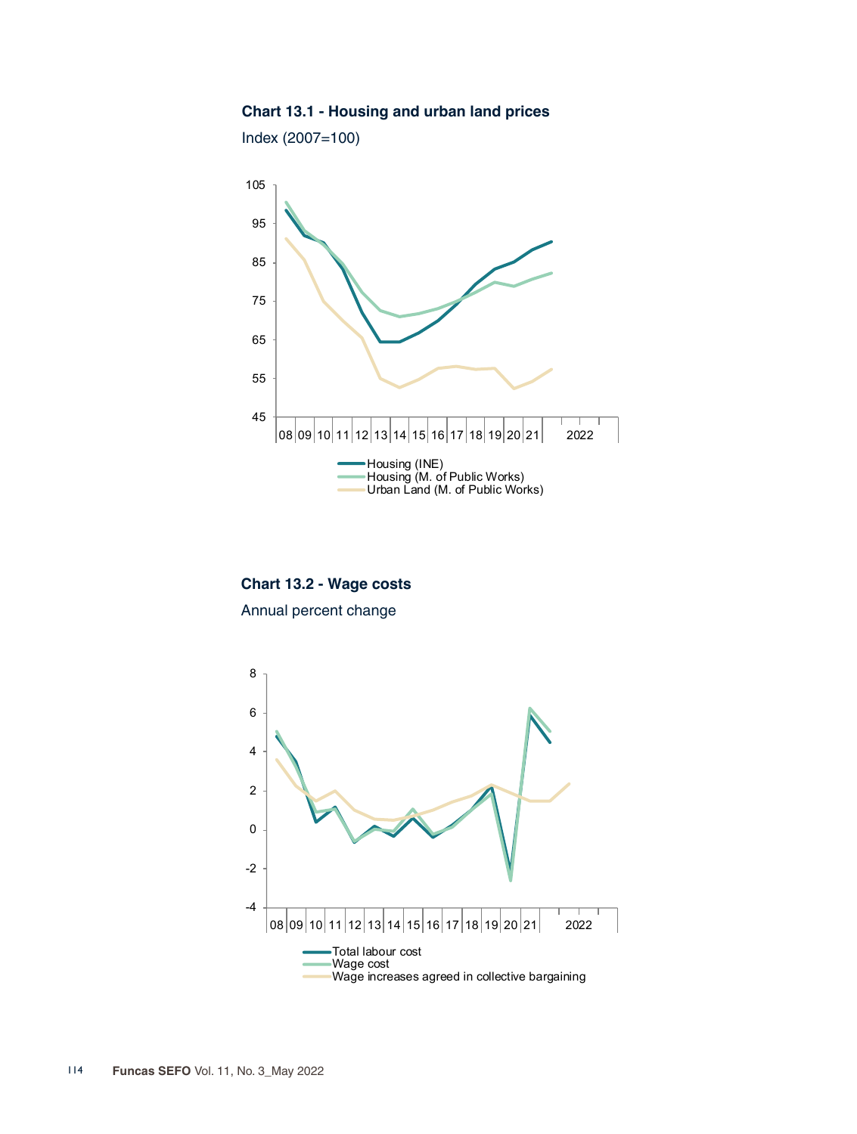## **Chart 13.1 - Housing and urban land prices**

Index (2007=100)



**Chart 13.2 - Wage costs** Annual percent change

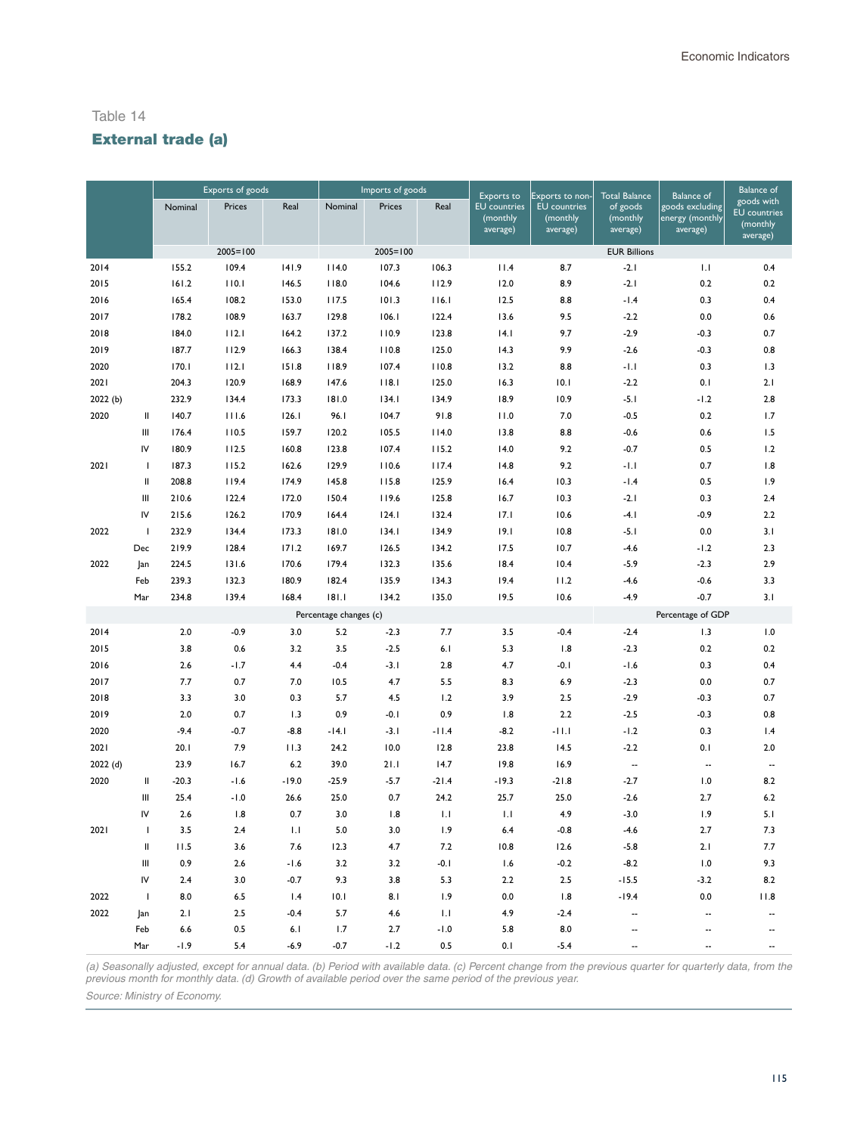# External trade (a)

|         |                                                                                                                                                                                                                                                                                                                                                                                                                                                                                                                                          | Exports of goods |              |               |                        | Imports of goods |               | Exports to                                  | Exports to non-                             | <b>Total Balance</b>             | <b>Balance of</b>                              | <b>Balance</b> of                                         |
|---------|------------------------------------------------------------------------------------------------------------------------------------------------------------------------------------------------------------------------------------------------------------------------------------------------------------------------------------------------------------------------------------------------------------------------------------------------------------------------------------------------------------------------------------------|------------------|--------------|---------------|------------------------|------------------|---------------|---------------------------------------------|---------------------------------------------|----------------------------------|------------------------------------------------|-----------------------------------------------------------|
|         |                                                                                                                                                                                                                                                                                                                                                                                                                                                                                                                                          | Nominal          | Prices       | Real          | Nominal                | Prices           | Real          | <b>EU</b> countries<br>(monthly<br>average) | <b>EU</b> countries<br>(monthly<br>average) | of goods<br>(monthly<br>average) | goods excluding<br>energy (monthly<br>average) | goods with<br><b>EU</b> countries<br>(monthly<br>average) |
|         |                                                                                                                                                                                                                                                                                                                                                                                                                                                                                                                                          |                  | $2005 = 100$ |               |                        | $2005 = 100$     |               |                                             |                                             | <b>EUR Billions</b>              |                                                |                                                           |
| 2014    |                                                                                                                                                                                                                                                                                                                                                                                                                                                                                                                                          | 155.2            | 109.4        | 141.9         | 114.0                  | 107.3            | 106.3         | 11.4                                        | 8.7                                         | $-2.1$                           | 1.1                                            | 0.4                                                       |
| 2015    |                                                                                                                                                                                                                                                                                                                                                                                                                                                                                                                                          | 161.2            | 110.1        | 146.5         | 118.0                  | 104.6            | 112.9         | 12.0                                        | 8.9                                         | $-2.1$                           | 0.2                                            | 0.2                                                       |
| 2016    |                                                                                                                                                                                                                                                                                                                                                                                                                                                                                                                                          | 165.4            | 108.2        | 153.0         | 117.5                  | 101.3            | 116.1         | 12.5                                        | 8.8                                         | $-1.4$                           | 0.3                                            | 0.4                                                       |
| 2017    |                                                                                                                                                                                                                                                                                                                                                                                                                                                                                                                                          | 178.2            | 108.9        | 163.7         | 129.8                  | 106.1            | 122.4         | 13.6                                        | 9.5                                         | $-2.2$                           | 0.0                                            | 0.6                                                       |
| 2018    |                                                                                                                                                                                                                                                                                                                                                                                                                                                                                                                                          | 184.0            | 112.1        | 164.2         | 137.2                  | 110.9            | 123.8         | 14.1                                        | 9.7                                         | $-2.9$                           | $-0.3$                                         | 0.7                                                       |
| 2019    |                                                                                                                                                                                                                                                                                                                                                                                                                                                                                                                                          | 187.7            | 112.9        | 166.3         | 138.4                  | 110.8            | 125.0         | 14.3                                        | 9.9                                         | $-2.6$                           | $-0.3$                                         | 0.8                                                       |
| 2020    |                                                                                                                                                                                                                                                                                                                                                                                                                                                                                                                                          | 170.1            | 112.1        | 151.8         | 118.9                  | 107.4            | 110.8         | 13.2                                        | 8.8                                         | $-1.1$                           | 0.3                                            | 1.3                                                       |
| 2021    |                                                                                                                                                                                                                                                                                                                                                                                                                                                                                                                                          | 204.3            | 120.9        | 168.9         | 147.6                  | 118.1            | 125.0         | 16.3                                        | 10.1                                        | $-2.2$                           | 0.1                                            | 2.1                                                       |
| 2022(b) |                                                                                                                                                                                                                                                                                                                                                                                                                                                                                                                                          | 232.9            | 134.4        | 173.3         | 181.0                  | 134.1            | 134.9         | 18.9                                        | 10.9                                        | $-5.1$                           | $-1.2$                                         | 2.8                                                       |
| 2020    | Ш                                                                                                                                                                                                                                                                                                                                                                                                                                                                                                                                        | 140.7            | 111.6        | 126.1         | 96.I                   | 104.7            | 91.8          | 11.0                                        | 7.0                                         | $-0.5$                           | 0.2                                            | 1.7                                                       |
|         | Ш                                                                                                                                                                                                                                                                                                                                                                                                                                                                                                                                        | 176.4            | 110.5        | 159.7         | 120.2                  | 105.5            | 114.0         | 13.8                                        | 8.8                                         | $-0.6$                           | 0.6                                            | 1.5                                                       |
|         | IV                                                                                                                                                                                                                                                                                                                                                                                                                                                                                                                                       | 180.9            | 112.5        | 160.8         | 123.8                  | 107.4            | 115.2         | 14.0                                        | 9.2                                         | $-0.7$                           | 0.5                                            | 1.2                                                       |
| 2021    | $\mathbf{I}$                                                                                                                                                                                                                                                                                                                                                                                                                                                                                                                             | 187.3            | 115.2        | 162.6         | 129.9                  | 110.6            | 117.4         | 14.8                                        | 9.2                                         | $-1.1$                           | 0.7                                            | 1.8                                                       |
|         | $\mathsf{II}$                                                                                                                                                                                                                                                                                                                                                                                                                                                                                                                            | 208.8            | 119.4        | 174.9         | 145.8                  | 115.8            | 125.9         | 16.4                                        | 10.3                                        | $-1.4$                           | 0.5                                            | 1.9                                                       |
|         | $\mathsf{III}$                                                                                                                                                                                                                                                                                                                                                                                                                                                                                                                           | 210.6            | 122.4        | 172.0         | 150.4                  | 119.6            | 125.8         | 16.7                                        | 10.3                                        | $-2.1$                           | 0.3                                            | 2.4                                                       |
|         | IV                                                                                                                                                                                                                                                                                                                                                                                                                                                                                                                                       | 215.6            | 126.2        | 170.9         | 164.4                  | 124.1            | 132.4         | 17.1                                        | 10.6                                        | $-4.1$                           | $-0.9$                                         | 2.2                                                       |
| 2022    | $\mathbf{I}$                                                                                                                                                                                                                                                                                                                                                                                                                                                                                                                             | 232.9            | 134.4        | 173.3         | 181.0                  | 134.1            | 134.9         | 19.1                                        | 10.8                                        | $-5.1$                           | 0.0                                            | 3.1                                                       |
|         | Dec                                                                                                                                                                                                                                                                                                                                                                                                                                                                                                                                      | 219.9            | 128.4        | 171.2         | 169.7                  | 126.5            | 134.2         | 17.5                                        | 10.7                                        | $-4.6$                           | $-1.2$                                         | 2.3                                                       |
| 2022    | Jan                                                                                                                                                                                                                                                                                                                                                                                                                                                                                                                                      | 224.5            | 131.6        | 170.6         | 179.4                  | 132.3            | 135.6         | 18.4                                        | 10.4                                        | $-5.9$                           | $-2.3$                                         | 2.9                                                       |
|         | Feb                                                                                                                                                                                                                                                                                                                                                                                                                                                                                                                                      | 239.3            | 132.3        | 180.9         | 182.4                  | 135.9            | 134.3         | 19.4                                        | 11.2                                        | $-4.6$                           | $-0.6$                                         | 3.3                                                       |
|         | Mar                                                                                                                                                                                                                                                                                                                                                                                                                                                                                                                                      | 234.8            | 139.4        | 168.4         | 181.1                  | 134.2            | 135.0         | 19.5                                        | 10.6                                        | $-4.9$                           | $-0.7$                                         | 3.1                                                       |
|         |                                                                                                                                                                                                                                                                                                                                                                                                                                                                                                                                          |                  |              |               | Percentage changes (c) |                  |               |                                             |                                             |                                  | Percentage of GDP                              |                                                           |
| 2014    |                                                                                                                                                                                                                                                                                                                                                                                                                                                                                                                                          | 2.0              | $-0.9$       | 3.0           | 5.2                    | $-2.3$           | 7.7           | 3.5                                         | $-0.4$                                      | $-2.4$                           | 1.3                                            | 1.0                                                       |
| 2015    |                                                                                                                                                                                                                                                                                                                                                                                                                                                                                                                                          | 3.8              | 0.6          | 3.2           | 3.5                    | $-2.5$           | 6.1           | 5.3                                         | 1.8                                         | $-2.3$                           | 0.2                                            | 0.2                                                       |
| 2016    |                                                                                                                                                                                                                                                                                                                                                                                                                                                                                                                                          | 2.6              | $-1.7$       | 4.4           | $-0.4$                 | $-3.1$           | 2.8           | 4.7                                         | $-0.1$                                      | $-1.6$                           | 0.3                                            | 0.4                                                       |
| 2017    |                                                                                                                                                                                                                                                                                                                                                                                                                                                                                                                                          | 7.7              | 0.7          | 7.0           | 10.5                   | 4.7              | 5.5           | 8.3                                         | 6.9                                         | $-2.3$                           | 0.0                                            | 0.7                                                       |
| 2018    |                                                                                                                                                                                                                                                                                                                                                                                                                                                                                                                                          | 3.3              | 3.0          | 0.3           | 5.7                    | 4.5              | 1.2           | 3.9                                         | 2.5                                         | $-2.9$                           | $-0.3$                                         | 0.7                                                       |
| 2019    |                                                                                                                                                                                                                                                                                                                                                                                                                                                                                                                                          | 2.0              | 0.7          | 1.3           | 0.9                    | $-0.1$           | 0.9           | 1.8                                         | 2.2                                         | $-2.5$                           | $-0.3$                                         | 0.8                                                       |
| 2020    |                                                                                                                                                                                                                                                                                                                                                                                                                                                                                                                                          | $-9.4$           | $-0.7$       | $-8.8$        | $-14.1$                | $-3.1$           | $-11.4$       | $-8.2$                                      | $-11.1$                                     | $-1.2$                           | 0.3                                            | 1.4                                                       |
| 2021    |                                                                                                                                                                                                                                                                                                                                                                                                                                                                                                                                          | 20.1             | 7.9          | 11.3          | 24.2                   | 10.0             | 12.8          | 23.8                                        | 14.5                                        | $-2.2$                           | 0.1                                            | 2.0                                                       |
| 2022(d) |                                                                                                                                                                                                                                                                                                                                                                                                                                                                                                                                          | 23.9             | 16.7         | $6.2\,$       | 39.0                   | 21.1             | 14.7          | 19.8                                        | 16.9                                        | $\overline{\phantom{a}}$         | $\overline{\phantom{a}}$                       | --                                                        |
| 2020    | $\mathop{\mathrm{II}}% \nolimits_{\mathop{\mathrm{II}}% \nolimits} \mathop{\mathrm{II}}% \nolimits_{\mathop{\mathrm{II}}% \nolimits} \mathop{\mathrm{II}}% \nolimits_{\mathop{\mathrm{II}}% \nolimits} \mathop{\mathrm{II}}% \nolimits_{\mathop{\mathrm{II}}% \nolimits} \mathop{\mathrm{II}}% \nolimits_{\mathop{\mathrm{II}}% \nolimits} \mathop{\mathrm{II}}% \nolimits_{\mathop{\mathrm{II}}% \nolimits} \mathop{\mathrm{II}}% \nolimits_{\mathop{\mathrm{II}}% \nolimits} \mathop{\mathrm{II}}% \nolimits_{\mathop{\mathrm{II}}% \$ | $-20.3$          | $-1.6$       | $-19.0$       | $-25.9$                | $-5.7$           | $-21.4$       | $-19.3$                                     | $-21.8$                                     | $-2.7$                           | 1.0                                            | 8.2                                                       |
|         | Ш                                                                                                                                                                                                                                                                                                                                                                                                                                                                                                                                        | 25.4             | $-1.0$       | 26.6          | 25.0                   | 0.7              | 24.2          | 25.7                                        | 25.0                                        | $-2.6$                           | 2.7                                            | 6.2                                                       |
|         | IV                                                                                                                                                                                                                                                                                                                                                                                                                                                                                                                                       | 2.6              | 1.8          | 0.7           | 3.0                    | 1.8              | 1.1           | 1.1                                         | 4.9                                         | $-3.0$                           | 1.9                                            | 5.1                                                       |
| 2021    | $\mathbf{I}$                                                                                                                                                                                                                                                                                                                                                                                                                                                                                                                             | 3.5              | 2.4          | 1.1           | 5.0                    | 3.0              | 1.9           | 6.4                                         | $-0.8$                                      | $-4.6$                           | 2.7                                            | 7.3                                                       |
|         | $\,$ II                                                                                                                                                                                                                                                                                                                                                                                                                                                                                                                                  | 11.5             | 3.6          | 7.6           | 12.3                   | 4.7              | 7.2           | 10.8                                        | 12.6                                        | $-5.8$                           | 2.1                                            | 7.7                                                       |
|         | Ш                                                                                                                                                                                                                                                                                                                                                                                                                                                                                                                                        | 0.9              | 2.6          | $-1.6$        | 3.2                    | 3.2              | $-0.1$        | 1.6                                         | $-0.2$                                      | $-8.2$                           | 1.0                                            | 9.3                                                       |
|         | IV                                                                                                                                                                                                                                                                                                                                                                                                                                                                                                                                       | 2.4              | 3.0          | $-0.7$        | 9.3                    | 3.8              | 5.3           | 2.2                                         | 2.5                                         | $-15.5$                          | $-3.2$                                         | 8.2                                                       |
| 2022    | J.                                                                                                                                                                                                                                                                                                                                                                                                                                                                                                                                       | 8.0              | 6.5          | 1.4           | 10.1                   | 8.1              | 1.9           | 0.0                                         | 1.8                                         | $-19.4$                          | 0.0                                            | 11.8                                                      |
| 2022    | Jan                                                                                                                                                                                                                                                                                                                                                                                                                                                                                                                                      | 2.1              | 2.5          | $-0.4$        | 5.7                    | 4.6              | 1.1           | 4.9                                         | $-2.4$                                      |                                  |                                                |                                                           |
|         | Feb<br>Mar                                                                                                                                                                                                                                                                                                                                                                                                                                                                                                                               | 6.6<br>$-1.9$    | 0.5<br>5.4   | 6.1<br>$-6.9$ | 1.7<br>$-0.7$          | 2.7<br>$-1.2$    | $-1.0$<br>0.5 | 5.8<br>0.1                                  | 8.0<br>$-5.4$                               |                                  |                                                |                                                           |
|         |                                                                                                                                                                                                                                                                                                                                                                                                                                                                                                                                          |                  |              |               |                        |                  |               |                                             |                                             |                                  |                                                |                                                           |

*(a) Seasonally adjusted, except for annual data. (b) Period with available data. (c) Percent change from the previous quarter for quarterly data, from the previous month for monthly data. (d) Growth of available period over the same period of the previous year.* 

*Source: Ministry of Economy.*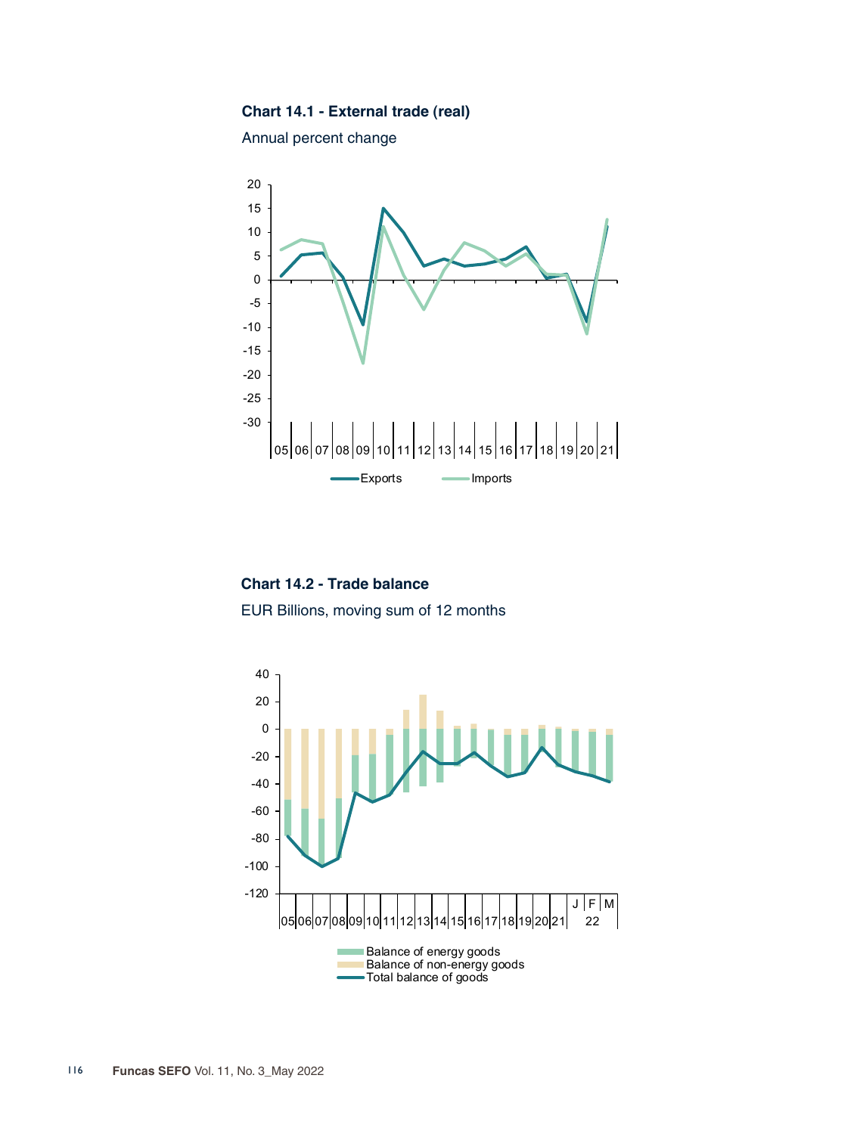## **Chart 14.1 - External trade (real)**

Annual percent change



**Chart 14.2 - Trade balance** EUR Billions, moving sum of 12 months

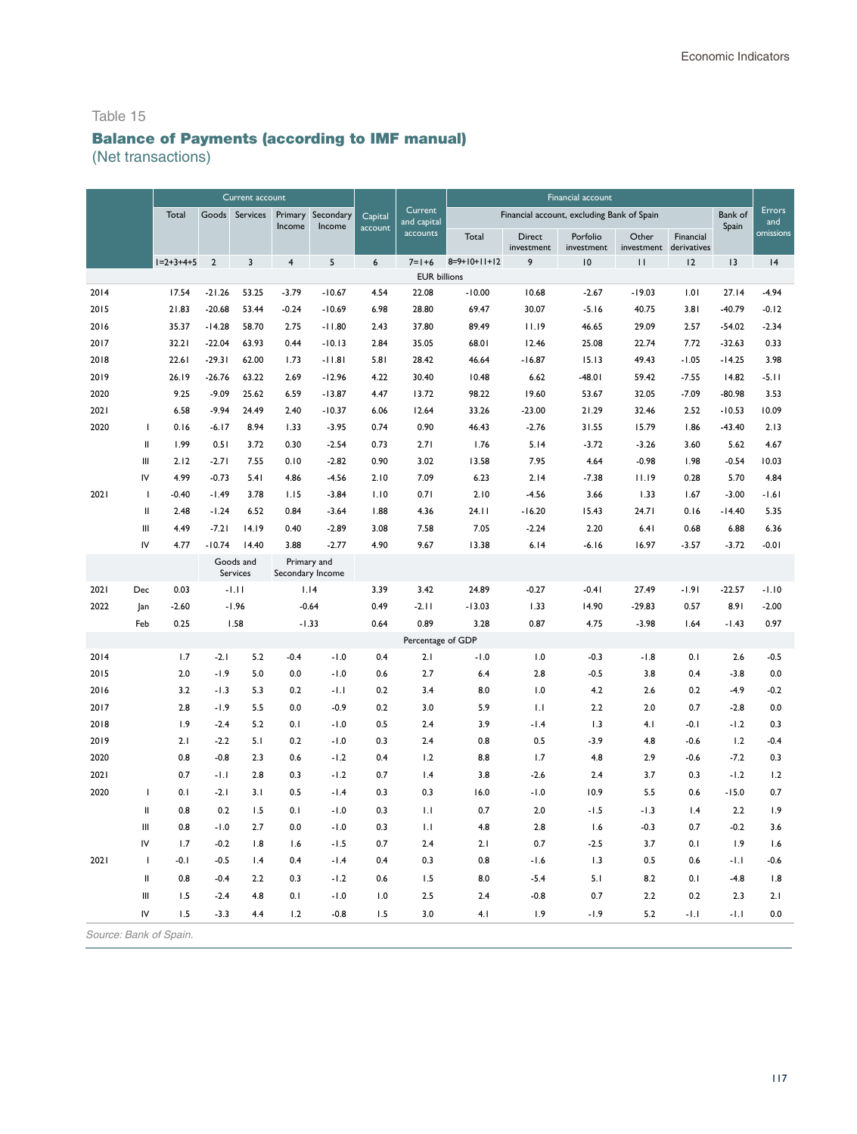# Balance of Payments (according to IMF manual)

(Net transactions)

|      |                                                                                                                                                                                                                                                                                                                                                                                                                                                                                                                                          | Current account                                 |                |                       |                         |                                 |                  | Financial account   |                                            |                      |                        |                                 |               |          |           |
|------|------------------------------------------------------------------------------------------------------------------------------------------------------------------------------------------------------------------------------------------------------------------------------------------------------------------------------------------------------------------------------------------------------------------------------------------------------------------------------------------------------------------------------------------|-------------------------------------------------|----------------|-----------------------|-------------------------|---------------------------------|------------------|---------------------|--------------------------------------------|----------------------|------------------------|---------------------------------|---------------|----------|-----------|
|      |                                                                                                                                                                                                                                                                                                                                                                                                                                                                                                                                          | Total<br>Goods<br>Services<br>Primary<br>Income |                | Secondary<br>Income   | Capital<br>account      | Current<br>and capital          |                  |                     | Financial account, excluding Bank of Spain |                      |                        | Bank of<br>Spain                | Errors<br>and |          |           |
|      |                                                                                                                                                                                                                                                                                                                                                                                                                                                                                                                                          |                                                 |                |                       |                         |                                 |                  | accounts            | Total                                      | Direct<br>investment | Porfolio<br>investment | Other<br>investment derivatives | Financial     |          | omissions |
|      |                                                                                                                                                                                                                                                                                                                                                                                                                                                                                                                                          | $1=2+3+4+5$                                     | $\overline{2}$ | $\overline{3}$        | $\overline{\mathbf{4}}$ | $\sqrt{5}$                      | $\boldsymbol{6}$ | $7 = 1 + 6$         | $8=9+10+11+12$                             | 9                    | 10                     | $\mathbf{H}$                    | 12            | 13       | 4         |
|      |                                                                                                                                                                                                                                                                                                                                                                                                                                                                                                                                          |                                                 |                |                       |                         |                                 |                  | <b>EUR billions</b> |                                            |                      |                        |                                 |               |          |           |
| 2014 |                                                                                                                                                                                                                                                                                                                                                                                                                                                                                                                                          | 17.54                                           | $-21.26$       | 53.25                 | $-3.79$                 | $-10.67$                        | 4.54             | 22.08               | $-10.00$                                   | 10.68                | $-2.67$                | $-19.03$                        | 1.01          | 27.14    | $-4.94$   |
| 2015 |                                                                                                                                                                                                                                                                                                                                                                                                                                                                                                                                          | 21.83                                           | $-20.68$       | 53.44                 | $-0.24$                 | $-10.69$                        | 6.98             | 28.80               | 69.47                                      | 30.07                | $-5.16$                | 40.75                           | 3.81          | $-40.79$ | $-0.12$   |
| 2016 |                                                                                                                                                                                                                                                                                                                                                                                                                                                                                                                                          | 35.37                                           | $-14.28$       | 58.70                 | 2.75                    | $-11.80$                        | 2.43             | 37.80               | 89.49                                      | 11.19                | 46.65                  | 29.09                           | 2.57          | $-54.02$ | $-2.34$   |
| 2017 |                                                                                                                                                                                                                                                                                                                                                                                                                                                                                                                                          | 32.21                                           | $-22.04$       | 63.93                 | 0.44                    | $-10.13$                        | 2.84             | 35.05               | 68.01                                      | 12.46                | 25.08                  | 22.74                           | 7.72          | $-32.63$ | 0.33      |
| 2018 |                                                                                                                                                                                                                                                                                                                                                                                                                                                                                                                                          | 22.61                                           | $-29.31$       | 62.00                 | 1.73                    | $-11.81$                        | 5.81             | 28.42               | 46.64                                      | $-16.87$             | 15.13                  | 49.43                           | $-1.05$       | $-14.25$ | 3.98      |
| 2019 |                                                                                                                                                                                                                                                                                                                                                                                                                                                                                                                                          | 26.19                                           | $-26.76$       | 63.22                 | 2.69                    | $-12.96$                        | 4.22             | 30.40               | 10.48                                      | 6.62                 | $-48.01$               | 59.42                           | $-7.55$       | 14.82    | $-5.11$   |
| 2020 |                                                                                                                                                                                                                                                                                                                                                                                                                                                                                                                                          | 9.25                                            | $-9.09$        | 25.62                 | 6.59                    | $-13.87$                        | 4.47             | 13.72               | 98.22                                      | 19.60                | 53.67                  | 32.05                           | $-7.09$       | $-80.98$ | 3.53      |
| 2021 |                                                                                                                                                                                                                                                                                                                                                                                                                                                                                                                                          | 6.58                                            | $-9.94$        | 24.49                 | 2.40                    | $-10.37$                        | 6.06             | 12.64               | 33.26                                      | $-23.00$             | 21.29                  | 32.46                           | 2.52          | $-10.53$ | 10.09     |
| 2020 | I                                                                                                                                                                                                                                                                                                                                                                                                                                                                                                                                        | 0.16                                            | $-6.17$        | 8.94                  | 1.33                    | $-3.95$                         | 0.74             | 0.90                | 46.43                                      | $-2.76$              | 31.55                  | 15.79                           | 1.86          | $-43.40$ | 2.13      |
|      | $\sf II$                                                                                                                                                                                                                                                                                                                                                                                                                                                                                                                                 | 1.99                                            | 0.51           | 3.72                  | 0.30                    | $-2.54$                         | 0.73             | 2.71                | 1.76                                       | 5.14                 | $-3.72$                | $-3.26$                         | 3.60          | 5.62     | 4.67      |
|      | Ш                                                                                                                                                                                                                                                                                                                                                                                                                                                                                                                                        | 2.12                                            | $-2.71$        | 7.55                  | 0.10                    | $-2.82$                         | 0.90             | 3.02                | 13.58                                      | 7.95                 | 4.64                   | $-0.98$                         | 1.98          | $-0.54$  | 10.03     |
|      | IV                                                                                                                                                                                                                                                                                                                                                                                                                                                                                                                                       | 4.99                                            | $-0.73$        | 5.41                  | 4.86                    | $-4.56$                         | 2.10             | 7.09                | 6.23                                       | 2.14                 | $-7.38$                | 11.19                           | 0.28          | 5.70     | 4.84      |
| 2021 | I                                                                                                                                                                                                                                                                                                                                                                                                                                                                                                                                        | $-0.40$                                         | $-1.49$        | 3.78                  | 1.15                    | $-3.84$                         | 1.10             | 0.71                | 2.10                                       | $-4.56$              | 3.66                   | 1.33                            | 1.67          | $-3.00$  | $-1.61$   |
|      | $\sf II$                                                                                                                                                                                                                                                                                                                                                                                                                                                                                                                                 | 2.48                                            | $-1.24$        | 6.52                  | 0.84                    | $-3.64$                         | 1.88             | 4.36                | 24.11                                      | $-16.20$             | 15.43                  | 24.71                           | 0.16          | $-14.40$ | 5.35      |
|      | Ш                                                                                                                                                                                                                                                                                                                                                                                                                                                                                                                                        | 4.49                                            | $-7.21$        | 14.19                 | 0.40                    | $-2.89$                         | 3.08             | 7.58                | 7.05                                       | $-2.24$              | 2.20                   | 6.41                            | 0.68          | 6.88     | 6.36      |
|      | IV                                                                                                                                                                                                                                                                                                                                                                                                                                                                                                                                       | 4.77                                            | $-10.74$       | 14.40                 | 3.88                    | $-2.77$                         | 4.90             | 9.67                | 13.38                                      | 6.14                 | $-6.16$                | 16.97                           | $-3.57$       | $-3.72$  | $-0.01$   |
|      |                                                                                                                                                                                                                                                                                                                                                                                                                                                                                                                                          |                                                 |                | Goods and<br>Services |                         | Primary and<br>Secondary Income |                  |                     |                                            |                      |                        |                                 |               |          |           |
| 2021 | Dec                                                                                                                                                                                                                                                                                                                                                                                                                                                                                                                                      | 0.03                                            |                | $-1.11$               |                         | 1.14                            | 3.39             | 3.42                | 24.89                                      | $-0.27$              | $-0.41$                | 27.49                           | $-1.91$       | $-22.57$ | $-1.10$   |
| 2022 | ]an                                                                                                                                                                                                                                                                                                                                                                                                                                                                                                                                      | $-2.60$                                         |                | $-1.96$               |                         | $-0.64$                         | 0.49             | $-2.11$             | $-13.03$                                   | 1.33                 | 14.90                  | $-29.83$                        | 0.57          | 8.91     | $-2.00$   |
|      | Feb                                                                                                                                                                                                                                                                                                                                                                                                                                                                                                                                      | 0.25                                            |                | 1.58                  |                         | $-1.33$                         | 0.64             | 0.89                | 3.28                                       | 0.87                 | 4.75                   | $-3.98$                         | 1.64          | $-1.43$  | 0.97      |
|      |                                                                                                                                                                                                                                                                                                                                                                                                                                                                                                                                          |                                                 |                |                       |                         |                                 |                  | Percentage of GDP   |                                            |                      |                        |                                 |               |          |           |
| 2014 |                                                                                                                                                                                                                                                                                                                                                                                                                                                                                                                                          | 1.7                                             | $-2.1$         | 5.2                   | $-0.4$                  | $-1.0$                          | 0.4              | 2.1                 | $-1.0$                                     | 1.0                  | $-0.3$                 | $-1.8$                          | 0.1           | 2.6      | $-0.5$    |
| 2015 |                                                                                                                                                                                                                                                                                                                                                                                                                                                                                                                                          | 2.0                                             | $-1.9$         | 5.0                   | 0.0                     | $-1.0$                          | 0.6              | 2.7                 | 6.4                                        | 2.8                  | $-0.5$                 | 3.8                             | 0.4           | $-3.8$   | 0.0       |
| 2016 |                                                                                                                                                                                                                                                                                                                                                                                                                                                                                                                                          | 3.2                                             | $-1.3$         | 5.3                   | 0.2                     | $-1.1$                          | 0.2              | 3.4                 | 8.0                                        | 1.0                  | 4.2                    | 2.6                             | 0.2           | $-4.9$   | $-0.2$    |
| 2017 |                                                                                                                                                                                                                                                                                                                                                                                                                                                                                                                                          | 2.8                                             | $-1.9$         | 5.5                   | 0.0                     | $-0.9$                          | 0.2              | 3.0                 | 5.9                                        | 1.1                  | 2.2                    | 2.0                             | 0.7           | $-2.8$   | 0.0       |
| 2018 |                                                                                                                                                                                                                                                                                                                                                                                                                                                                                                                                          | 1.9                                             | $-2.4$         | 5.2                   | 0.1                     | $-1.0$                          | 0.5              | 2.4                 | 3.9                                        | $-1.4$               | 1.3                    | 4.1                             | $-0.1$        | $-1.2$   | 0.3       |
| 2019 |                                                                                                                                                                                                                                                                                                                                                                                                                                                                                                                                          | 2.1                                             | $-2.2$         | 5.1                   | 0.2                     | $-1.0$                          | 0.3              | 2.4                 | 0.8                                        | 0.5                  | $-3.9$                 | 4.8                             | $-0.6$        | 1.2      | $-0.4$    |
| 2020 |                                                                                                                                                                                                                                                                                                                                                                                                                                                                                                                                          | 0.8                                             | $-0.8$         | 2.3                   | 0.6                     | $-1.2$                          | 0.4              | 1.2                 | 8.8                                        | 1.7                  | 4.8                    | 2.9                             | $-0.6$        | $-7.2$   | 0.3       |
| 2021 |                                                                                                                                                                                                                                                                                                                                                                                                                                                                                                                                          | 0.7                                             | $-1.1$         | 2.8                   | 0.3                     | $-1.2$                          | 0.7              | 1.4                 | 3.8                                        | $-2.6$               | 2.4                    | 3.7                             | 0.3           | $-1.2$   | 1.2       |
| 2020 | $\mathbf{I}$                                                                                                                                                                                                                                                                                                                                                                                                                                                                                                                             | 0.1                                             | $-2.1$         | 3.1                   | 0.5                     | $-1.4$                          | 0.3              | 0.3                 | 16.0                                       | $-1.0$               | 10.9                   | 5.5                             | 0.6           | $-15.0$  | 0.7       |
|      | $\mathop{\mathrm{II}}% \nolimits_{\mathop{\mathrm{II}}% \nolimits} \mathop{\mathrm{II}}% \nolimits_{\mathop{\mathrm{II}}% \nolimits} \mathop{\mathrm{II}}% \nolimits_{\mathop{\mathrm{II}}% \nolimits} \mathop{\mathrm{II}}% \nolimits_{\mathop{\mathrm{II}}% \nolimits} \mathop{\mathrm{II}}% \nolimits_{\mathop{\mathrm{II}}% \nolimits} \mathop{\mathrm{II}}% \nolimits_{\mathop{\mathrm{II}}% \nolimits} \mathop{\mathrm{II}}% \nolimits_{\mathop{\mathrm{II}}% \nolimits} \mathop{\mathrm{II}}% \nolimits_{\mathop{\mathrm{II}}% \$ | 0.8                                             | 0.2            | 1.5                   | 0.1                     | $-1.0$                          | 0.3              | 1.1                 | 0.7                                        | 2.0                  | $-1.5$                 | $-1.3$                          | 1.4           | 2.2      | 1.9       |
|      | Ш                                                                                                                                                                                                                                                                                                                                                                                                                                                                                                                                        | 0.8                                             | $-1.0$         | 2.7                   | 0.0                     | $-1.0$                          | 0.3              | 1.1                 | 4.8                                        | 2.8                  | 1.6                    | $-0.3$                          | 0.7           | $-0.2$   | 3.6       |
|      | IV                                                                                                                                                                                                                                                                                                                                                                                                                                                                                                                                       | 1.7                                             | $-0.2$         | 1.8                   | 1.6                     | $-1.5$                          | 0.7              | 2.4                 | 2.1                                        | 0.7                  | $-2.5$                 | 3.7                             | 0.1           | 1.9      | 1.6       |
| 2021 | $\overline{1}$                                                                                                                                                                                                                                                                                                                                                                                                                                                                                                                           | $-0.1$                                          | $-0.5$         | 1.4                   | 0.4                     | $-1.4$                          | 0.4              | 0.3                 | 0.8                                        | $-1.6$               | 1.3                    | 0.5                             | 0.6           | $-1.1$   | $-0.6$    |
|      | $\sf II$                                                                                                                                                                                                                                                                                                                                                                                                                                                                                                                                 | 0.8                                             | $-0.4$         | 2.2                   | 0.3                     | $-1.2$                          | 0.6              | 1.5                 | 8.0                                        | $-5.4$               | 5.1                    | 8.2                             | 0.1           | $-4.8$   | 1.8       |
|      | Ш                                                                                                                                                                                                                                                                                                                                                                                                                                                                                                                                        | 1.5                                             | $-2.4$         | 4.8                   | 0.1                     | $-1.0$                          | 1.0              | 2.5                 | 2.4                                        | $-0.8$               | 0.7                    | 2.2                             | 0.2           | 2.3      | 2.1       |
|      | IV                                                                                                                                                                                                                                                                                                                                                                                                                                                                                                                                       | 1.5                                             | $-3.3$         | 4.4                   | 1.2                     | $-0.8$                          | 1.5              | 3.0                 | 4.1                                        | 1.9                  | $-1.9$                 | 5.2                             | $-1.1$        | $-1.1$   | 0.0       |
|      |                                                                                                                                                                                                                                                                                                                                                                                                                                                                                                                                          |                                                 |                |                       |                         |                                 |                  |                     |                                            |                      |                        |                                 |               |          |           |

Source: Bank of Spain.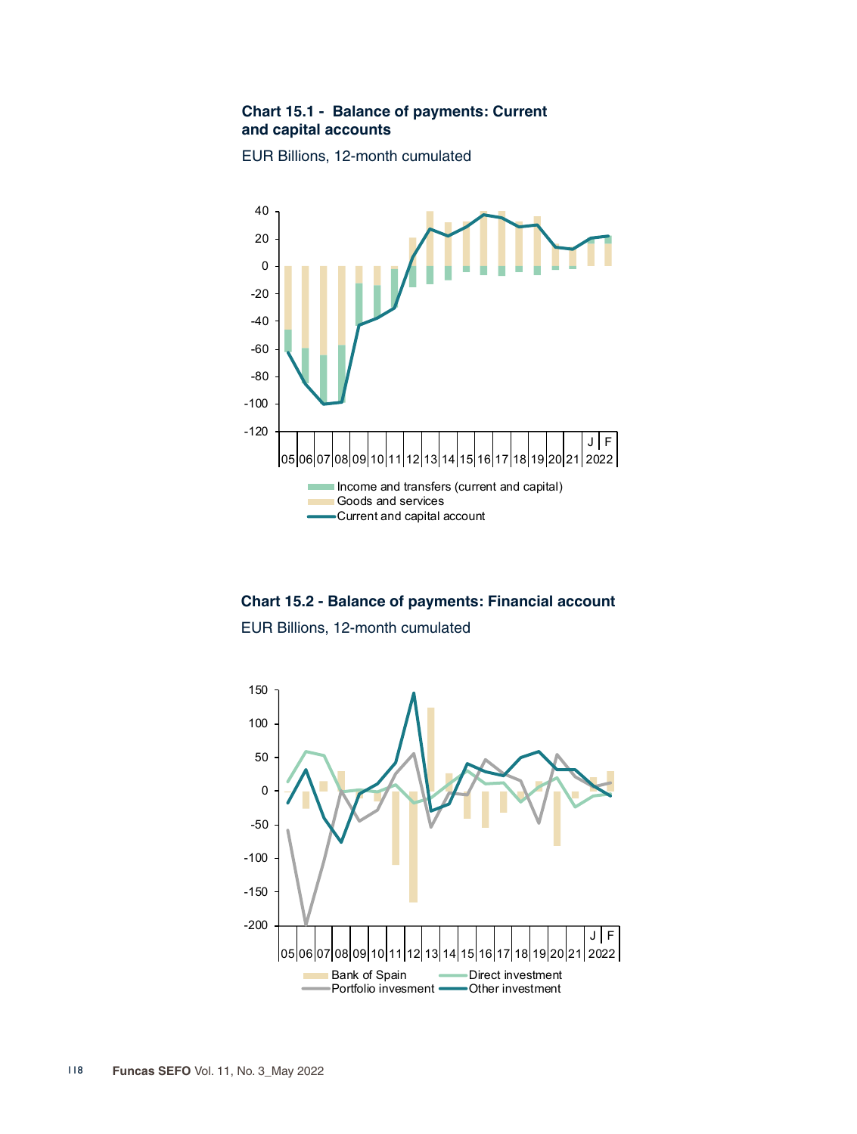## **Chart 15.1 - Balance of payments: Current and capital accounts**





**Chart 15.2 - Balance of payments: Financial account**

EUR Billions, 12-month cumulated

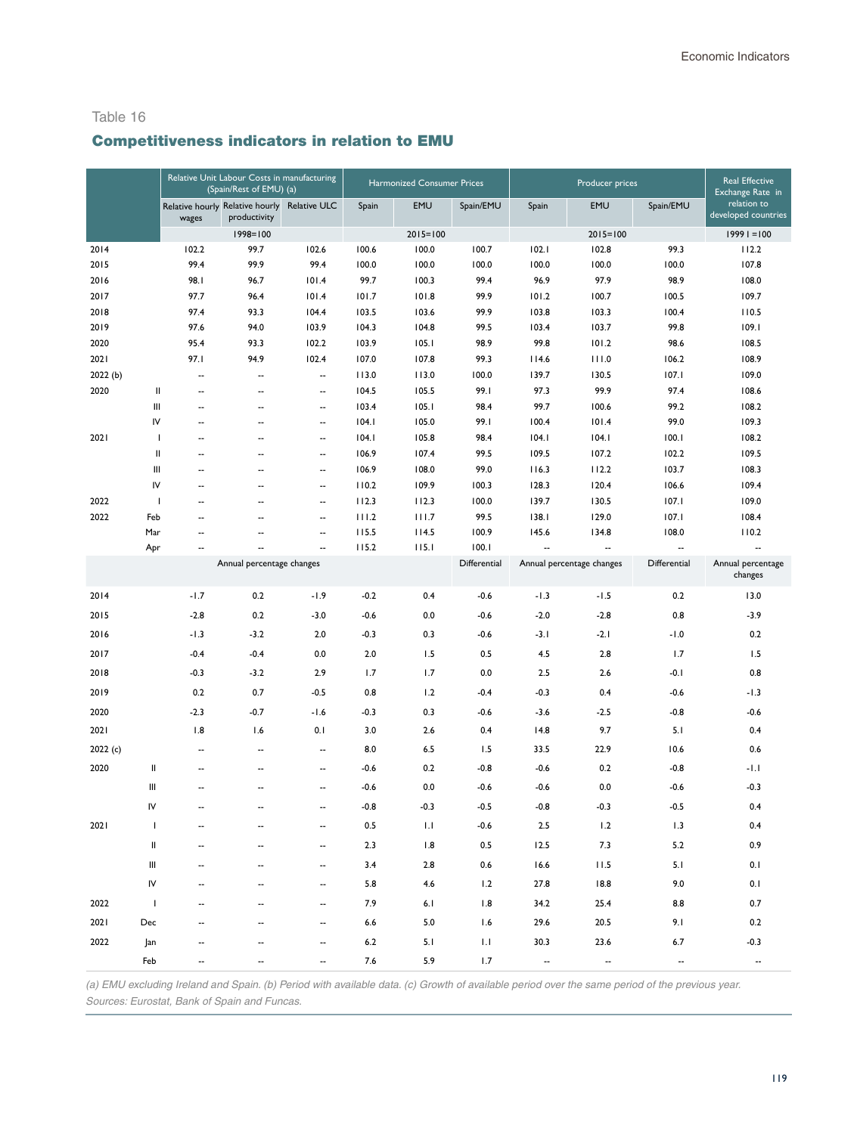# Competitiveness indicators in relation to EMU

|                  |                                                                                                                                                                                                                                                                                                                                                                                                                                                                                                                                          |                          | Relative Unit Labour Costs in manufacturing<br>(Spain/Rest of EMU) (a) |                          | Harmonized Consumer Prices |                |               |                          | <b>Real Effective</b><br>Exchange Rate in |                          |                                    |
|------------------|------------------------------------------------------------------------------------------------------------------------------------------------------------------------------------------------------------------------------------------------------------------------------------------------------------------------------------------------------------------------------------------------------------------------------------------------------------------------------------------------------------------------------------------|--------------------------|------------------------------------------------------------------------|--------------------------|----------------------------|----------------|---------------|--------------------------|-------------------------------------------|--------------------------|------------------------------------|
|                  |                                                                                                                                                                                                                                                                                                                                                                                                                                                                                                                                          | wages                    | Relative hourly Relative hourly<br>productivity                        | <b>Relative ULC</b>      | Spain                      | EMU            | Spain/EMU     | Spain                    | EMU                                       | Spain/EMU                | relation to<br>developed countries |
|                  |                                                                                                                                                                                                                                                                                                                                                                                                                                                                                                                                          |                          | $1998 = 100$                                                           |                          |                            | $2015 = 100$   |               |                          | $2015 = 100$                              |                          | $19991 = 100$                      |
| 2014             |                                                                                                                                                                                                                                                                                                                                                                                                                                                                                                                                          | 102.2                    | 99.7                                                                   | 102.6                    | 100.6                      | 100.0          | 100.7         | 102.1                    | 102.8                                     | 99.3                     | 112.2                              |
| 2015             |                                                                                                                                                                                                                                                                                                                                                                                                                                                                                                                                          | 99.4                     | 99.9                                                                   | 99.4                     | 100.0                      | 100.0          | 100.0         | 100.0                    | 100.0                                     | 100.0                    | 107.8                              |
| 2016             |                                                                                                                                                                                                                                                                                                                                                                                                                                                                                                                                          | 98.I                     | 96.7                                                                   | 101.4                    | 99.7                       | 100.3          | 99.4          | 96.9                     | 97.9                                      | 98.9                     | 108.0                              |
| 2017             |                                                                                                                                                                                                                                                                                                                                                                                                                                                                                                                                          | 97.7                     | 96.4                                                                   | 101.4                    | 101.7                      | 101.8          | 99.9          | 101.2                    | 100.7                                     | 100.5                    | 109.7                              |
| 2018             |                                                                                                                                                                                                                                                                                                                                                                                                                                                                                                                                          | 97.4                     | 93.3                                                                   | 104.4                    | 103.5                      | 103.6          | 99.9          | 103.8                    | 103.3                                     | 100.4                    | 110.5                              |
| 2019             |                                                                                                                                                                                                                                                                                                                                                                                                                                                                                                                                          | 97.6                     | 94.0                                                                   | 103.9                    | 104.3                      | 104.8          | 99.5          | 103.4                    | 103.7                                     | 99.8                     | 109.1                              |
| 2020             |                                                                                                                                                                                                                                                                                                                                                                                                                                                                                                                                          | 95.4                     | 93.3                                                                   | 102.2                    | 103.9                      | 105.1          | 98.9          | 99.8                     | 101.2                                     | 98.6                     | 108.5                              |
| 2021             |                                                                                                                                                                                                                                                                                                                                                                                                                                                                                                                                          | 97.I                     | 94.9                                                                   | 102.4                    | 107.0                      | 107.8          | 99.3          | 114.6                    | 111.0                                     | 106.2                    | 108.9                              |
| 2022 (b)<br>2020 |                                                                                                                                                                                                                                                                                                                                                                                                                                                                                                                                          | --<br>--                 | $\overline{\phantom{a}}$<br>٠.                                         |                          | 113.0<br>104.5             | 113.0<br>105.5 | 100.0<br>99.I | 139.7<br>97.3            | 130.5<br>99.9                             | 107.1<br>97.4            | 109.0<br>108.6                     |
|                  | Ш<br>Ш                                                                                                                                                                                                                                                                                                                                                                                                                                                                                                                                   |                          | --                                                                     | --                       | 103.4                      | 105.1          | 98.4          | 99.7                     | 100.6                                     | 99.2                     | 108.2                              |
|                  | IV                                                                                                                                                                                                                                                                                                                                                                                                                                                                                                                                       | --<br>--                 | ٠.                                                                     | ۰.<br>۰.                 | 104.1                      | 105.0          | 99.1          | 100.4                    | 101.4                                     | 99.0                     | 109.3                              |
| 2021             | $\mathbf{I}$                                                                                                                                                                                                                                                                                                                                                                                                                                                                                                                             | --                       | ٠.                                                                     | --                       | 104.1                      | 105.8          | 98.4          | 104.1                    | 104.1                                     | 100.1                    | 108.2                              |
|                  | $\mathop{\mathrm{II}}% \nolimits_{\mathop{\mathrm{II}}% \nolimits} \mathop{\mathrm{II}}% \nolimits_{\mathop{\mathrm{II}}% \nolimits} \mathop{\mathrm{II}}% \nolimits_{\mathop{\mathrm{II}}% \nolimits} \mathop{\mathrm{II}}% \nolimits_{\mathop{\mathrm{II}}% \nolimits} \mathop{\mathrm{II}}% \nolimits_{\mathop{\mathrm{II}}% \nolimits} \mathop{\mathrm{II}}% \nolimits_{\mathop{\mathrm{II}}% \nolimits} \mathop{\mathrm{II}}% \nolimits_{\mathop{\mathrm{II}}% \nolimits} \mathop{\mathrm{II}}% \nolimits_{\mathop{\mathrm{II}}% \$ | --                       | ٠.                                                                     | ۰.                       | 106.9                      | 107.4          | 99.5          | 109.5                    | 107.2                                     | 102.2                    | 109.5                              |
|                  | Ш                                                                                                                                                                                                                                                                                                                                                                                                                                                                                                                                        | --                       | ٠.                                                                     | ۰.                       | 106.9                      | 108.0          | 99.0          | 116.3                    | 112.2                                     | 103.7                    | 108.3                              |
|                  | IV                                                                                                                                                                                                                                                                                                                                                                                                                                                                                                                                       | --                       | Ξ.                                                                     | ۰.                       | 110.2                      | 109.9          | 100.3         | 128.3                    | 120.4                                     | 106.6                    | 109.4                              |
| 2022             | $\mathbf{I}$                                                                                                                                                                                                                                                                                                                                                                                                                                                                                                                             | --                       | ٠.                                                                     | ۰.                       | 112.3                      | 112.3          | 100.0         | 139.7                    | 130.5                                     | 107.1                    | 109.0                              |
| 2022             | Feb                                                                                                                                                                                                                                                                                                                                                                                                                                                                                                                                      | --                       | ٠.                                                                     | ۰.                       | 111.2                      | 111.7          | 99.5          | 138.1                    | 129.0                                     | 107.1                    | 108.4                              |
|                  | Mar                                                                                                                                                                                                                                                                                                                                                                                                                                                                                                                                      | --                       | --                                                                     | ۰.                       | 115.5                      | 114.5          | 100.9         | 145.6                    | 134.8                                     | 108.0                    | 110.2                              |
|                  | Apr                                                                                                                                                                                                                                                                                                                                                                                                                                                                                                                                      | $\overline{\phantom{a}}$ | ٠.                                                                     | --                       | 115.2                      | 115.1          | 100.1         | --                       | $\overline{\phantom{a}}$                  | $\overline{\phantom{a}}$ | $\sim$                             |
|                  |                                                                                                                                                                                                                                                                                                                                                                                                                                                                                                                                          |                          | Annual percentage changes                                              |                          |                            |                | Differential  |                          | Annual percentage changes                 | Differential             | Annual percentage<br>changes       |
| 2014             |                                                                                                                                                                                                                                                                                                                                                                                                                                                                                                                                          | $-1.7$                   | 0.2                                                                    | $-1.9$                   | $-0.2$                     | 0.4            | $-0.6$        | $-1.3$                   | $-1.5$                                    | 0.2                      | 13.0                               |
| 2015             |                                                                                                                                                                                                                                                                                                                                                                                                                                                                                                                                          | $-2.8$                   | 0.2                                                                    | $-3.0$                   | $-0.6$                     | 0.0            | $-0.6$        | $-2.0$                   | $-2.8$                                    | 0.8                      | $-3.9$                             |
| 2016             |                                                                                                                                                                                                                                                                                                                                                                                                                                                                                                                                          | $-1.3$                   | $-3.2$                                                                 | 2.0                      | $-0.3$                     | 0.3            | $-0.6$        | -3.1                     | $-2.1$                                    | $-1.0$                   | 0.2                                |
| 2017             |                                                                                                                                                                                                                                                                                                                                                                                                                                                                                                                                          | $-0.4$                   | $-0.4$                                                                 | 0.0                      | 2.0                        | 1.5            | 0.5           | 4.5                      | 2.8                                       | 1.7                      | 1.5                                |
| 2018             |                                                                                                                                                                                                                                                                                                                                                                                                                                                                                                                                          | $-0.3$                   | $-3.2$                                                                 | 2.9                      | 1.7                        | 1.7            | 0.0           | 2.5                      | 2.6                                       | -0.1                     | 0.8                                |
| 2019             |                                                                                                                                                                                                                                                                                                                                                                                                                                                                                                                                          | 0.2                      | 0.7                                                                    | $-0.5$                   | 0.8                        | 1.2            | $-0.4$        | $-0.3$                   | 0.4                                       | $-0.6$                   | $-1.3$                             |
| 2020             |                                                                                                                                                                                                                                                                                                                                                                                                                                                                                                                                          | $-2.3$                   | $-0.7$                                                                 | $-1.6$                   | $-0.3$                     | 0.3            | $-0.6$        | $-3.6$                   | $-2.5$                                    | $-0.8$                   | $-0.6$                             |
| 2021             |                                                                                                                                                                                                                                                                                                                                                                                                                                                                                                                                          | 1.8                      | 1.6                                                                    | 0.1                      | 3.0                        | 2.6            | 0.4           | 14.8                     | 9.7                                       | 5.1                      | 0.4                                |
| 2022(c)          |                                                                                                                                                                                                                                                                                                                                                                                                                                                                                                                                          | --                       | $\overline{a}$                                                         | ۰.                       | 8.0                        | 6.5            | 1.5           | 33.5                     | 22.9                                      | 10.6                     | 0.6                                |
| 2020             | Ш                                                                                                                                                                                                                                                                                                                                                                                                                                                                                                                                        | --                       | --                                                                     | --                       | $-0.6$                     | 0.2            | $-0.8$        | $-0.6$                   | 0.2                                       | $-0.8$                   | $-1.1$                             |
|                  | Ш                                                                                                                                                                                                                                                                                                                                                                                                                                                                                                                                        | --                       | --                                                                     | $\overline{\phantom{a}}$ | $-0.6$                     | 0.0            | $-0.6$        | $-0.6$                   | 0.0                                       | $-0.6$                   | -0.3                               |
|                  | IV                                                                                                                                                                                                                                                                                                                                                                                                                                                                                                                                       |                          | --                                                                     | --                       | $-0.8$                     | $-0.3$         | $-0.5$        | $-0.8$                   | $-0.3$                                    | $-0.5$                   | 0.4                                |
| 2021             | $\mathbf{I}$                                                                                                                                                                                                                                                                                                                                                                                                                                                                                                                             | $\overline{\phantom{a}}$ | ٠.                                                                     | ۰.                       | 0.5                        | 1.1            | $-0.6$        | 2.5                      | 1.2                                       | 1.3                      | 0.4                                |
|                  | $\,$ II                                                                                                                                                                                                                                                                                                                                                                                                                                                                                                                                  |                          |                                                                        |                          | 2.3                        | 1.8            | $0.5\,$       | 12.5                     | 7.3                                       | 5.2                      | 0.9                                |
|                  | Ш                                                                                                                                                                                                                                                                                                                                                                                                                                                                                                                                        |                          |                                                                        |                          | 3.4                        | 2.8            | 0.6           | 16.6                     | 11.5                                      | 5.1                      | 0.1                                |
|                  | ${\sf IV}$                                                                                                                                                                                                                                                                                                                                                                                                                                                                                                                               |                          |                                                                        |                          | 5.8                        | 4.6            | 1.2           | 27.8                     | 18.8                                      | 9.0                      | 0.1                                |
| 2022             | $\mathbf{I}$                                                                                                                                                                                                                                                                                                                                                                                                                                                                                                                             |                          |                                                                        |                          | 7.9                        | 6.1            | 1.8           | 34.2                     | 25.4                                      | 8.8                      | 0.7                                |
| 2021             | Dec                                                                                                                                                                                                                                                                                                                                                                                                                                                                                                                                      |                          |                                                                        |                          | $6.6$                      | 5.0            | 1.6           | 29.6                     | 20.5                                      | 9.1                      | 0.2                                |
| 2022             | Jan                                                                                                                                                                                                                                                                                                                                                                                                                                                                                                                                      |                          |                                                                        |                          | $6.2\,$                    | 5.1            | 1.1           | 30.3                     | 23.6                                      | 6.7                      | $-0.3$                             |
|                  | Feb                                                                                                                                                                                                                                                                                                                                                                                                                                                                                                                                      |                          |                                                                        |                          | 7.6                        | 5.9            | 1.7           | $\overline{\phantom{a}}$ | $\overline{\phantom{a}}$                  |                          |                                    |

*(a) EMU excluding Ireland and Spain. (b) Period with available data. (c) Growth of available period over the same period of the previous year. Sources: Eurostat, Bank of Spain and Funcas.*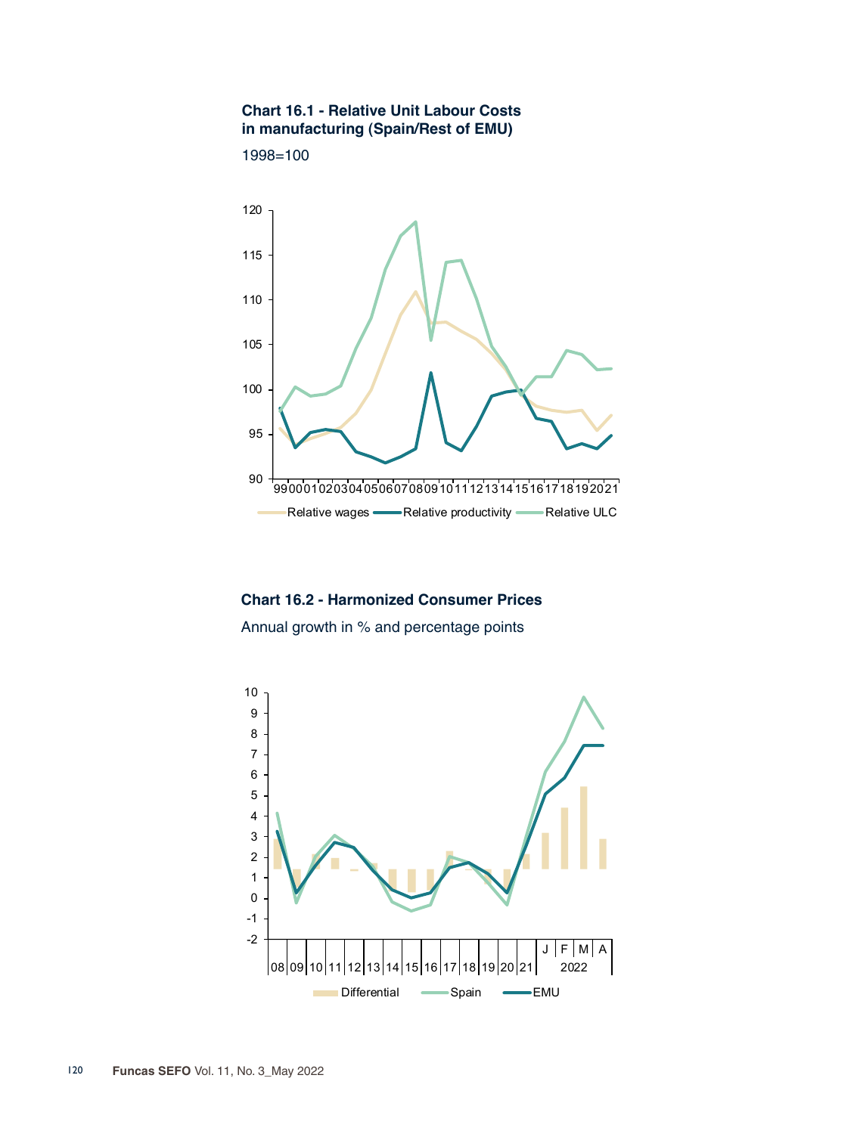#### **Chart 16.1 - Relative Unit Labour Costs in manufacturing (Spain/Rest of EMU)**





**Chart 16.2 - Harmonized Consumer Prices** Annual growth in % and percentage points

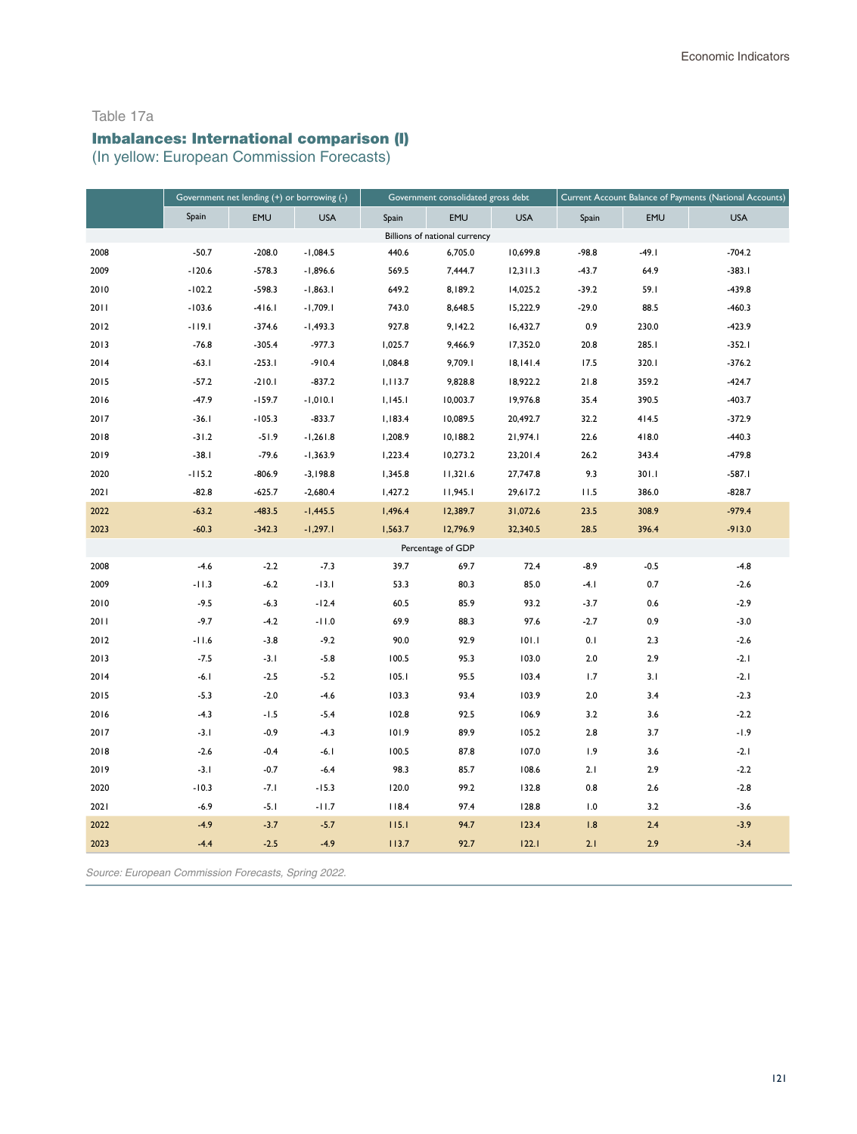#### Table 17a

# Imbalances: International comparison (I)

(In yellow: European Commission Forecasts)

|      | Government net lending (+) or borrowing (-) |          |            | Government consolidated gross debt |                               | Current Account Balance of Payments (National Accounts) |         |            |            |
|------|---------------------------------------------|----------|------------|------------------------------------|-------------------------------|---------------------------------------------------------|---------|------------|------------|
|      | Spain                                       | EMU      | <b>USA</b> | Spain                              | EMU                           | <b>USA</b>                                              | Spain   | <b>EMU</b> | <b>USA</b> |
|      |                                             |          |            |                                    | Billions of national currency |                                                         |         |            |            |
| 2008 | $-50.7$                                     | $-208.0$ | $-1,084.5$ | 440.6                              | 6,705.0                       | 10,699.8                                                | $-98.8$ | $-49.1$    | $-704.2$   |
| 2009 | $-120.6$                                    | $-578.3$ | $-1,896.6$ | 569.5                              | 7,444.7                       | 12,311.3                                                | $-43.7$ | 64.9       | $-383.1$   |
| 2010 | $-102.2$                                    | $-598.3$ | $-1,863.1$ | 649.2                              | 8,189.2                       | 14,025.2                                                | $-39.2$ | 59.1       | $-439.8$   |
| 2011 | $-103.6$                                    | $-416.1$ | $-1,709.1$ | 743.0                              | 8,648.5                       | 15,222.9                                                | $-29.0$ | 88.5       | $-460.3$   |
| 2012 | $-119.1$                                    | $-374.6$ | $-1,493.3$ | 927.8                              | 9,142.2                       | 16,432.7                                                | 0.9     | 230.0      | $-423.9$   |
| 2013 | $-76.8$                                     | $-305.4$ | $-977.3$   | 1,025.7                            | 9,466.9                       | 17,352.0                                                | 20.8    | 285.I      | $-352.1$   |
| 2014 | $-63.1$                                     | $-253.1$ | $-910.4$   | 1,084.8                            | 9,709.1                       | 18,141.4                                                | 17.5    | 320.1      | $-376.2$   |
| 2015 | $-57.2$                                     | $-210.1$ | $-837.2$   | 1,113.7                            | 9,828.8                       | 18,922.2                                                | 21.8    | 359.2      | $-424.7$   |
| 2016 | $-47.9$                                     | $-159.7$ | $-1,010.1$ | 1,145.1                            | 10,003.7                      | 19,976.8                                                | 35.4    | 390.5      | $-403.7$   |
| 2017 | $-36.1$                                     | $-105.3$ | $-833.7$   | 1,183.4                            | 10,089.5                      | 20,492.7                                                | 32.2    | 414.5      | $-372.9$   |
| 2018 | $-31.2$                                     | $-51.9$  | $-1,261.8$ | 1,208.9                            | 10,188.2                      | 21,974.1                                                | 22.6    | 418.0      | $-440.3$   |
| 2019 | $-38.1$                                     | $-79.6$  | $-1,363.9$ | 1,223.4                            | 10,273.2                      | 23,201.4                                                | 26.2    | 343.4      | $-479.8$   |
| 2020 | $-115.2$                                    | $-806.9$ | $-3,198.8$ | 1,345.8                            | 11,321.6                      | 27,747.8                                                | 9.3     | 301.I      | $-587.1$   |
| 2021 | $-82.8$                                     | $-625.7$ | $-2,680.4$ | 1,427.2                            | 11,945.1                      | 29,617.2                                                | 11.5    | 386.0      | $-828.7$   |
| 2022 | $-63.2$                                     | $-483.5$ | $-1,445.5$ | 1,496.4                            | 12,389.7                      | 31,072.6                                                | 23.5    | 308.9      | $-979.4$   |
| 2023 | $-60.3$                                     | $-342.3$ | $-1,297.1$ | 1,563.7                            | 12,796.9                      | 32,340.5                                                | 28.5    | 396.4      | $-913.0$   |
|      |                                             |          |            |                                    | Percentage of GDP             |                                                         |         |            |            |
| 2008 | $-4.6$                                      | $-2.2$   | $-7.3$     | 39.7                               | 69.7                          | 72.4                                                    | $-8.9$  | $-0.5$     | $-4.8$     |
| 2009 | $-11.3$                                     | $-6.2$   | $-13.1$    | 53.3                               | 80.3                          | 85.0                                                    | $-4.1$  | 0.7        | $-2.6$     |
| 2010 | $-9.5$                                      | $-6.3$   | $-12.4$    | 60.5                               | 85.9                          | 93.2                                                    | $-3.7$  | 0.6        | $-2.9$     |
| 2011 | $-9.7$                                      | $-4.2$   | $-11.0$    | 69.9                               | 88.3                          | 97.6                                                    | $-2.7$  | 0.9        | $-3.0$     |
| 2012 | $-11.6$                                     | $-3.8$   | $-9.2$     | 90.0                               | 92.9                          | 101.1                                                   | 0.1     | 2.3        | $-2.6$     |
| 2013 | $-7.5$                                      | $-3.1$   | $-5.8$     | 100.5                              | 95.3                          | 103.0                                                   | 2.0     | 2.9        | $-2.1$     |
| 2014 | $-6.1$                                      | $-2.5$   | $-5.2$     | 105.1                              | 95.5                          | 103.4                                                   | 1.7     | 3.1        | $-2.1$     |
| 2015 | $-5.3$                                      | $-2.0$   | $-4.6$     | 103.3                              | 93.4                          | 103.9                                                   | 2.0     | 3.4        | $-2.3$     |
| 2016 | $-4.3$                                      | $-1.5$   | $-5.4$     | 102.8                              | 92.5                          | 106.9                                                   | 3.2     | 3.6        | $-2.2$     |
| 2017 | $-3.1$                                      | $-0.9$   | $-4.3$     | 101.9                              | 89.9                          | 105.2                                                   | 2.8     | 3.7        | $-1.9$     |
| 2018 | $-2.6$                                      | $-0.4$   | $-6.1$     | 100.5                              | 87.8                          | 107.0                                                   | 1.9     | 3.6        | $-2.1$     |
| 2019 | $-3.1$                                      | $-0.7$   | $-6.4$     | 98.3                               | 85.7                          | 108.6                                                   | 2.1     | 2.9        | $-2.2$     |
| 2020 | $-10.3$                                     | $-7.1$   | $-15.3$    | 120.0                              | 99.2                          | 132.8                                                   | 0.8     | 2.6        | $-2.8$     |
| 2021 | $-6.9$                                      | $-5.1$   | $-11.7$    | 118.4                              | 97.4                          | 128.8                                                   | 1.0     | 3.2        | $-3.6$     |
| 2022 | $-4.9$                                      | $-3.7$   | $-5.7$     | 115.1                              | 94.7                          | 123.4                                                   | 1.8     | 2.4        | $-3.9$     |
| 2023 | $-4.4$                                      | $-2.5$   | $-4.9$     | 113.7                              | 92.7                          | 122.1                                                   | 2.1     | 2.9        | $-3.4$     |

*Source: European Commission Forecasts, Spring 2022.*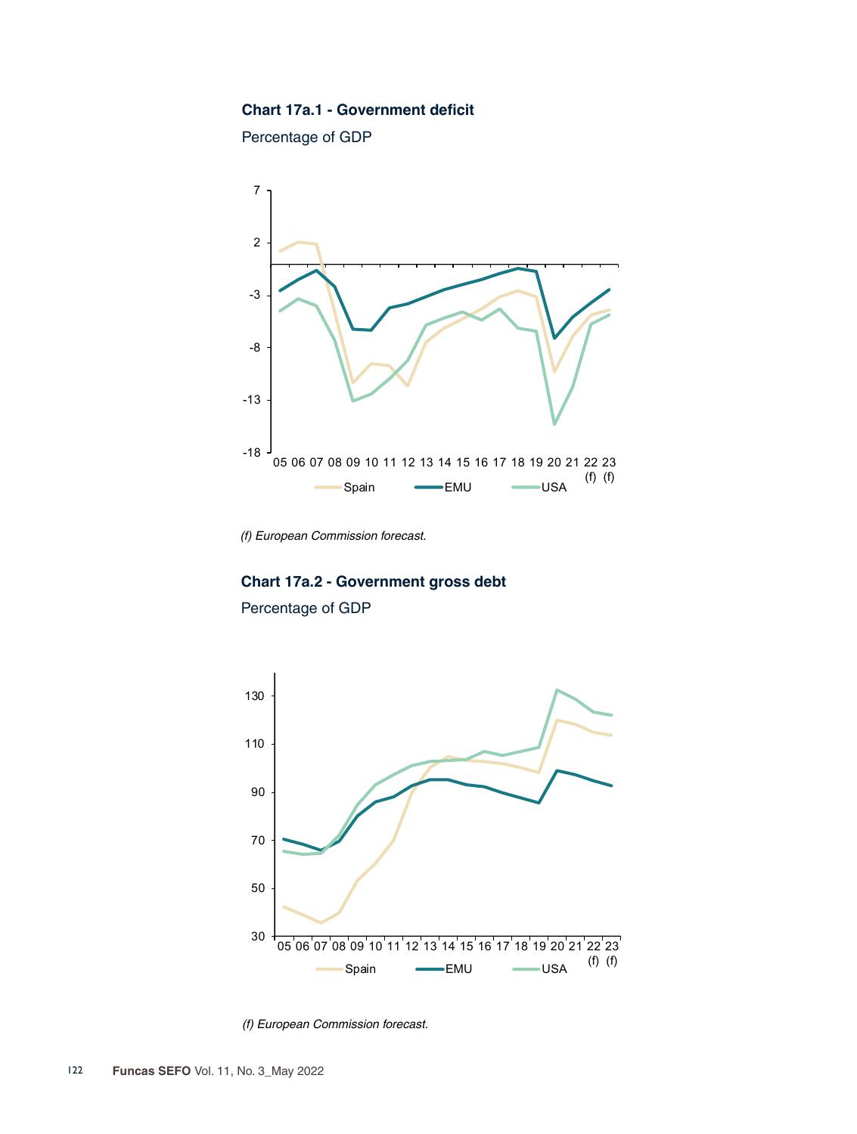#### **Chart 17a.1 - Government deficit**

Percentage of GDP



*(f) European Commission forecast.*

# **Chart 17a.2 - Government gross debt** Percentage of GDP



*(f) European Commission forecast.*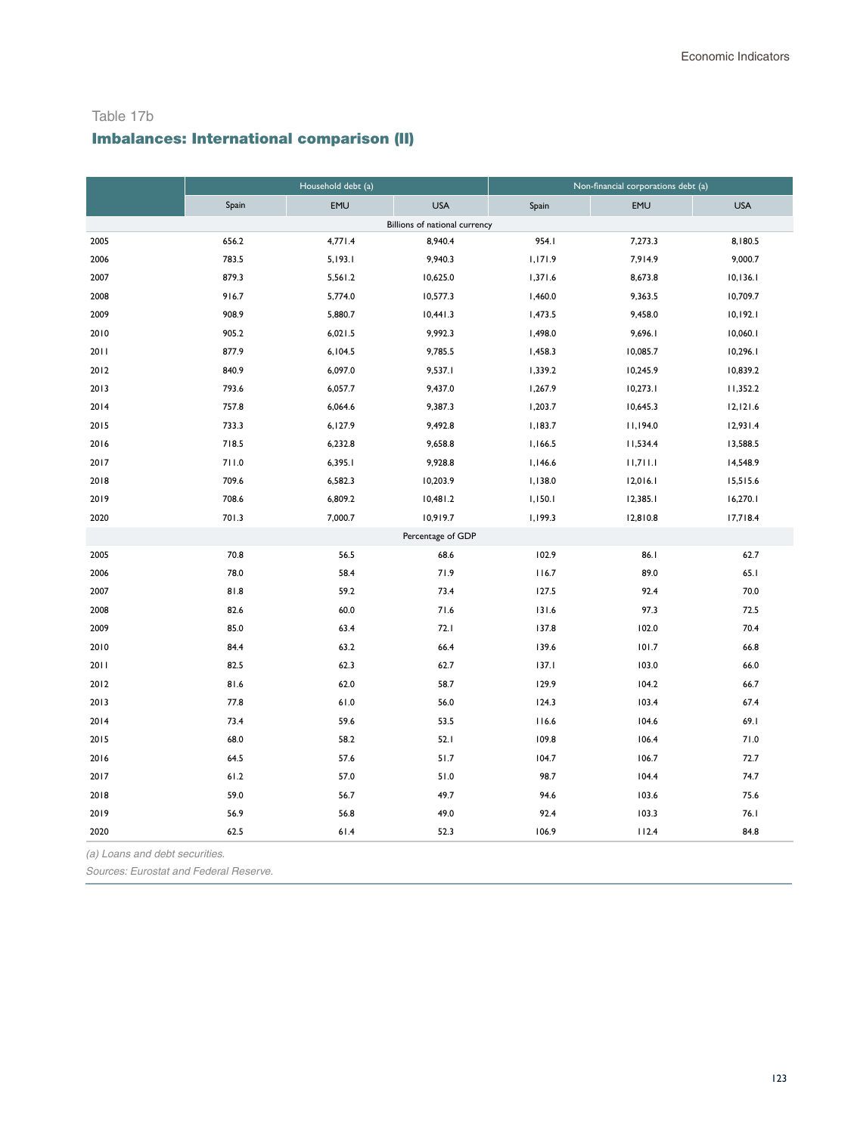#### Table 17b

# Imbalances: International comparison (II)

|      |       | Household debt (a) |                               | Non-financial corporations debt (a) |            |            |  |  |
|------|-------|--------------------|-------------------------------|-------------------------------------|------------|------------|--|--|
|      | Spain | EMU                | <b>USA</b>                    | Spain                               | <b>EMU</b> | <b>USA</b> |  |  |
|      |       |                    | Billions of national currency |                                     |            |            |  |  |
| 2005 | 656.2 | 4,771.4            | 8,940.4                       | 954.I                               | 7,273.3    | 8,180.5    |  |  |
| 2006 | 783.5 | 5,193.1            | 9,940.3                       | 1,171.9                             | 7,914.9    | 9,000.7    |  |  |
| 2007 | 879.3 | 5,561.2            | 10,625.0                      | 1,371.6                             | 8,673.8    | 10, 136.1  |  |  |
| 2008 | 916.7 | 5,774.0            | 10,577.3                      | 1,460.0                             | 9,363.5    | 10,709.7   |  |  |
| 2009 | 908.9 | 5,880.7            | 10,441.3                      | 1,473.5                             | 9,458.0    | 10,192.1   |  |  |
| 2010 | 905.2 | 6,021.5            | 9,992.3                       | 1,498.0                             | 9,696.1    | 10,060.1   |  |  |
| 2011 | 877.9 | 6,104.5            | 9,785.5                       | 1,458.3                             | 10,085.7   | 10,296.1   |  |  |
| 2012 | 840.9 | 6,097.0            | 9,537.1                       | 1,339.2                             | 10,245.9   | 10,839.2   |  |  |
| 2013 | 793.6 | 6,057.7            | 9,437.0                       | 1,267.9                             | 10,273.1   | 11,352.2   |  |  |
| 2014 | 757.8 | 6,064.6            | 9,387.3                       | 1,203.7                             | 10,645.3   | 12,121.6   |  |  |
| 2015 | 733.3 | 6,127.9            | 9,492.8                       | 1,183.7                             | 11,194.0   | 12,931.4   |  |  |
| 2016 | 718.5 | 6,232.8            | 9,658.8                       | 1,166.5                             | 11,534.4   | 13,588.5   |  |  |
| 2017 | 711.0 | 6,395.1            | 9,928.8                       | 1,146.6                             | 11,711.1   | 14,548.9   |  |  |
| 2018 | 709.6 | 6,582.3            | 10,203.9                      | 1,138.0                             | 12,016.1   | 15,515.6   |  |  |
| 2019 | 708.6 | 6,809.2            | 10,481.2                      | 1,150.1                             | 12,385.1   | 16,270.1   |  |  |
| 2020 | 701.3 | 7,000.7            | 10,919.7                      | 1,199.3                             | 12,810.8   | 17,718.4   |  |  |
|      |       |                    | Percentage of GDP             |                                     |            |            |  |  |
| 2005 | 70.8  | 56.5               | 68.6                          | 102.9                               | 86.1       | 62.7       |  |  |
| 2006 | 78.0  | 58.4               | 71.9                          | 116.7                               | 89.0       | 65.1       |  |  |
| 2007 | 81.8  | 59.2               | 73.4                          | 127.5                               | 92.4       | 70.0       |  |  |
| 2008 | 82.6  | 60.0               | 71.6                          | 131.6                               | 97.3       | 72.5       |  |  |
| 2009 | 85.0  | 63.4               | 72.1                          | 137.8                               | 102.0      | 70.4       |  |  |
| 2010 | 84.4  | 63.2               | 66.4                          | 139.6                               | 101.7      | 66.8       |  |  |
| 2011 | 82.5  | 62.3               | 62.7                          | 137.1                               | 103.0      | 66.0       |  |  |
| 2012 | 81.6  | 62.0               | 58.7                          | 129.9                               | 104.2      | 66.7       |  |  |
| 2013 | 77.8  | 61.0               | 56.0                          | 124.3                               | 103.4      | 67.4       |  |  |
| 2014 | 73.4  | 59.6               | 53.5                          | 116.6                               | 104.6      | 69.1       |  |  |
| 2015 | 68.0  | 58.2               | 52.1                          | 109.8                               | 106.4      | 71.0       |  |  |
| 2016 | 64.5  | 57.6               | 51.7                          | 104.7                               | 106.7      | 72.7       |  |  |
| 2017 | 61.2  | 57.0               | 51.0                          | 98.7                                | 104.4      | 74.7       |  |  |
| 2018 | 59.0  | 56.7               | 49.7                          | 94.6                                | 103.6      | 75.6       |  |  |
| 2019 | 56.9  | 56.8               | 49.0                          | 92.4                                | 103.3      | 76.1       |  |  |
| 2020 | 62.5  | $61.4$             | 52.3                          | 106.9                               | 112.4      | 84.8       |  |  |

*(a) Loans and debt securities.*

*Sources: Eurostat and Federal Reserve.*